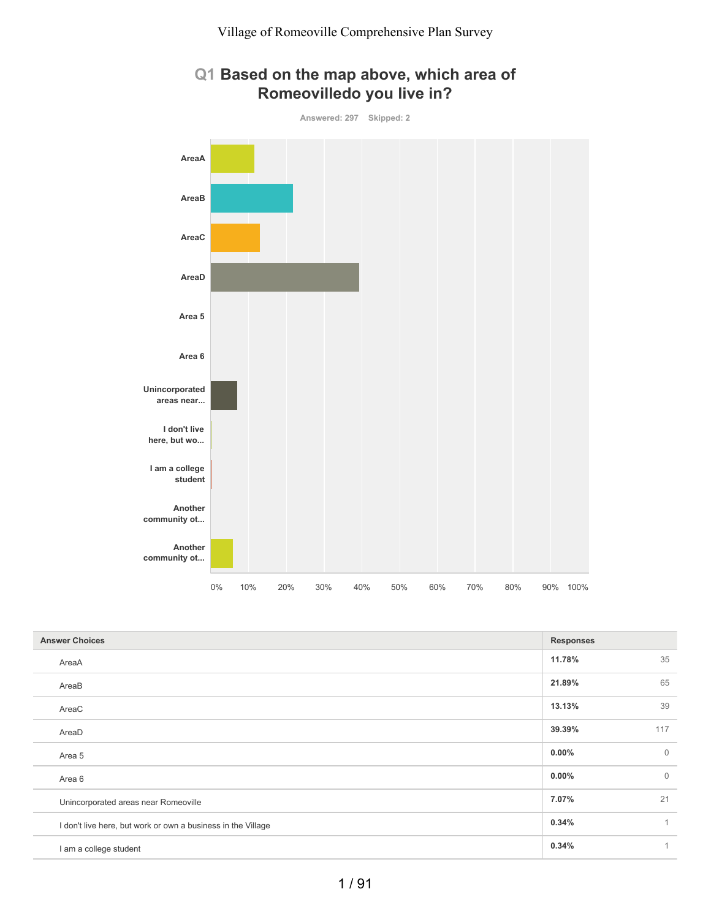

### **Q1 Based on the map above, which area of Romeovilledo you live in?**

| <b>Answer Choices</b>                                        | <b>Responses</b> |                |
|--------------------------------------------------------------|------------------|----------------|
| AreaA                                                        | 11.78%           | 35             |
| AreaB                                                        | 21.89%           | 65             |
| AreaC                                                        | 13.13%           | 39             |
| AreaD                                                        | 39.39%           | 117            |
| Area 5                                                       | $0.00\%$         | $\overline{0}$ |
| Area 6                                                       | $0.00\%$         | $\overline{0}$ |
| Unincorporated areas near Romeoville                         | 7.07%            | 21             |
| I don't live here, but work or own a business in the Village | 0.34%            | 1              |
| I am a college student                                       | 0.34%            | 1              |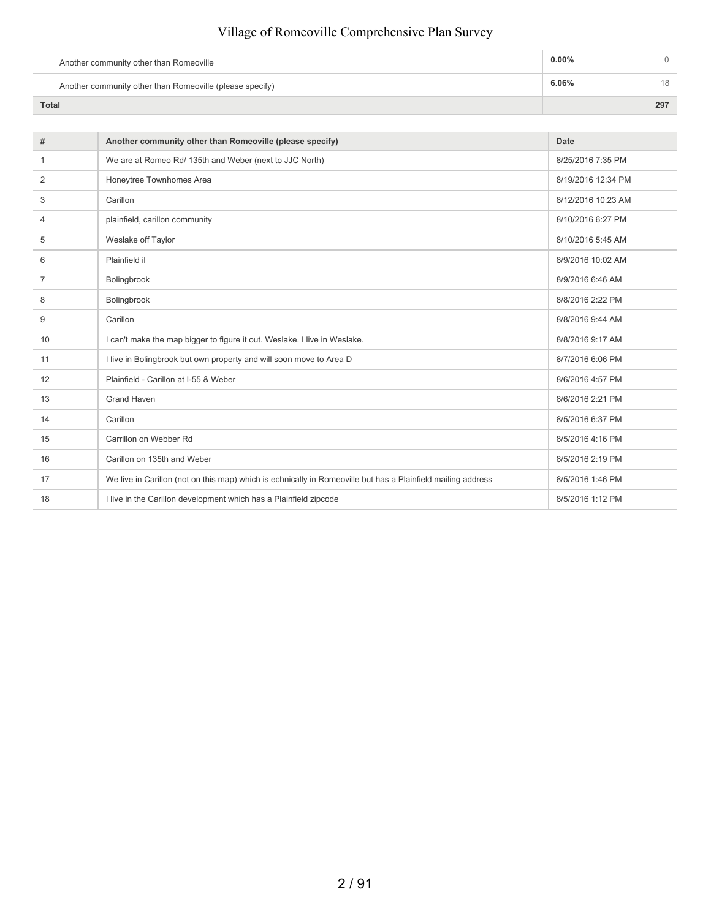| Another community other than Romeoville                  | $0.00\%$ |     |
|----------------------------------------------------------|----------|-----|
| Another community other than Romeoville (please specify) | 6.06%    | 18  |
| <b>Total</b>                                             |          | 297 |

| #              | Another community other than Romeoville (please specify)                                                     | Date               |
|----------------|--------------------------------------------------------------------------------------------------------------|--------------------|
| -1             | We are at Romeo Rd/ 135th and Weber (next to JJC North)                                                      | 8/25/2016 7:35 PM  |
| 2              | Honeytree Townhomes Area                                                                                     | 8/19/2016 12:34 PM |
| 3              | Carillon                                                                                                     | 8/12/2016 10:23 AM |
| 4              | plainfield, carillon community                                                                               | 8/10/2016 6:27 PM  |
| 5              | Weslake off Taylor                                                                                           | 8/10/2016 5:45 AM  |
| 6              | Plainfield il                                                                                                | 8/9/2016 10:02 AM  |
| $\overline{7}$ | Bolingbrook                                                                                                  | 8/9/2016 6:46 AM   |
| 8              | Bolingbrook                                                                                                  | 8/8/2016 2:22 PM   |
| 9              | Carillon                                                                                                     | 8/8/2016 9:44 AM   |
| 10             | I can't make the map bigger to figure it out. Weslake. I live in Weslake.                                    | 8/8/2016 9:17 AM   |
| 11             | I live in Bolingbrook but own property and will soon move to Area D                                          | 8/7/2016 6:06 PM   |
| 12             | Plainfield - Carillon at I-55 & Weber                                                                        | 8/6/2016 4:57 PM   |
| 13             | <b>Grand Haven</b>                                                                                           | 8/6/2016 2:21 PM   |
| 14             | Carillon                                                                                                     | 8/5/2016 6:37 PM   |
| 15             | Carrillon on Webber Rd                                                                                       | 8/5/2016 4:16 PM   |
| 16             | Carillon on 135th and Weber                                                                                  | 8/5/2016 2:19 PM   |
| 17             | We live in Carillon (not on this map) which is echnically in Romeoville but has a Plainfield mailing address | 8/5/2016 1:46 PM   |
| 18             | I live in the Carillon development which has a Plainfield zipcode                                            | 8/5/2016 1:12 PM   |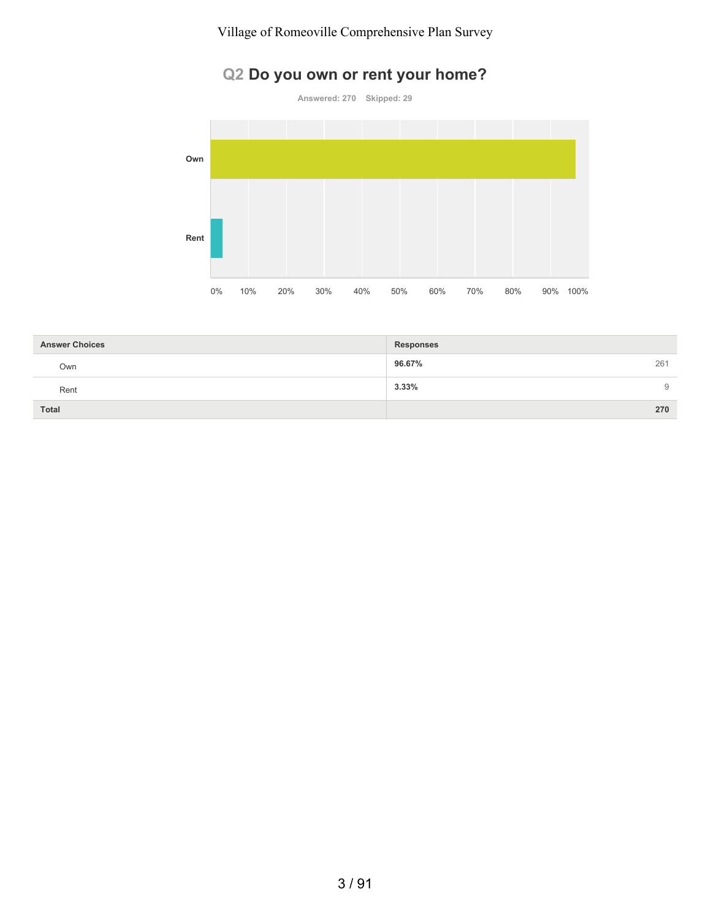# **Q2 Do you own or rent your home?**

**Answered: 270 Skipped: 29**



| <b>Answer Choices</b> | <b>Responses</b> |
|-----------------------|------------------|
| Own                   | 96.67%<br>261    |
| Rent                  | 3.33%<br>9       |
| Total                 | 270              |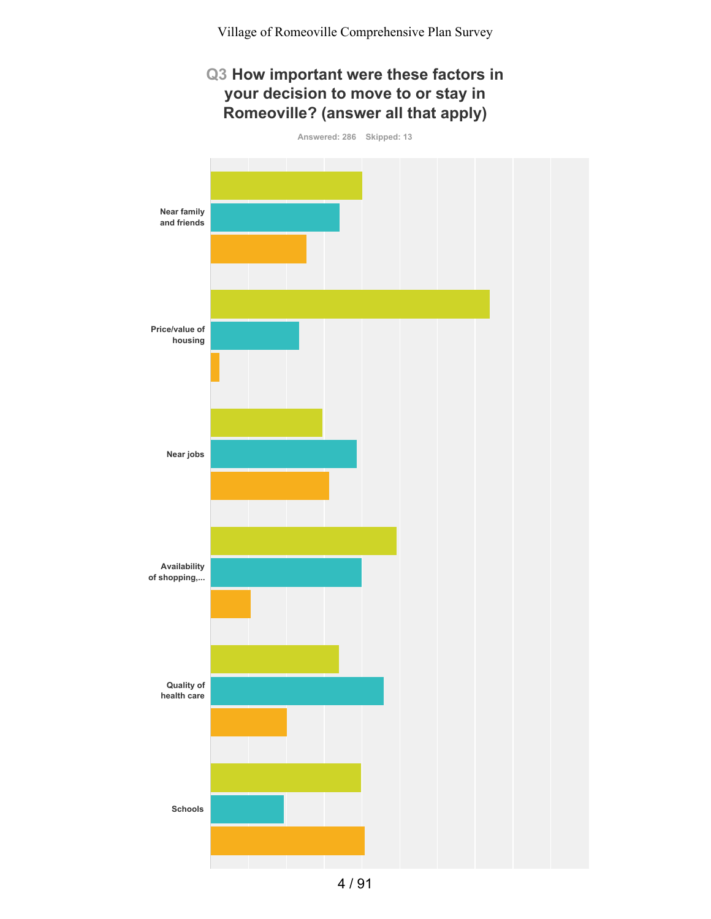# **Q3 How important were these factors in your decision to move to or stay in Romeoville? (answer all that apply)**

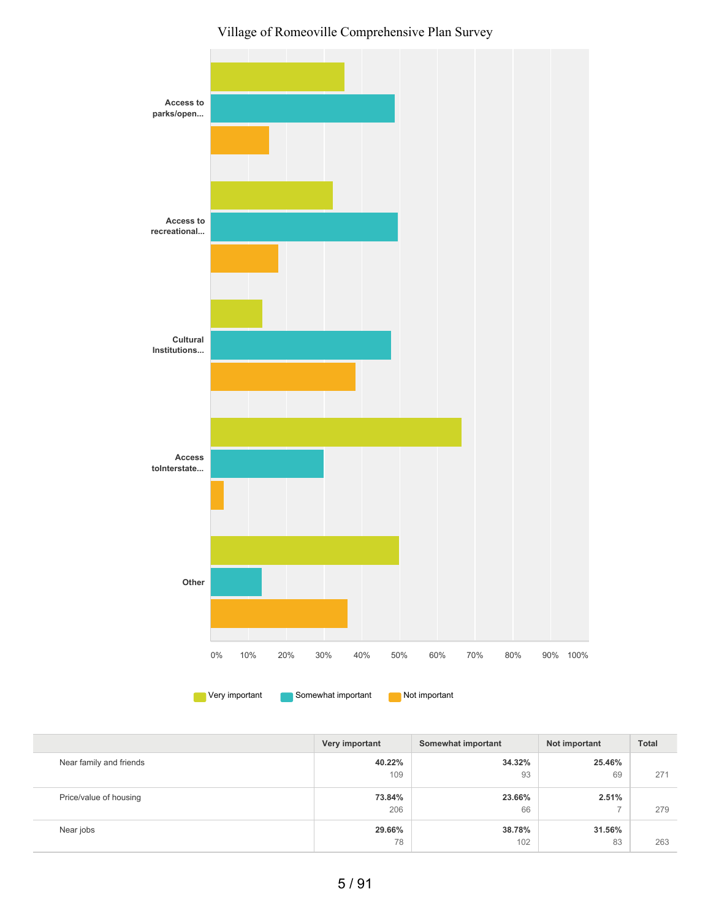

|                         | Very important | Somewhat important | Not important | <b>Total</b> |
|-------------------------|----------------|--------------------|---------------|--------------|
| Near family and friends | 40.22%         | 34.32%             | 25.46%        |              |
|                         | 109            | 93                 | 69            | 271          |
| Price/value of housing  | 73.84%         | 23.66%             | 2.51%         |              |
|                         | 206            | 66                 | ⇁             | 279          |
| Near jobs               | 29.66%         | 38.78%             | 31.56%        |              |
|                         | 78             | 102                | 83            | 263          |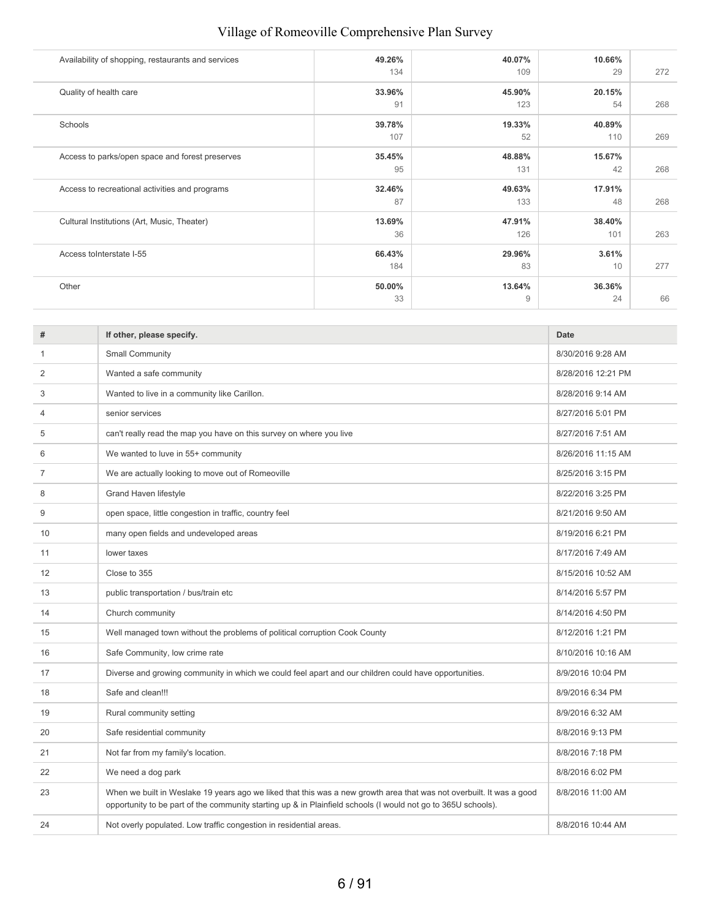| Availability of shopping, restaurants and services | 49.26%<br>134 | 40.07%<br>109 | 10.66%<br>29  | 272 |
|----------------------------------------------------|---------------|---------------|---------------|-----|
| Quality of health care                             | 33.96%<br>91  | 45.90%<br>123 | 20.15%<br>54  | 268 |
| Schools                                            | 39.78%<br>107 | 19.33%<br>52  | 40.89%<br>110 | 269 |
| Access to parks/open space and forest preserves    | 35.45%<br>95  | 48.88%<br>131 | 15.67%<br>42  | 268 |
| Access to recreational activities and programs     | 32.46%<br>87  | 49.63%<br>133 | 17.91%<br>48  | 268 |
| Cultural Institutions (Art, Music, Theater)        | 13.69%<br>36  | 47.91%<br>126 | 38.40%<br>101 | 263 |
| Access to Interstate I-55                          | 66.43%<br>184 | 29.96%<br>83  | 3.61%<br>10   | 277 |
| Other                                              | 50.00%<br>33  | 13.64%<br>9   | 36.36%<br>24  | 66  |

| #  | If other, please specify.                                                                                                                                                                                                             | Date               |
|----|---------------------------------------------------------------------------------------------------------------------------------------------------------------------------------------------------------------------------------------|--------------------|
| 1  | Small Community                                                                                                                                                                                                                       | 8/30/2016 9:28 AM  |
| 2  | Wanted a safe community                                                                                                                                                                                                               | 8/28/2016 12:21 PM |
| 3  | Wanted to live in a community like Carillon.                                                                                                                                                                                          | 8/28/2016 9:14 AM  |
| 4  | senior services                                                                                                                                                                                                                       | 8/27/2016 5:01 PM  |
| 5  | can't really read the map you have on this survey on where you live                                                                                                                                                                   | 8/27/2016 7:51 AM  |
| 6  | We wanted to luve in 55+ community                                                                                                                                                                                                    | 8/26/2016 11:15 AM |
| 7  | We are actually looking to move out of Romeoville                                                                                                                                                                                     | 8/25/2016 3:15 PM  |
| 8  | <b>Grand Haven lifestyle</b>                                                                                                                                                                                                          | 8/22/2016 3:25 PM  |
| 9  | open space, little congestion in traffic, country feel                                                                                                                                                                                | 8/21/2016 9:50 AM  |
| 10 | many open fields and undeveloped areas                                                                                                                                                                                                | 8/19/2016 6:21 PM  |
| 11 | lower taxes                                                                                                                                                                                                                           | 8/17/2016 7:49 AM  |
| 12 | Close to 355                                                                                                                                                                                                                          | 8/15/2016 10:52 AM |
| 13 | public transportation / bus/train etc                                                                                                                                                                                                 | 8/14/2016 5:57 PM  |
| 14 | Church community                                                                                                                                                                                                                      | 8/14/2016 4:50 PM  |
| 15 | Well managed town without the problems of political corruption Cook County                                                                                                                                                            | 8/12/2016 1:21 PM  |
| 16 | Safe Community, low crime rate                                                                                                                                                                                                        | 8/10/2016 10:16 AM |
| 17 | Diverse and growing community in which we could feel apart and our children could have opportunities.                                                                                                                                 | 8/9/2016 10:04 PM  |
| 18 | Safe and clean!!!                                                                                                                                                                                                                     | 8/9/2016 6:34 PM   |
| 19 | Rural community setting                                                                                                                                                                                                               | 8/9/2016 6:32 AM   |
| 20 | Safe residential community                                                                                                                                                                                                            | 8/8/2016 9:13 PM   |
| 21 | Not far from my family's location.                                                                                                                                                                                                    | 8/8/2016 7:18 PM   |
| 22 | We need a dog park                                                                                                                                                                                                                    | 8/8/2016 6:02 PM   |
| 23 | When we built in Weslake 19 years ago we liked that this was a new growth area that was not overbuilt. It was a good<br>opportunity to be part of the community starting up & in Plainfield schools (I would not go to 365U schools). | 8/8/2016 11:00 AM  |
| 24 | Not overly populated. Low traffic congestion in residential areas.                                                                                                                                                                    | 8/8/2016 10:44 AM  |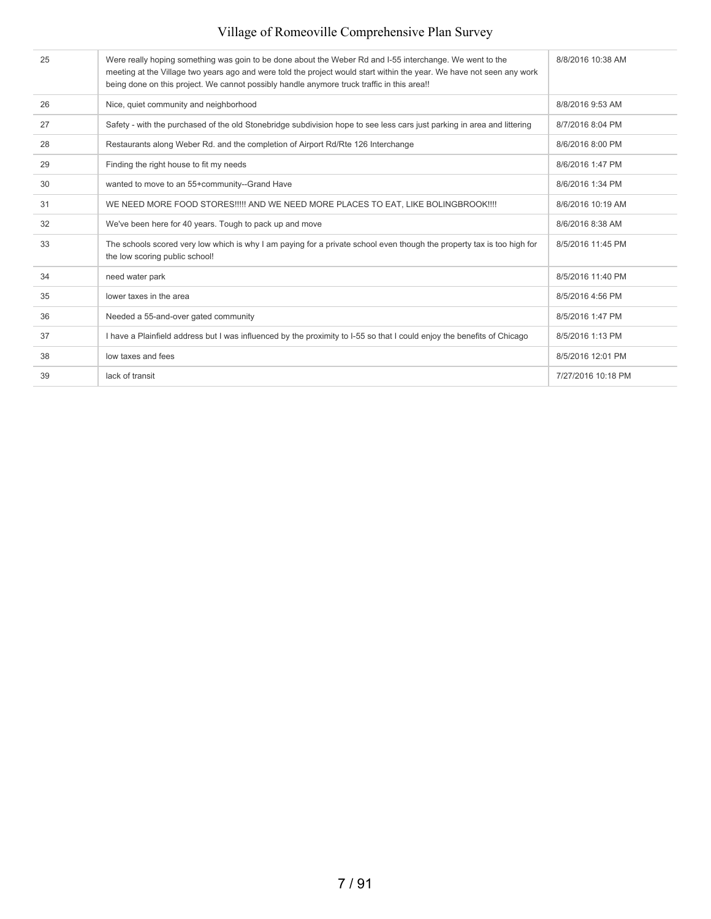| 25 | Were really hoping something was goin to be done about the Weber Rd and I-55 interchange. We went to the<br>meeting at the Village two years ago and were told the project would start within the year. We have not seen any work<br>being done on this project. We cannot possibly handle anymore truck traffic in this area!! | 8/8/2016 10:38 AM  |
|----|---------------------------------------------------------------------------------------------------------------------------------------------------------------------------------------------------------------------------------------------------------------------------------------------------------------------------------|--------------------|
| 26 | Nice, quiet community and neighborhood                                                                                                                                                                                                                                                                                          | 8/8/2016 9:53 AM   |
| 27 | Safety - with the purchased of the old Stonebridge subdivision hope to see less cars just parking in area and littering                                                                                                                                                                                                         | 8/7/2016 8:04 PM   |
| 28 | Restaurants along Weber Rd. and the completion of Airport Rd/Rte 126 Interchange                                                                                                                                                                                                                                                | 8/6/2016 8:00 PM   |
| 29 | Finding the right house to fit my needs                                                                                                                                                                                                                                                                                         | 8/6/2016 1:47 PM   |
| 30 | wanted to move to an 55+community--Grand Have                                                                                                                                                                                                                                                                                   | 8/6/2016 1:34 PM   |
| 31 | WE NEED MORE FOOD STORES!!!!! AND WE NEED MORE PLACES TO EAT, LIKE BOLINGBROOK!!!!                                                                                                                                                                                                                                              | 8/6/2016 10:19 AM  |
| 32 | We've been here for 40 years. Tough to pack up and move                                                                                                                                                                                                                                                                         | 8/6/2016 8:38 AM   |
| 33 | The schools scored very low which is why I am paying for a private school even though the property tax is too high for<br>the low scoring public school!                                                                                                                                                                        | 8/5/2016 11:45 PM  |
| 34 | need water park                                                                                                                                                                                                                                                                                                                 | 8/5/2016 11:40 PM  |
| 35 | lower taxes in the area                                                                                                                                                                                                                                                                                                         | 8/5/2016 4:56 PM   |
| 36 | Needed a 55-and-over gated community                                                                                                                                                                                                                                                                                            | 8/5/2016 1:47 PM   |
| 37 | I have a Plainfield address but I was influenced by the proximity to 1-55 so that I could enjoy the benefits of Chicago                                                                                                                                                                                                         | 8/5/2016 1:13 PM   |
| 38 | low taxes and fees                                                                                                                                                                                                                                                                                                              | 8/5/2016 12:01 PM  |
| 39 | lack of transit                                                                                                                                                                                                                                                                                                                 | 7/27/2016 10:18 PM |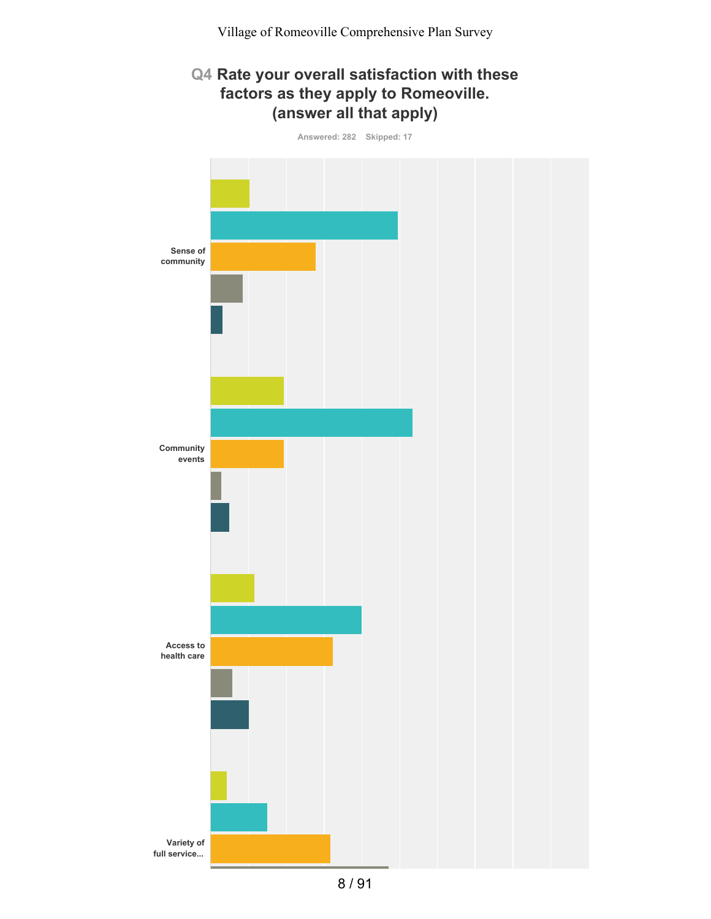# **Q4 Rate your overall satisfaction with these factors as they apply to Romeoville. (answer all that apply)**

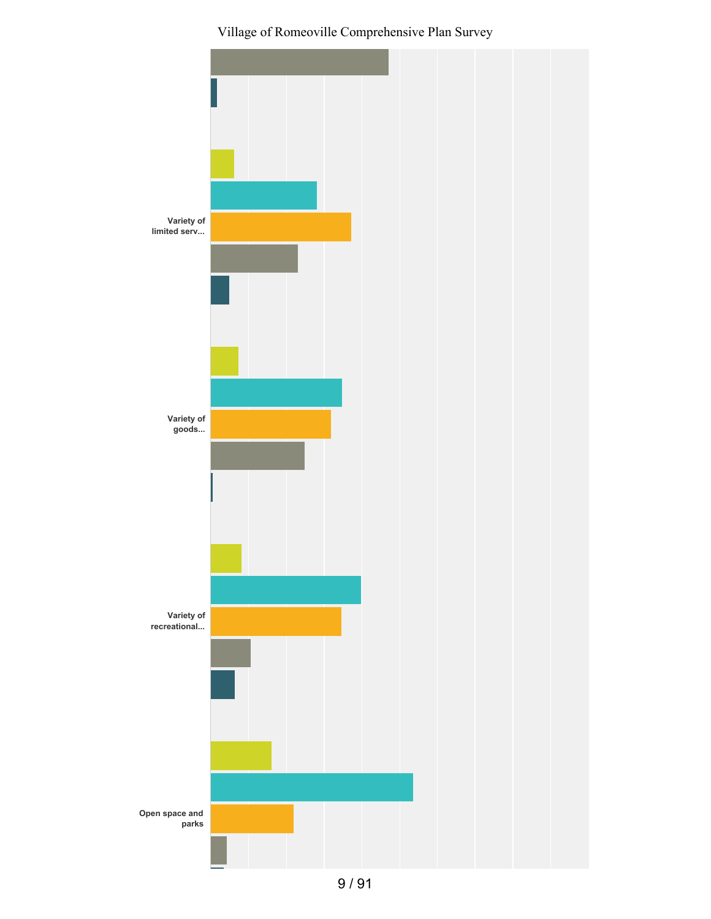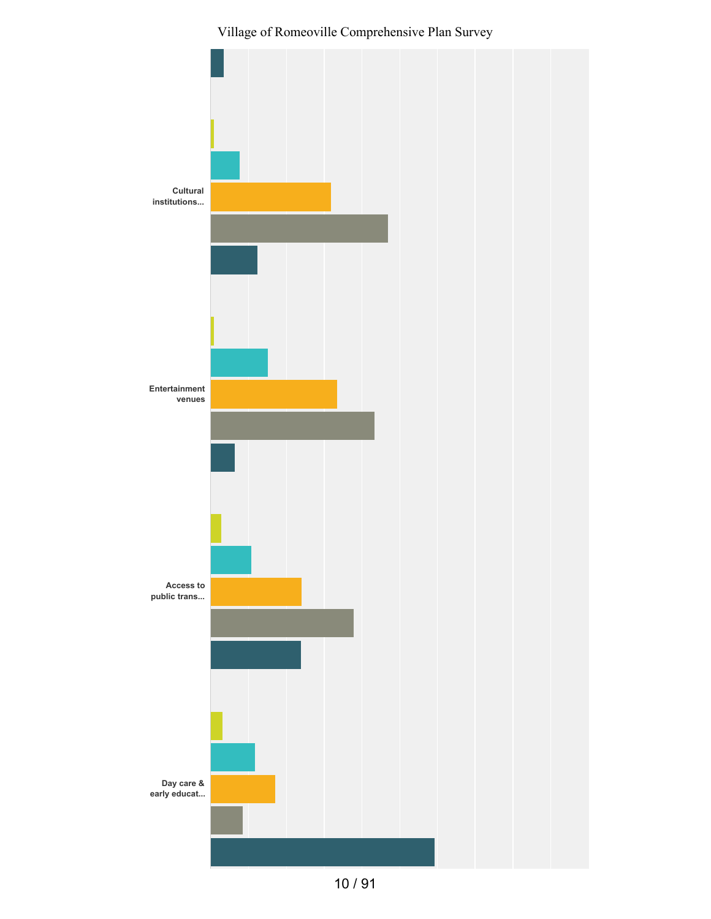

10 / 91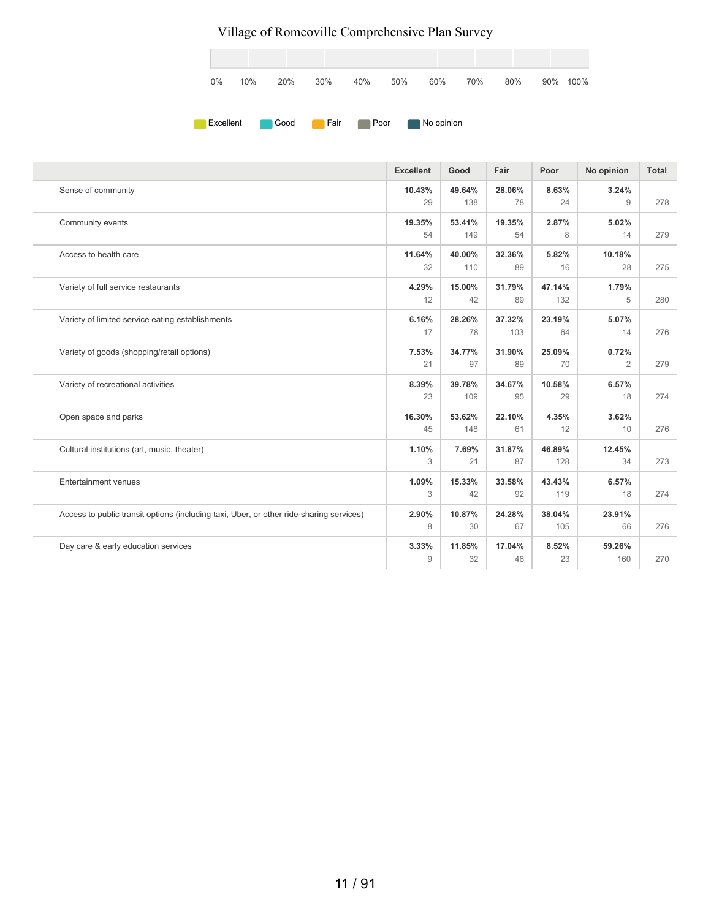

|                                                                                         | <b>Excellent</b> | Good          | Fair          | Poor          | No opinion              | <b>Total</b> |
|-----------------------------------------------------------------------------------------|------------------|---------------|---------------|---------------|-------------------------|--------------|
| Sense of community                                                                      | 10.43%<br>29     | 49.64%<br>138 | 28.06%<br>78  | 8.63%<br>24   | 3.24%<br>9              | 278          |
| Community events                                                                        | 19.35%<br>54     | 53.41%<br>149 | 19.35%<br>54  | 2.87%<br>8    | 5.02%<br>14             | 279          |
| Access to health care                                                                   | 11.64%<br>32     | 40.00%<br>110 | 32.36%<br>89  | 5.82%<br>16   | 10.18%<br>28            | 275          |
| Variety of full service restaurants                                                     | 4.29%<br>12      | 15.00%<br>42  | 31.79%<br>89  | 47.14%<br>132 | 1.79%<br>5              | 280          |
| Variety of limited service eating establishments                                        | 6.16%<br>17      | 28.26%<br>78  | 37.32%<br>103 | 23.19%<br>64  | 5.07%<br>14             | 276          |
| Variety of goods (shopping/retail options)                                              | 7.53%<br>21      | 34.77%<br>97  | 31.90%<br>89  | 25.09%<br>70  | 0.72%<br>$\overline{2}$ | 279          |
| Variety of recreational activities                                                      | 8.39%<br>23      | 39.78%<br>109 | 34.67%<br>95  | 10.58%<br>29  | 6.57%<br>18             | 274          |
| Open space and parks                                                                    | 16.30%<br>45     | 53.62%<br>148 | 22.10%<br>61  | 4.35%<br>12   | 3.62%<br>10             | 276          |
| Cultural institutions (art, music, theater)                                             | 1.10%<br>3       | 7.69%<br>21   | 31.87%<br>87  | 46.89%<br>128 | 12.45%<br>34            | 273          |
| <b>Entertainment venues</b>                                                             | 1.09%<br>3       | 15.33%<br>42  | 33.58%<br>92  | 43.43%<br>119 | 6.57%<br>18             | 274          |
| Access to public transit options (including taxi, Uber, or other ride-sharing services) | 2.90%<br>8       | 10.87%<br>30  | 24.28%<br>67  | 38.04%<br>105 | 23.91%<br>66            | 276          |
| Day care & early education services                                                     | 3.33%<br>9       | 11.85%<br>32  | 17.04%<br>46  | 8.52%<br>23   | 59.26%<br>160           | 270          |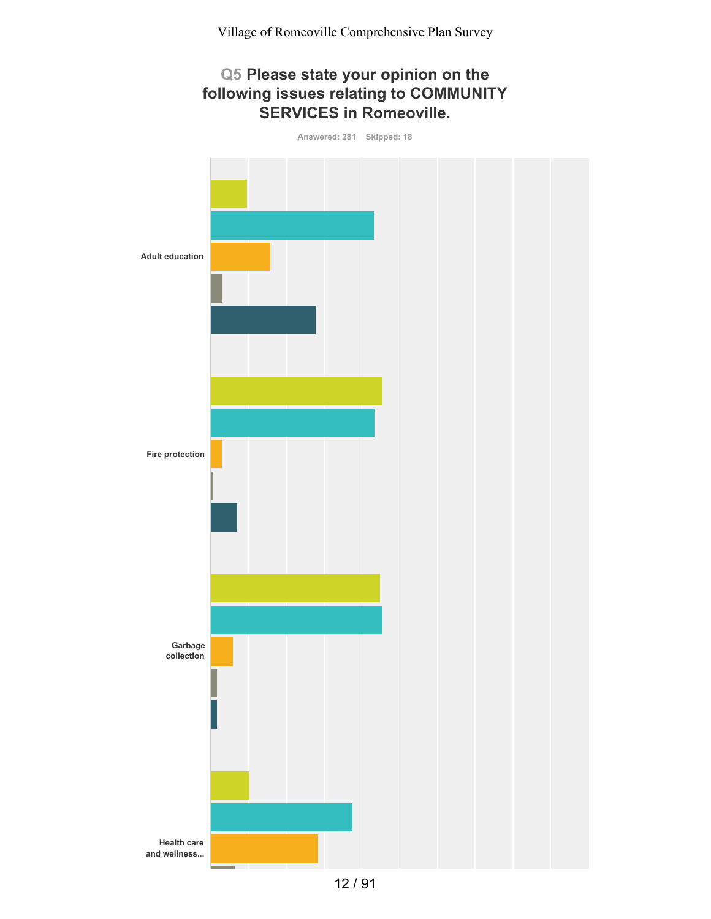### **Q5 Please state your opinion on the following issues relating to COMMUNITY SERVICES in Romeoville.**

**Answered: 281 Skipped: 18 Adult education Fire protection Garbage collection Health care and wellness...**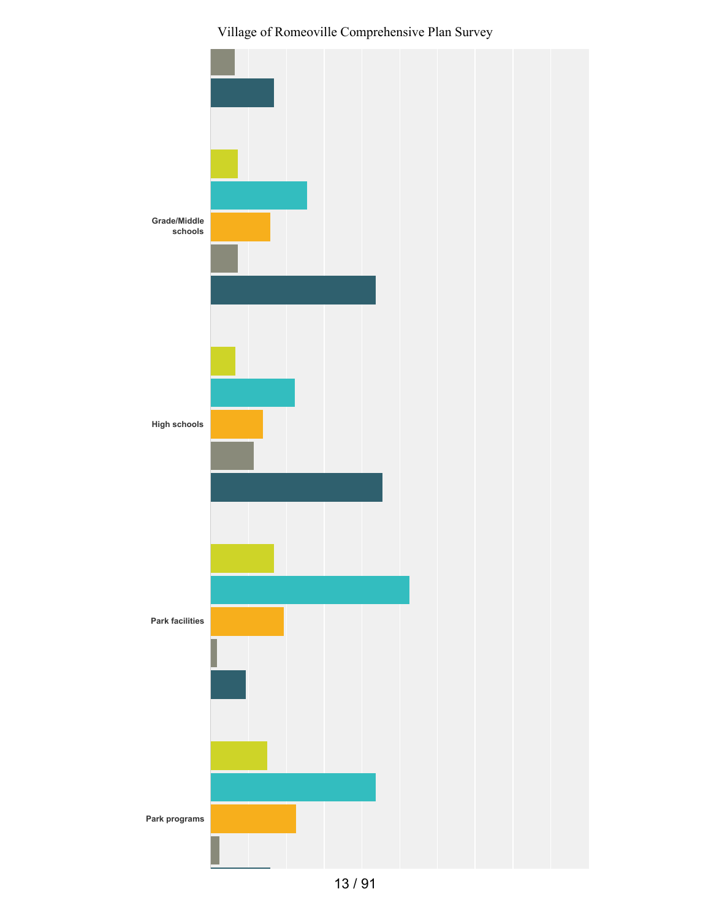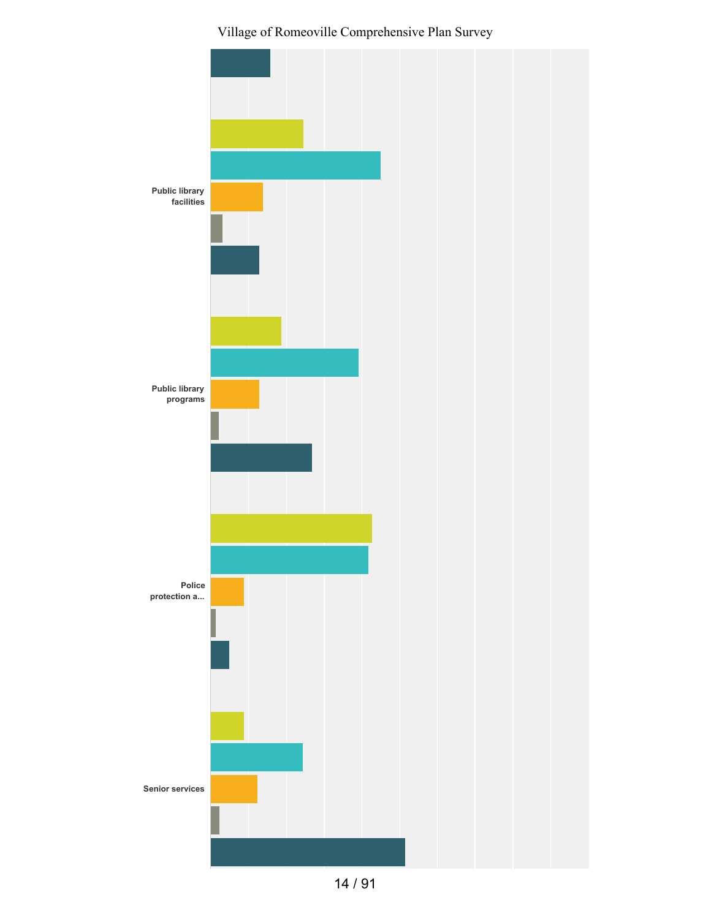

14 / 91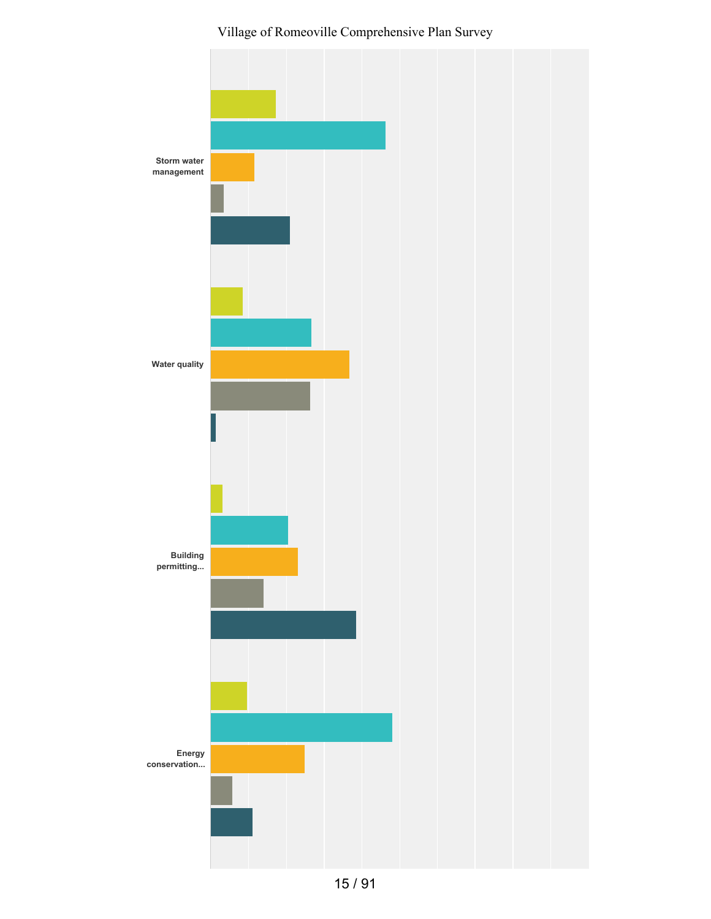Village of Romeoville Comprehensive Plan Survey

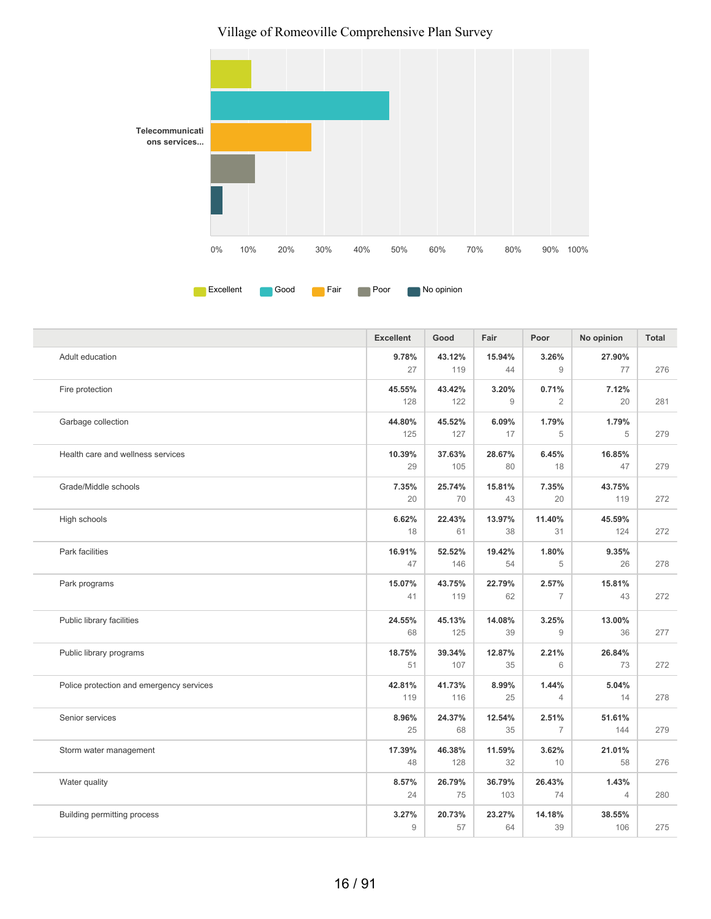

|                                          | <b>Excellent</b> | Good          | Fair          | Poor                    | No opinion              | <b>Total</b> |
|------------------------------------------|------------------|---------------|---------------|-------------------------|-------------------------|--------------|
| Adult education                          | 9.78%<br>27      | 43.12%<br>119 | 15.94%<br>44  | 3.26%<br>9              | 27.90%<br>77            | 276          |
| Fire protection                          | 45.55%<br>128    | 43.42%<br>122 | 3.20%<br>9    | 0.71%<br>$\overline{2}$ | 7.12%<br>20             | 281          |
| Garbage collection                       | 44.80%<br>125    | 45.52%<br>127 | 6.09%<br>17   | 1.79%<br>5              | 1.79%<br>5              | 279          |
| Health care and wellness services        | 10.39%<br>29     | 37.63%<br>105 | 28.67%<br>80  | 6.45%<br>18             | 16.85%<br>47            | 279          |
| Grade/Middle schools                     | 7.35%<br>20      | 25.74%<br>70  | 15.81%<br>43  | 7.35%<br>20             | 43.75%<br>119           | 272          |
| High schools                             | 6.62%<br>18      | 22.43%<br>61  | 13.97%<br>38  | 11.40%<br>31            | 45.59%<br>124           | 272          |
| Park facilities                          | 16.91%<br>47     | 52.52%<br>146 | 19.42%<br>54  | 1.80%<br>5              | 9.35%<br>26             | 278          |
| Park programs                            | 15.07%<br>41     | 43.75%<br>119 | 22.79%<br>62  | 2.57%<br>$\overline{7}$ | 15.81%<br>43            | 272          |
| Public library facilities                | 24.55%<br>68     | 45.13%<br>125 | 14.08%<br>39  | 3.25%<br>9              | 13.00%<br>36            | 277          |
| Public library programs                  | 18.75%<br>51     | 39.34%<br>107 | 12.87%<br>35  | 2.21%<br>6              | 26.84%<br>73            | 272          |
| Police protection and emergency services | 42.81%<br>119    | 41.73%<br>116 | 8.99%<br>25   | 1.44%<br>4              | 5.04%<br>14             | 278          |
| Senior services                          | 8.96%<br>25      | 24.37%<br>68  | 12.54%<br>35  | 2.51%<br>$\overline{7}$ | 51.61%<br>144           | 279          |
| Storm water management                   | 17.39%<br>48     | 46.38%<br>128 | 11.59%<br>32  | 3.62%<br>10             | 21.01%<br>58            | 276          |
| Water quality                            | 8.57%<br>24      | 26.79%<br>75  | 36.79%<br>103 | 26.43%<br>74            | 1.43%<br>$\overline{4}$ | 280          |
| Building permitting process              | 3.27%<br>9       | 20.73%<br>57  | 23.27%<br>64  | 14.18%<br>39            | 38.55%<br>106           | 275          |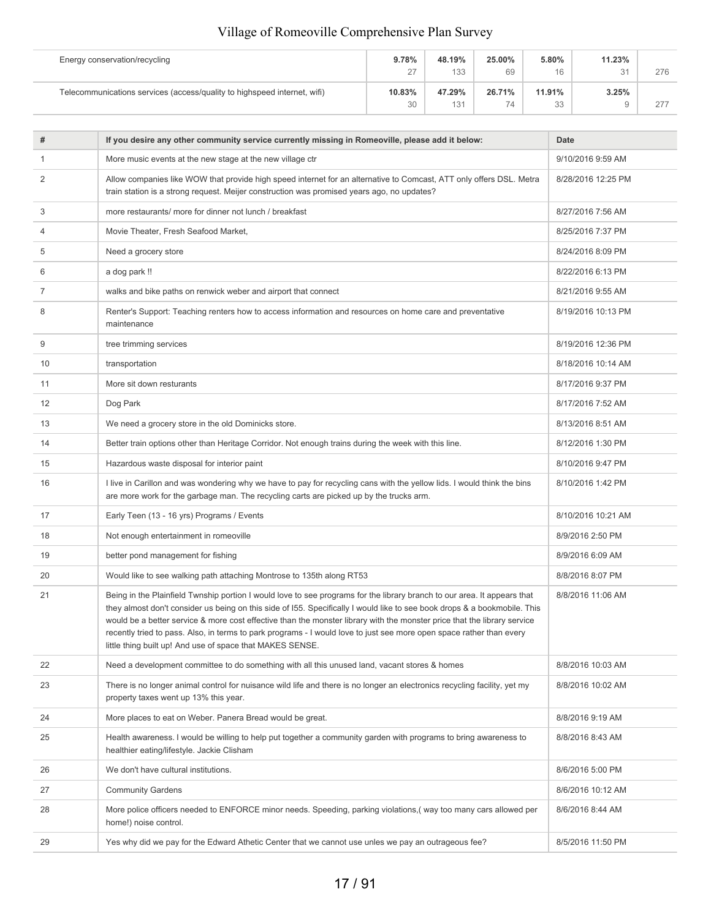| Energy conservation/recycling                                            | 9.78%            | 48.19% | 25.00% | 5.80%    | 11.23% |     |
|--------------------------------------------------------------------------|------------------|--------|--------|----------|--------|-----|
|                                                                          | 27<br>$\epsilon$ | 133    | 69     | 16       | 31     | 276 |
| Telecommunications services (access/quality to highspeed internet, wifi) | 10.83%           | 47.29% | 26.71% | 11.91%   | 3.25%  |     |
|                                                                          | 30               | 131    | 74     | 22<br>აა |        | 277 |

| #  | If you desire any other community service currently missing in Romeoville, please add it below:                                                                                                                                                                                                                                                                                                                                                                                                                                                                        | Date               |
|----|------------------------------------------------------------------------------------------------------------------------------------------------------------------------------------------------------------------------------------------------------------------------------------------------------------------------------------------------------------------------------------------------------------------------------------------------------------------------------------------------------------------------------------------------------------------------|--------------------|
| 1  | More music events at the new stage at the new village ctr                                                                                                                                                                                                                                                                                                                                                                                                                                                                                                              | 9/10/2016 9:59 AM  |
| 2  | Allow companies like WOW that provide high speed internet for an alternative to Comcast, ATT only offers DSL. Metra<br>train station is a strong request. Meijer construction was promised years ago, no updates?                                                                                                                                                                                                                                                                                                                                                      | 8/28/2016 12:25 PM |
| 3  | more restaurants/ more for dinner not lunch / breakfast                                                                                                                                                                                                                                                                                                                                                                                                                                                                                                                | 8/27/2016 7:56 AM  |
| 4  | Movie Theater, Fresh Seafood Market,                                                                                                                                                                                                                                                                                                                                                                                                                                                                                                                                   | 8/25/2016 7:37 PM  |
| 5  | Need a grocery store                                                                                                                                                                                                                                                                                                                                                                                                                                                                                                                                                   | 8/24/2016 8:09 PM  |
| 6  | a dog park !!                                                                                                                                                                                                                                                                                                                                                                                                                                                                                                                                                          | 8/22/2016 6:13 PM  |
| 7  | walks and bike paths on renwick weber and airport that connect                                                                                                                                                                                                                                                                                                                                                                                                                                                                                                         | 8/21/2016 9:55 AM  |
| 8  | Renter's Support: Teaching renters how to access information and resources on home care and preventative<br>maintenance                                                                                                                                                                                                                                                                                                                                                                                                                                                | 8/19/2016 10:13 PM |
| 9  | tree trimming services                                                                                                                                                                                                                                                                                                                                                                                                                                                                                                                                                 | 8/19/2016 12:36 PM |
| 10 | transportation                                                                                                                                                                                                                                                                                                                                                                                                                                                                                                                                                         | 8/18/2016 10:14 AM |
| 11 | More sit down resturants                                                                                                                                                                                                                                                                                                                                                                                                                                                                                                                                               | 8/17/2016 9:37 PM  |
| 12 | Dog Park                                                                                                                                                                                                                                                                                                                                                                                                                                                                                                                                                               | 8/17/2016 7:52 AM  |
| 13 | We need a grocery store in the old Dominicks store.                                                                                                                                                                                                                                                                                                                                                                                                                                                                                                                    | 8/13/2016 8:51 AM  |
| 14 | Better train options other than Heritage Corridor. Not enough trains during the week with this line.                                                                                                                                                                                                                                                                                                                                                                                                                                                                   | 8/12/2016 1:30 PM  |
| 15 | Hazardous waste disposal for interior paint                                                                                                                                                                                                                                                                                                                                                                                                                                                                                                                            | 8/10/2016 9:47 PM  |
| 16 | I live in Carillon and was wondering why we have to pay for recycling cans with the yellow lids. I would think the bins<br>are more work for the garbage man. The recycling carts are picked up by the trucks arm.                                                                                                                                                                                                                                                                                                                                                     | 8/10/2016 1:42 PM  |
| 17 | Early Teen (13 - 16 yrs) Programs / Events                                                                                                                                                                                                                                                                                                                                                                                                                                                                                                                             | 8/10/2016 10:21 AM |
| 18 | Not enough entertainment in romeoville                                                                                                                                                                                                                                                                                                                                                                                                                                                                                                                                 | 8/9/2016 2:50 PM   |
| 19 | better pond management for fishing                                                                                                                                                                                                                                                                                                                                                                                                                                                                                                                                     | 8/9/2016 6:09 AM   |
| 20 | Would like to see walking path attaching Montrose to 135th along RT53                                                                                                                                                                                                                                                                                                                                                                                                                                                                                                  | 8/8/2016 8:07 PM   |
| 21 | Being in the Plainfield Twnship portion I would love to see programs for the library branch to our area. It appears that<br>they almost don't consider us being on this side of I55. Specifically I would like to see book drops & a bookmobile. This<br>would be a better service & more cost effective than the monster library with the monster price that the library service<br>recently tried to pass. Also, in terms to park programs - I would love to just see more open space rather than every<br>little thing built up! And use of space that MAKES SENSE. | 8/8/2016 11:06 AM  |
| 22 | Need a development committee to do something with all this unused land, vacant stores & homes                                                                                                                                                                                                                                                                                                                                                                                                                                                                          | 8/8/2016 10:03 AM  |
| 23 | There is no longer animal control for nuisance wild life and there is no longer an electronics recycling facility, yet my<br>property taxes went up 13% this year.                                                                                                                                                                                                                                                                                                                                                                                                     | 8/8/2016 10:02 AM  |
| 24 | More places to eat on Weber. Panera Bread would be great.                                                                                                                                                                                                                                                                                                                                                                                                                                                                                                              | 8/8/2016 9:19 AM   |
| 25 | Health awareness. I would be willing to help put together a community garden with programs to bring awareness to<br>healthier eating/lifestyle. Jackie Clisham                                                                                                                                                                                                                                                                                                                                                                                                         | 8/8/2016 8:43 AM   |
| 26 | We don't have cultural institutions.                                                                                                                                                                                                                                                                                                                                                                                                                                                                                                                                   | 8/6/2016 5:00 PM   |
| 27 | <b>Community Gardens</b>                                                                                                                                                                                                                                                                                                                                                                                                                                                                                                                                               | 8/6/2016 10:12 AM  |
| 28 | More police officers needed to ENFORCE minor needs. Speeding, parking violations, (way too many cars allowed per<br>home!) noise control.                                                                                                                                                                                                                                                                                                                                                                                                                              | 8/6/2016 8:44 AM   |
| 29 | Yes why did we pay for the Edward Athetic Center that we cannot use unles we pay an outrageous fee?                                                                                                                                                                                                                                                                                                                                                                                                                                                                    | 8/5/2016 11:50 PM  |
|    |                                                                                                                                                                                                                                                                                                                                                                                                                                                                                                                                                                        |                    |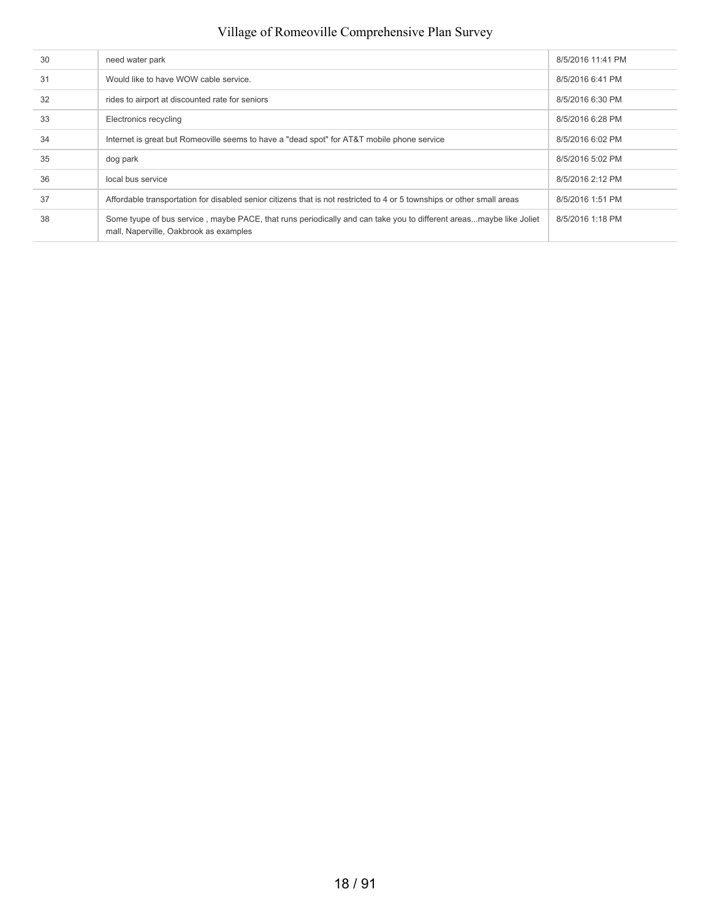| 30 | need water park                                                                                                                                              | 8/5/2016 11:41 PM |
|----|--------------------------------------------------------------------------------------------------------------------------------------------------------------|-------------------|
| 31 | Would like to have WOW cable service.                                                                                                                        | 8/5/2016 6:41 PM  |
| 32 | rides to airport at discounted rate for seniors                                                                                                              | 8/5/2016 6:30 PM  |
| 33 | Electronics recycling                                                                                                                                        | 8/5/2016 6:28 PM  |
| 34 | Internet is great but Romeoville seems to have a "dead spot" for AT&T mobile phone service                                                                   | 8/5/2016 6:02 PM  |
| 35 | dog park                                                                                                                                                     | 8/5/2016 5:02 PM  |
| 36 | local bus service                                                                                                                                            | 8/5/2016 2:12 PM  |
| 37 | Affordable transportation for disabled senior citizens that is not restricted to 4 or 5 townships or other small areas                                       | 8/5/2016 1:51 PM  |
| 38 | Some tyupe of bus service, maybe PACE, that runs periodically and can take you to different areasmaybe like Joliet<br>mall, Naperville, Oakbrook as examples | 8/5/2016 1:18 PM  |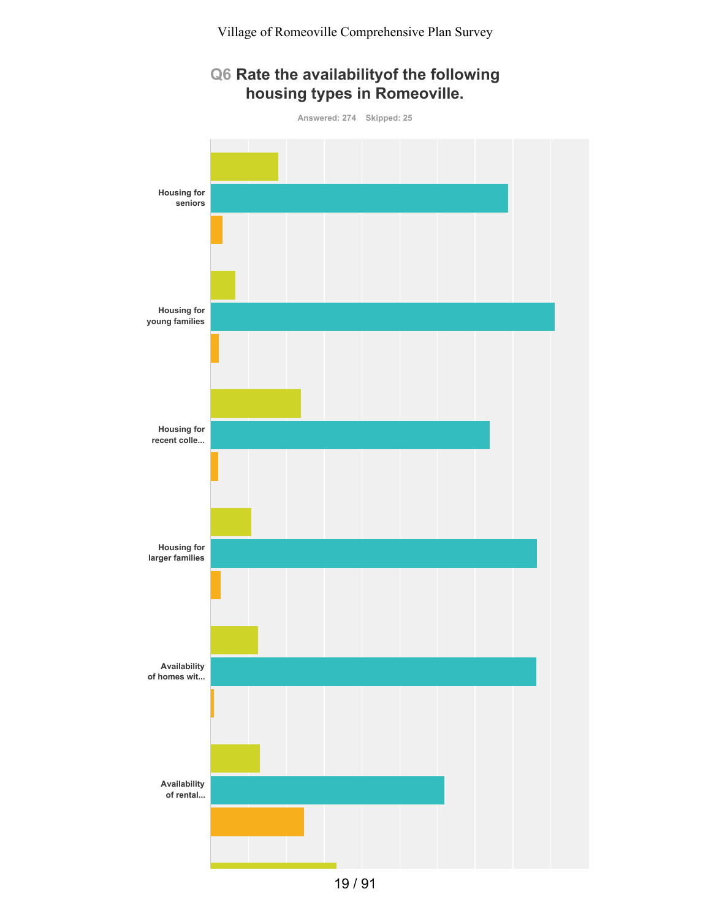### **Q6 Rate the availabilityof the following housing types in Romeoville.**

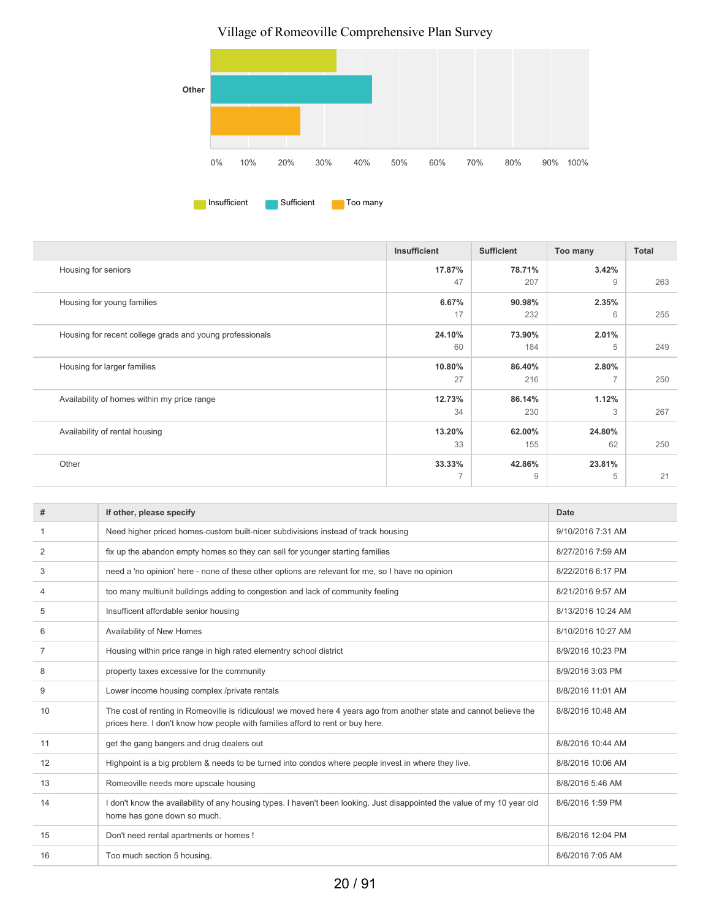

|                                                          | Insufficient | <b>Sufficient</b> | Too many       | Total |
|----------------------------------------------------------|--------------|-------------------|----------------|-------|
| Housing for seniors                                      | 17.87%       | 78.71%            | 3.42%          |       |
|                                                          | 47           | 207               | 9              | 263   |
| Housing for young families                               | 6.67%        | 90.98%            | 2.35%          |       |
|                                                          | 17           | 232               | 6              | 255   |
| Housing for recent college grads and young professionals | 24.10%       | 73.90%            | 2.01%          |       |
|                                                          | 60           | 184               | 5              | 249   |
| Housing for larger families                              | 10.80%       | 86.40%            | 2.80%          |       |
|                                                          | 27           | 216               | $\overline{7}$ | 250   |
| Availability of homes within my price range              | 12.73%       | 86.14%            | 1.12%          |       |
|                                                          | 34           | 230               | 3              | 267   |
| Availability of rental housing                           | 13.20%       | 62.00%            | 24.80%         |       |
|                                                          | 33           | 155               | 62             | 250   |
| Other                                                    | 33.33%       | 42.86%            | 23.81%         |       |
|                                                          | 7            | 9                 | 5              | 21    |

| #  | If other, please specify                                                                                                                                                                               | Date               |
|----|--------------------------------------------------------------------------------------------------------------------------------------------------------------------------------------------------------|--------------------|
| -1 | Need higher priced homes-custom built-nicer subdivisions instead of track housing                                                                                                                      | 9/10/2016 7:31 AM  |
| 2  | fix up the abandon empty homes so they can sell for younger starting families                                                                                                                          | 8/27/2016 7:59 AM  |
| 3  | need a 'no opinion' here - none of these other options are relevant for me, so I have no opinion                                                                                                       | 8/22/2016 6:17 PM  |
| 4  | too many multiunit buildings adding to congestion and lack of community feeling                                                                                                                        | 8/21/2016 9:57 AM  |
| 5  | Insufficent affordable senior housing                                                                                                                                                                  | 8/13/2016 10:24 AM |
| 6  | Availability of New Homes                                                                                                                                                                              | 8/10/2016 10:27 AM |
| 7  | Housing within price range in high rated elementry school district                                                                                                                                     | 8/9/2016 10:23 PM  |
| 8  | property taxes excessive for the community                                                                                                                                                             | 8/9/2016 3:03 PM   |
| 9  | Lower income housing complex /private rentals                                                                                                                                                          | 8/8/2016 11:01 AM  |
| 10 | The cost of renting in Romeoville is ridiculous! we moved here 4 years ago from another state and cannot believe the<br>prices here. I don't know how people with families afford to rent or buy here. | 8/8/2016 10:48 AM  |
| 11 | get the gang bangers and drug dealers out                                                                                                                                                              | 8/8/2016 10:44 AM  |
| 12 | Highpoint is a big problem & needs to be turned into condos where people invest in where they live.                                                                                                    | 8/8/2016 10:06 AM  |
| 13 | Romeoville needs more upscale housing                                                                                                                                                                  | 8/8/2016 5:46 AM   |
| 14 | I don't know the availability of any housing types. I haven't been looking. Just disappointed the value of my 10 year old<br>home has gone down so much.                                               | 8/6/2016 1:59 PM   |
| 15 | Don't need rental apartments or homes !                                                                                                                                                                | 8/6/2016 12:04 PM  |
| 16 | Too much section 5 housing.                                                                                                                                                                            | 8/6/2016 7:05 AM   |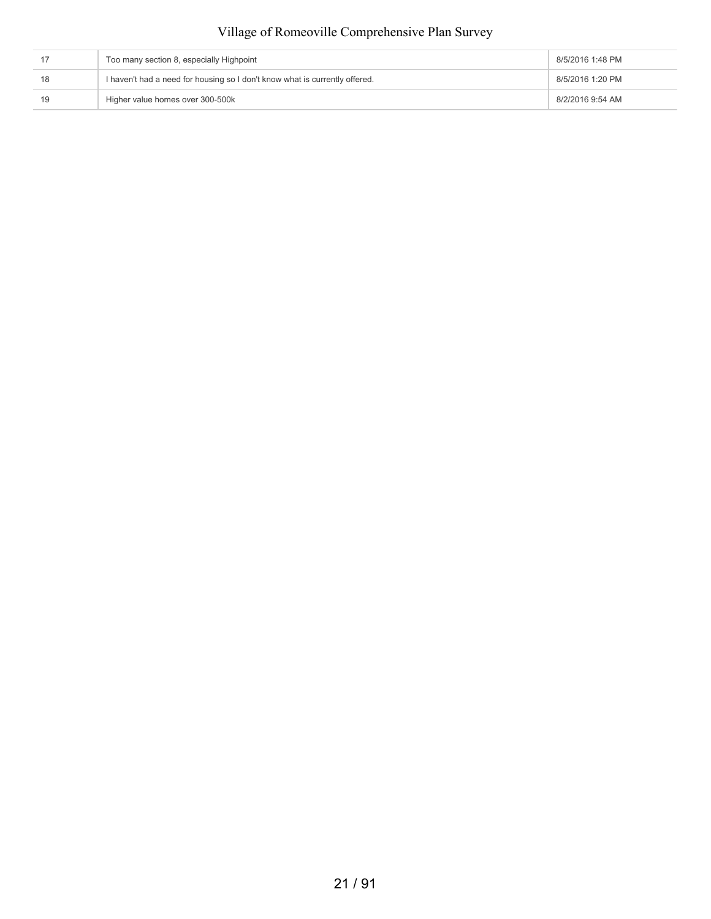| Too many section 8, especially Highpoint                                    | 8/5/2016 1:48 PM |
|-----------------------------------------------------------------------------|------------------|
| I haven't had a need for housing so I don't know what is currently offered. | 8/5/2016 1:20 PM |
| Higher value homes over 300-500k                                            | 8/2/2016 9:54 AM |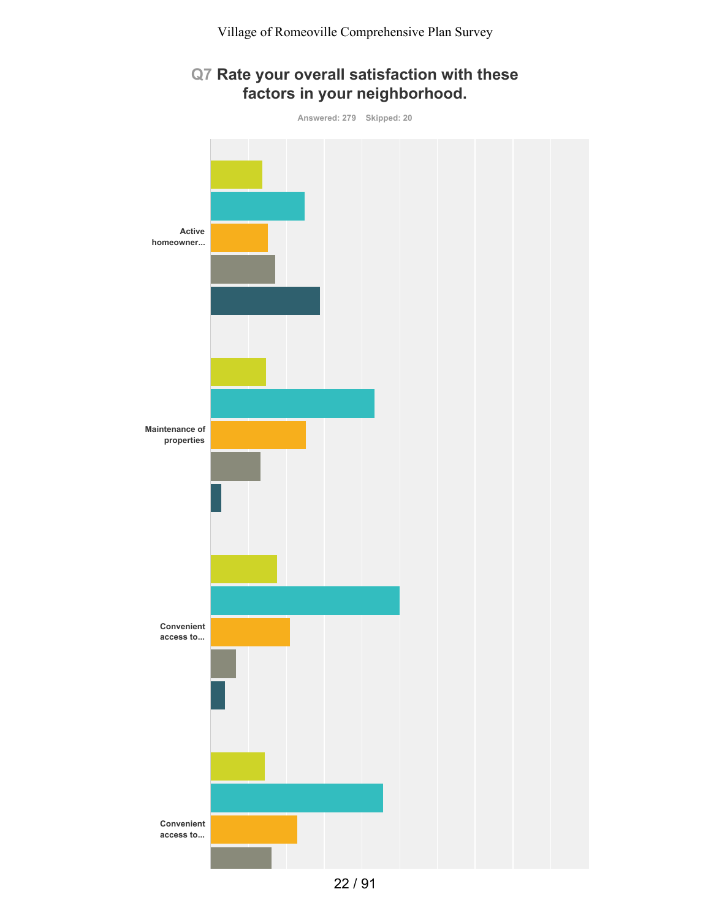# **Q7 Rate your overall satisfaction with these factors in your neighborhood.**

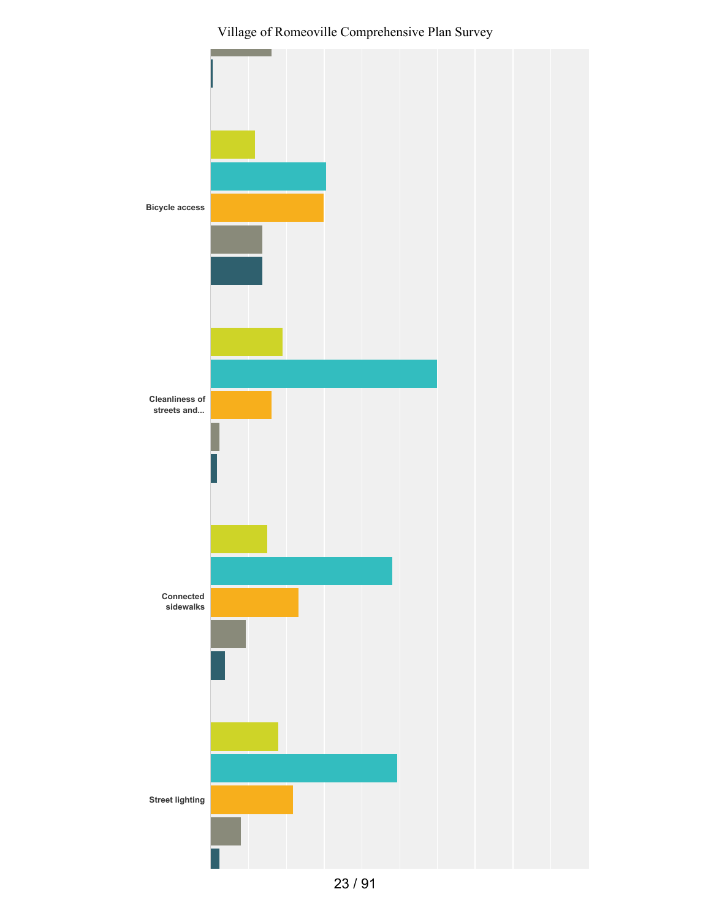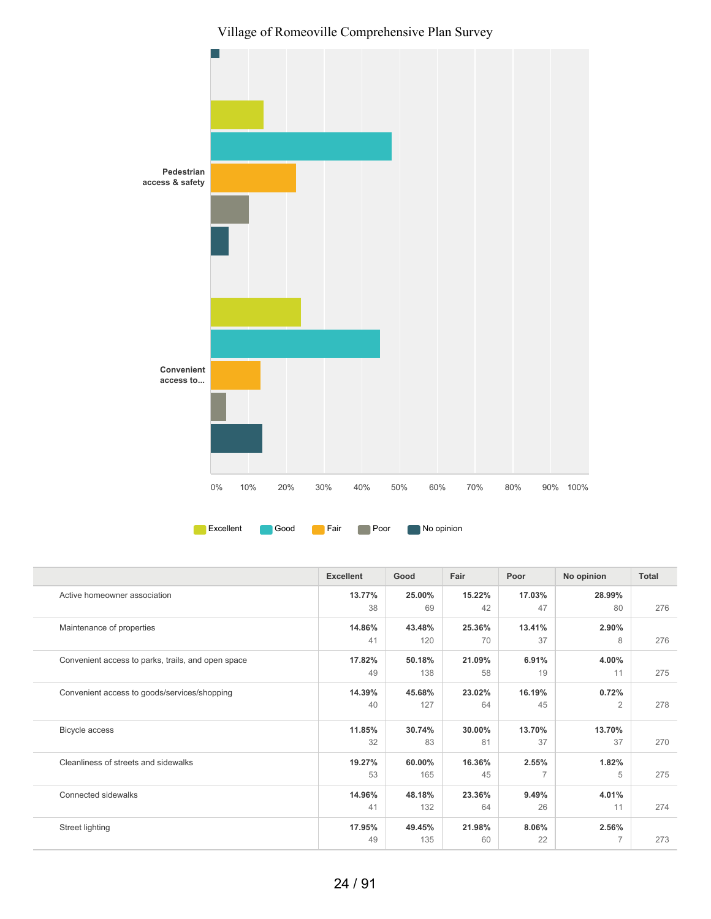

|                                                    | <b>Excellent</b> | Good   | Fair   | Poor           | No opinion     | Total |
|----------------------------------------------------|------------------|--------|--------|----------------|----------------|-------|
| Active homeowner association                       | 13.77%           | 25.00% | 15.22% | 17.03%         | 28.99%         |       |
|                                                    | 38               | 69     | 42     | 47             | 80             | 276   |
| Maintenance of properties                          | 14.86%           | 43.48% | 25.36% | 13.41%         | 2.90%          |       |
|                                                    | 41               | 120    | 70     | 37             | 8              | 276   |
| Convenient access to parks, trails, and open space | 17.82%           | 50.18% | 21.09% | 6.91%          | 4.00%          |       |
|                                                    | 49               | 138    | 58     | 19             | 11             | 275   |
| Convenient access to goods/services/shopping       | 14.39%           | 45.68% | 23.02% | 16.19%         | 0.72%          |       |
|                                                    | 40               | 127    | 64     | 45             | $\overline{2}$ | 278   |
| Bicycle access                                     | 11.85%           | 30.74% | 30.00% | 13.70%         | 13.70%         |       |
|                                                    | 32               | 83     | 81     | 37             | 37             | 270   |
| Cleanliness of streets and sidewalks               | 19.27%           | 60.00% | 16.36% | 2.55%          | 1.82%          |       |
|                                                    | 53               | 165    | 45     | $\overline{7}$ | 5              | 275   |
| Connected sidewalks                                | 14.96%           | 48.18% | 23.36% | 9.49%          | 4.01%          |       |
|                                                    | 41               | 132    | 64     | 26             | 11             | 274   |
| Street lighting                                    | 17.95%           | 49.45% | 21.98% | 8.06%          | 2.56%          |       |
|                                                    | 49               | 135    | 60     | 22             | $\overline{7}$ | 273   |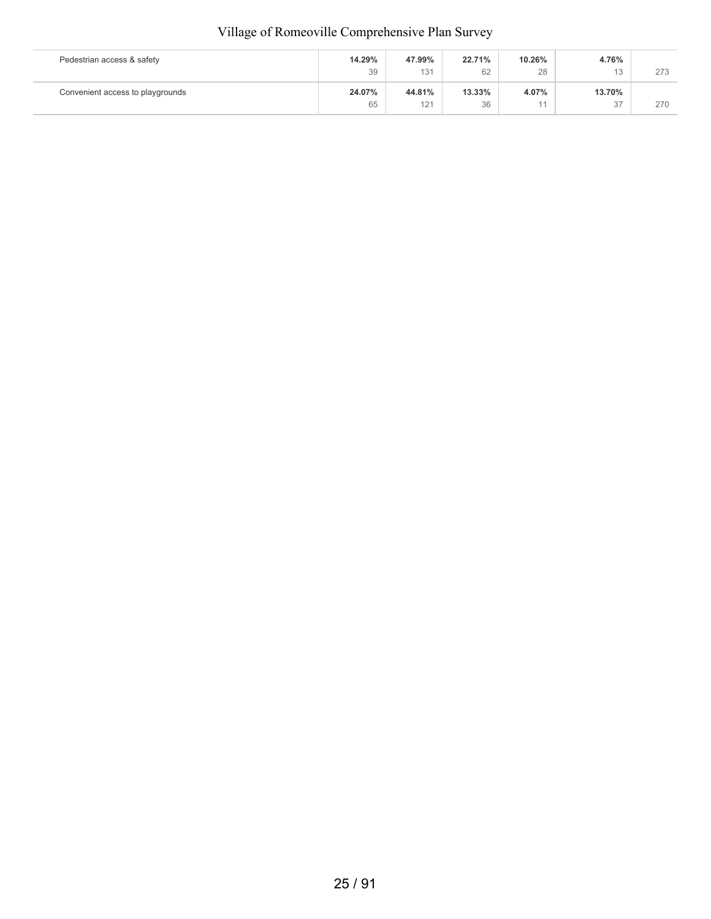| Pedestrian access & safety       | 14.29% | 47.99% | 22.71% | 10.26%         | 4.76%  |     |
|----------------------------------|--------|--------|--------|----------------|--------|-----|
|                                  | 39     | 131    | 62     | 28             | 13     | 273 |
| Convenient access to playgrounds | 24.07% | 44.81% | 13.33% | 4.07%          | 13.70% |     |
|                                  | 65     | 121    | 36     | 4 <sub>4</sub> | 37     | 270 |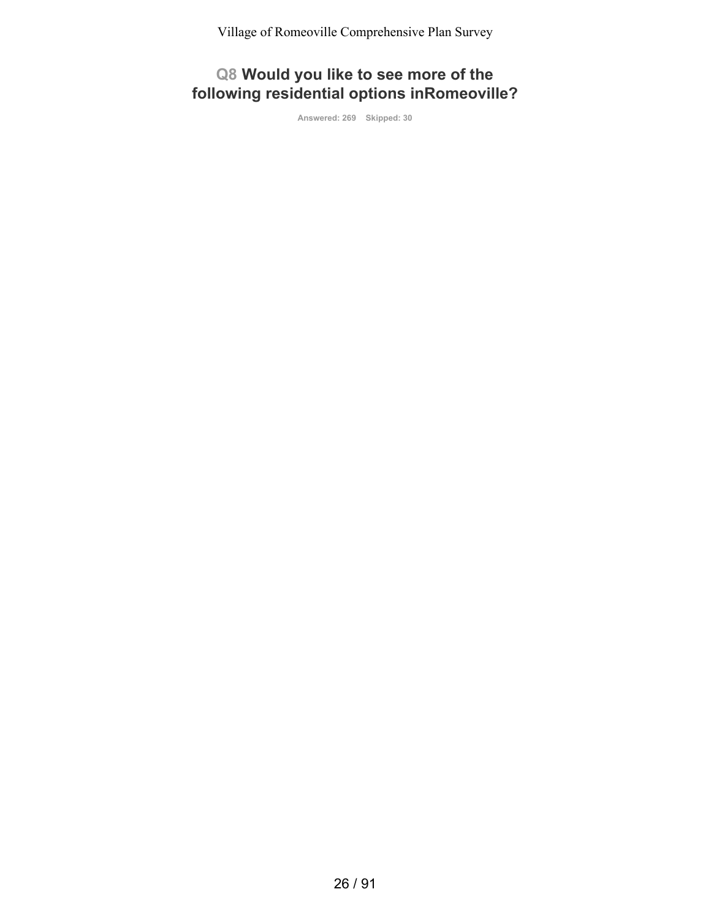**Q8 Would you like to see more of the following residential options inRomeoville?**

**Answered: 269 Skipped: 30**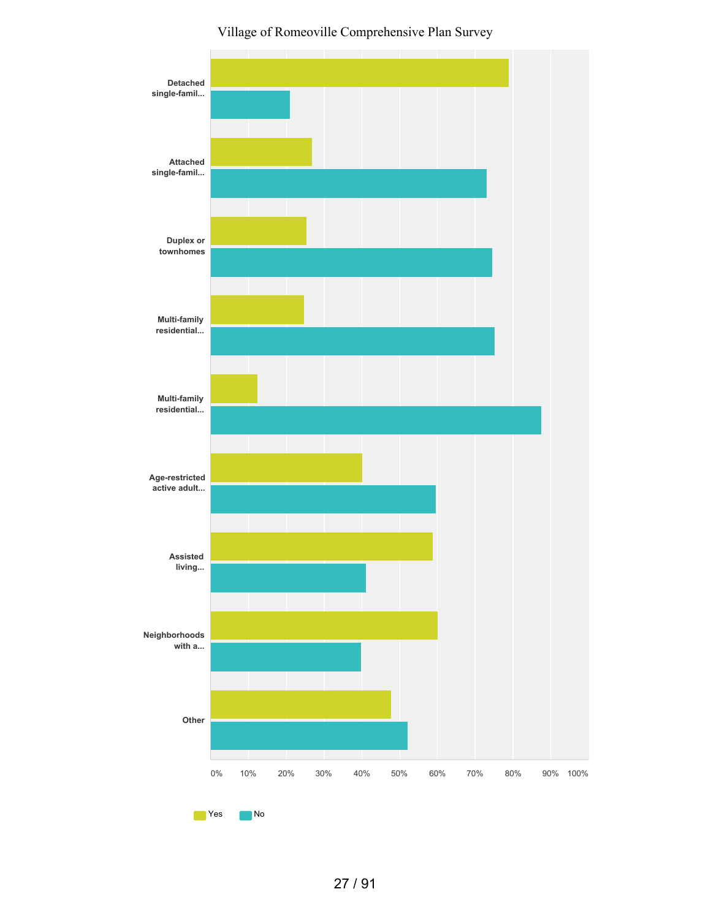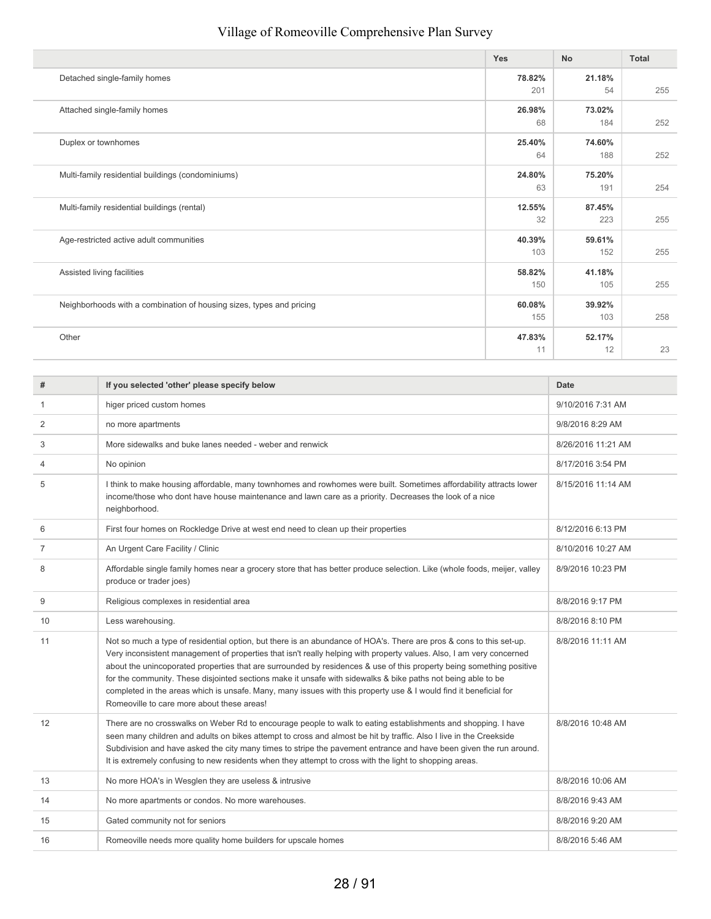|                                                                      | <b>Yes</b>    | <b>No</b>     | <b>Total</b> |
|----------------------------------------------------------------------|---------------|---------------|--------------|
| Detached single-family homes                                         | 78.82%<br>201 | 21.18%<br>54  | 255          |
| Attached single-family homes                                         | 26.98%<br>68  | 73.02%<br>184 | 252          |
| Duplex or townhomes                                                  | 25.40%<br>64  | 74.60%<br>188 | 252          |
| Multi-family residential buildings (condominiums)                    | 24.80%<br>63  | 75.20%<br>191 | 254          |
| Multi-family residential buildings (rental)                          | 12.55%<br>32  | 87.45%<br>223 | 255          |
| Age-restricted active adult communities                              | 40.39%<br>103 | 59.61%<br>152 | 255          |
| Assisted living facilities                                           | 58.82%<br>150 | 41.18%<br>105 | 255          |
| Neighborhoods with a combination of housing sizes, types and pricing | 60.08%<br>155 | 39.92%<br>103 | 258          |
| Other                                                                | 47.83%<br>11  | 52.17%<br>12  | 23           |

| #              | If you selected 'other' please specify below                                                                                                                                                                                                                                                                                                                                                                                                                                                                                                                                                                                                           | Date               |
|----------------|--------------------------------------------------------------------------------------------------------------------------------------------------------------------------------------------------------------------------------------------------------------------------------------------------------------------------------------------------------------------------------------------------------------------------------------------------------------------------------------------------------------------------------------------------------------------------------------------------------------------------------------------------------|--------------------|
| -1             | higer priced custom homes                                                                                                                                                                                                                                                                                                                                                                                                                                                                                                                                                                                                                              | 9/10/2016 7:31 AM  |
| 2              | no more apartments                                                                                                                                                                                                                                                                                                                                                                                                                                                                                                                                                                                                                                     | 9/8/2016 8:29 AM   |
| 3              | More sidewalks and buke lanes needed - weber and renwick                                                                                                                                                                                                                                                                                                                                                                                                                                                                                                                                                                                               | 8/26/2016 11:21 AM |
| 4              | No opinion                                                                                                                                                                                                                                                                                                                                                                                                                                                                                                                                                                                                                                             | 8/17/2016 3:54 PM  |
| 5              | I think to make housing affordable, many townhomes and rowhomes were built. Sometimes affordability attracts lower<br>income/those who dont have house maintenance and lawn care as a priority. Decreases the look of a nice<br>neighborhood.                                                                                                                                                                                                                                                                                                                                                                                                          | 8/15/2016 11:14 AM |
| 6              | First four homes on Rockledge Drive at west end need to clean up their properties                                                                                                                                                                                                                                                                                                                                                                                                                                                                                                                                                                      | 8/12/2016 6:13 PM  |
| $\overline{7}$ | An Urgent Care Facility / Clinic                                                                                                                                                                                                                                                                                                                                                                                                                                                                                                                                                                                                                       | 8/10/2016 10:27 AM |
| 8              | Affordable single family homes near a grocery store that has better produce selection. Like (whole foods, meijer, valley<br>produce or trader joes)                                                                                                                                                                                                                                                                                                                                                                                                                                                                                                    | 8/9/2016 10:23 PM  |
| 9              | Religious complexes in residential area                                                                                                                                                                                                                                                                                                                                                                                                                                                                                                                                                                                                                | 8/8/2016 9:17 PM   |
| 10             | Less warehousing.                                                                                                                                                                                                                                                                                                                                                                                                                                                                                                                                                                                                                                      | 8/8/2016 8:10 PM   |
| 11             | Not so much a type of residential option, but there is an abundance of HOA's. There are pros & cons to this set-up.<br>Very inconsistent management of properties that isn't really helping with property values. Also, I am very concerned<br>about the unincoporated properties that are surrounded by residences & use of this property being something positive<br>for the community. These disjointed sections make it unsafe with sidewalks & bike paths not being able to be<br>completed in the areas which is unsafe. Many, many issues with this property use & I would find it beneficial for<br>Romeoville to care more about these areas! | 8/8/2016 11:11 AM  |
| 12             | There are no crosswalks on Weber Rd to encourage people to walk to eating establishments and shopping. I have<br>seen many children and adults on bikes attempt to cross and almost be hit by traffic. Also I live in the Creekside<br>Subdivision and have asked the city many times to stripe the pavement entrance and have been given the run around.<br>It is extremely confusing to new residents when they attempt to cross with the light to shopping areas.                                                                                                                                                                                   | 8/8/2016 10:48 AM  |
| 13             | No more HOA's in Wesglen they are useless & intrusive                                                                                                                                                                                                                                                                                                                                                                                                                                                                                                                                                                                                  | 8/8/2016 10:06 AM  |
| 14             | No more apartments or condos. No more warehouses.                                                                                                                                                                                                                                                                                                                                                                                                                                                                                                                                                                                                      | 8/8/2016 9:43 AM   |
| 15             | Gated community not for seniors                                                                                                                                                                                                                                                                                                                                                                                                                                                                                                                                                                                                                        | 8/8/2016 9:20 AM   |
| 16             | Romeoville needs more quality home builders for upscale homes                                                                                                                                                                                                                                                                                                                                                                                                                                                                                                                                                                                          | 8/8/2016 5:46 AM   |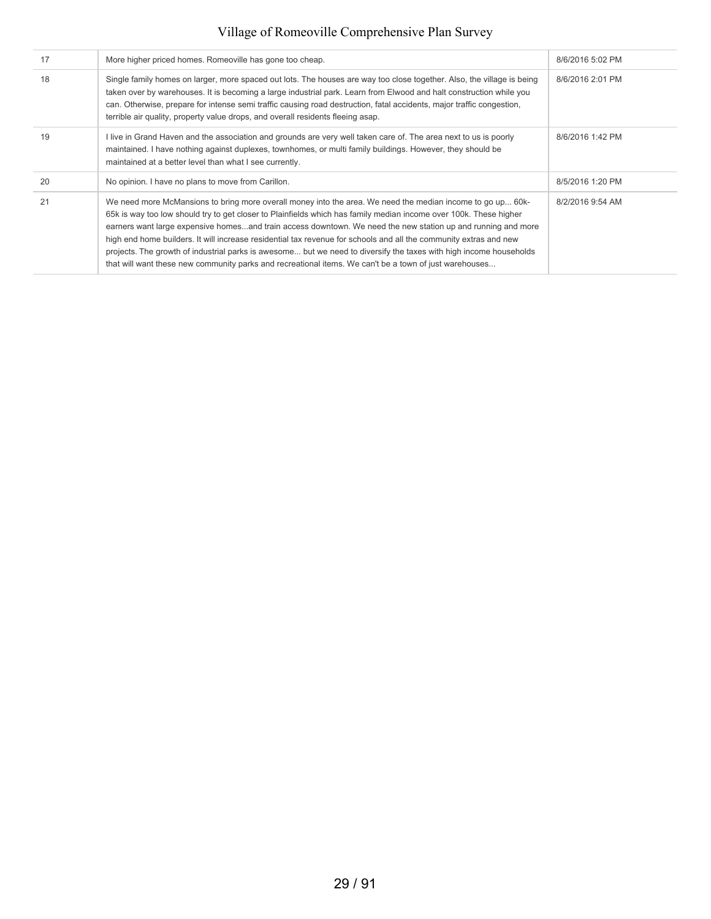| 17 | More higher priced homes. Romeoville has gone too cheap.                                                                                                                                                                                                                                                                                                                                                                                                                                                                                                                                                                                                                                             | 8/6/2016 5:02 PM |
|----|------------------------------------------------------------------------------------------------------------------------------------------------------------------------------------------------------------------------------------------------------------------------------------------------------------------------------------------------------------------------------------------------------------------------------------------------------------------------------------------------------------------------------------------------------------------------------------------------------------------------------------------------------------------------------------------------------|------------------|
| 18 | Single family homes on larger, more spaced out lots. The houses are way too close together. Also, the village is being<br>taken over by warehouses. It is becoming a large industrial park. Learn from Elwood and halt construction while you<br>can. Otherwise, prepare for intense semi traffic causing road destruction, fatal accidents, major traffic congestion,<br>terrible air quality, property value drops, and overall residents fleeing asap.                                                                                                                                                                                                                                            | 8/6/2016 2:01 PM |
| 19 | I live in Grand Haven and the association and grounds are very well taken care of. The area next to us is poorly<br>maintained. I have nothing against duplexes, townhomes, or multi family buildings. However, they should be<br>maintained at a better level than what I see currently.                                                                                                                                                                                                                                                                                                                                                                                                            | 8/6/2016 1:42 PM |
| 20 | No opinion. I have no plans to move from Carillon.                                                                                                                                                                                                                                                                                                                                                                                                                                                                                                                                                                                                                                                   | 8/5/2016 1:20 PM |
| 21 | We need more McMansions to bring more overall money into the area. We need the median income to go up 60k-<br>65k is way too low should try to get closer to Plainfields which has family median income over 100k. These higher<br>earners want large expensive homesand train access downtown. We need the new station up and running and more<br>high end home builders. It will increase residential tax revenue for schools and all the community extras and new<br>projects. The growth of industrial parks is awesome but we need to diversify the taxes with high income households<br>that will want these new community parks and recreational items. We can't be a town of just warehouses | 8/2/2016 9:54 AM |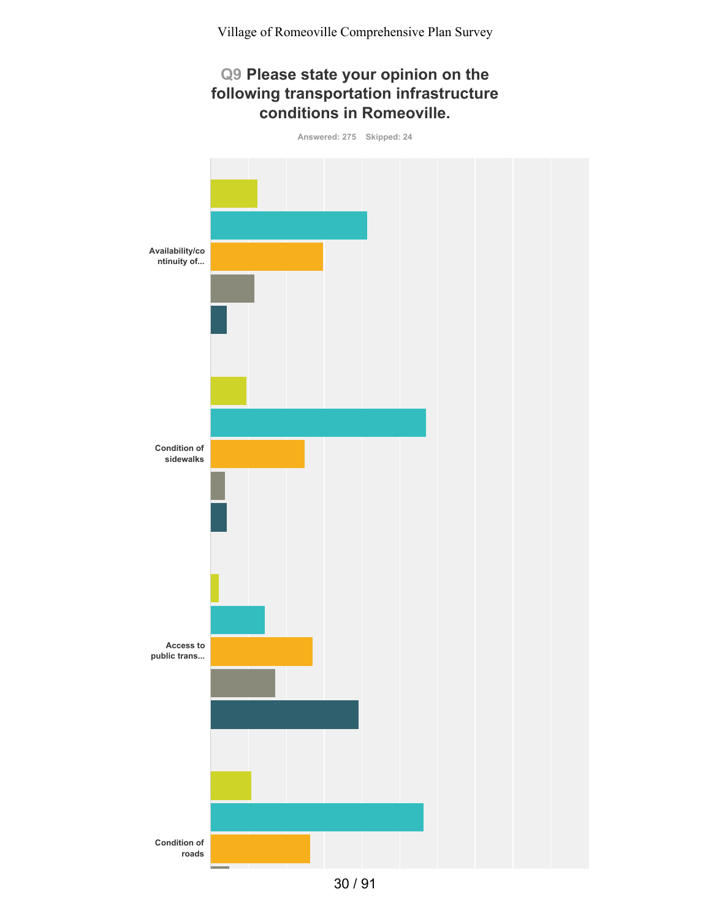### **Q9 Please state your opinion on the following transportation infrastructure conditions in Romeoville.**



30 / 91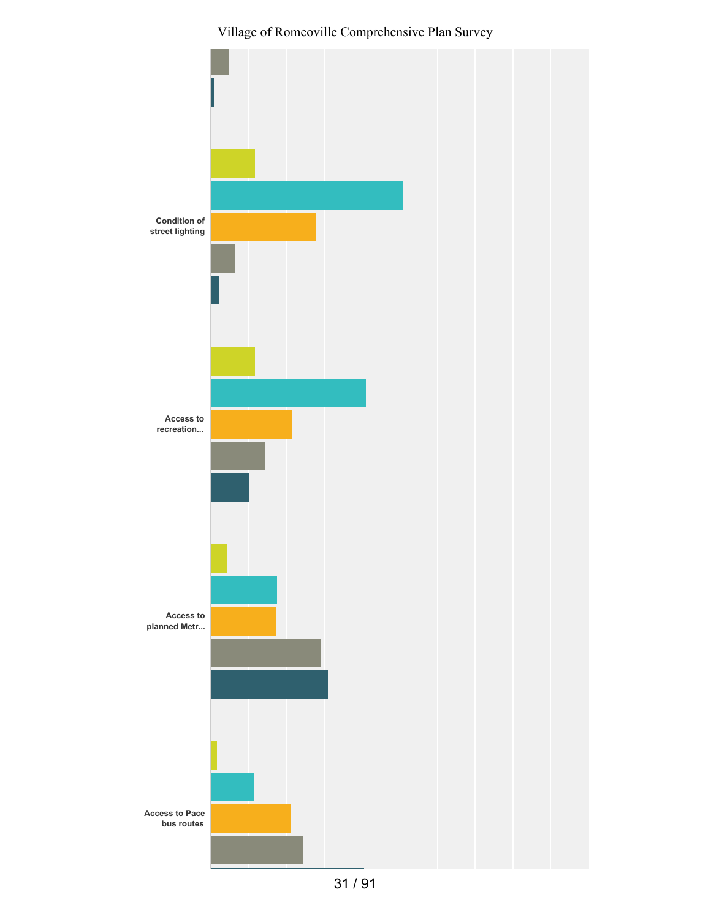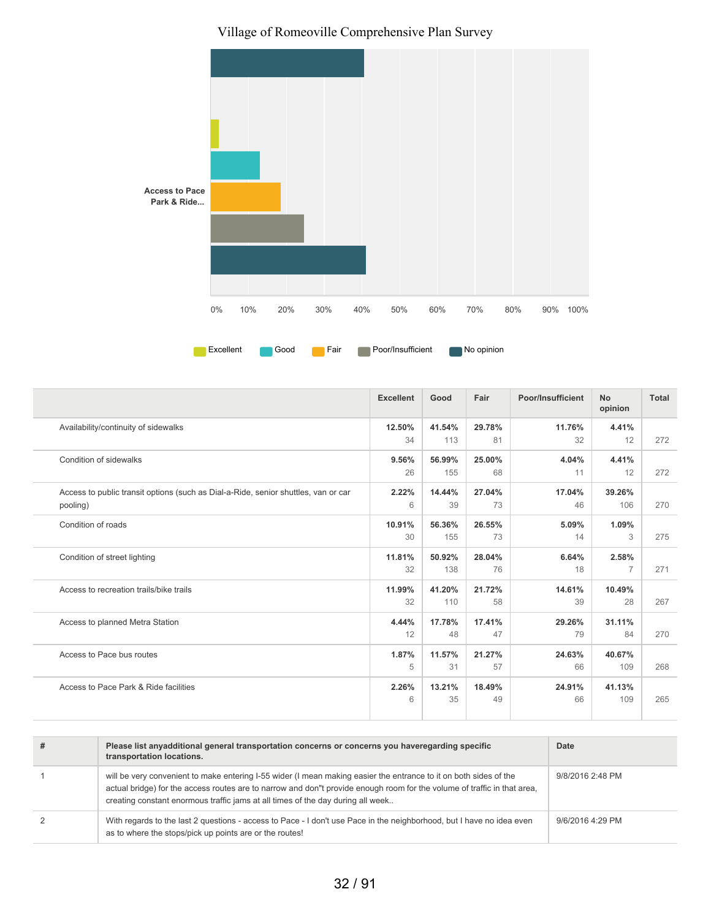

|                                                                                                | <b>Excellent</b> | Good          | Fair         | Poor/Insufficient | <b>No</b><br>opinion    | Total |
|------------------------------------------------------------------------------------------------|------------------|---------------|--------------|-------------------|-------------------------|-------|
| Availability/continuity of sidewalks                                                           | 12.50%<br>34     | 41.54%<br>113 | 29.78%<br>81 | 11.76%<br>32      | 4.41%<br>12             | 272   |
| Condition of sidewalks                                                                         | 9.56%<br>26      | 56.99%<br>155 | 25.00%<br>68 | 4.04%<br>11       | 4.41%<br>12             | 272   |
| Access to public transit options (such as Dial-a-Ride, senior shuttles, van or car<br>pooling) | 2.22%<br>6       | 14.44%<br>39  | 27.04%<br>73 | 17.04%<br>46      | 39.26%<br>106           | 270   |
| Condition of roads                                                                             | 10.91%<br>30     | 56.36%<br>155 | 26.55%<br>73 | 5.09%<br>14       | 1.09%<br>3              | 275   |
| Condition of street lighting                                                                   | 11.81%<br>32     | 50.92%<br>138 | 28.04%<br>76 | 6.64%<br>18       | 2.58%<br>$\overline{7}$ | 271   |
| Access to recreation trails/bike trails                                                        | 11.99%<br>32     | 41.20%<br>110 | 21.72%<br>58 | 14.61%<br>39      | 10.49%<br>28            | 267   |
| Access to planned Metra Station                                                                | 4.44%<br>12      | 17.78%<br>48  | 17.41%<br>47 | 29.26%<br>79      | 31.11%<br>84            | 270   |
| Access to Pace bus routes                                                                      | 1.87%<br>5       | 11.57%<br>31  | 21.27%<br>57 | 24.63%<br>66      | 40.67%<br>109           | 268   |
| Access to Pace Park & Ride facilities                                                          | 2.26%<br>6       | 13.21%<br>35  | 18.49%<br>49 | 24.91%<br>66      | 41.13%<br>109           | 265   |

| # | Please list anyadditional general transportation concerns or concerns you haveregarding specific<br>transportation locations.                                                                                                                                                                                                    | Date             |
|---|----------------------------------------------------------------------------------------------------------------------------------------------------------------------------------------------------------------------------------------------------------------------------------------------------------------------------------|------------------|
|   | will be very convenient to make entering I-55 wider (I mean making easier the entrance to it on both sides of the<br>actual bridge) for the access routes are to narrow and don"t provide enough room for the volume of traffic in that area,<br>creating constant enormous traffic jams at all times of the day during all week | 9/8/2016 2:48 PM |
| 2 | With regards to the last 2 questions - access to Pace - I don't use Pace in the neighborhood, but I have no idea even<br>as to where the stops/pick up points are or the routes!                                                                                                                                                 | 9/6/2016 4:29 PM |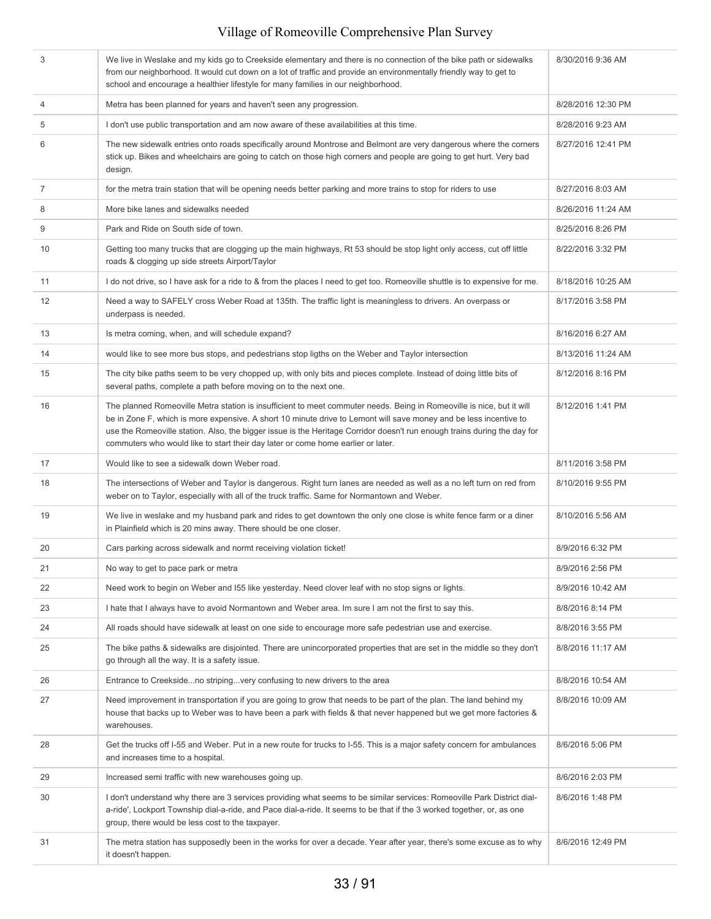| 3              | We live in Weslake and my kids go to Creekside elementary and there is no connection of the bike path or sidewalks<br>from our neighborhood. It would cut down on a lot of traffic and provide an environmentally friendly way to get to<br>school and encourage a healthier lifestyle for many families in our neighborhood.                                                                                                                              | 8/30/2016 9:36 AM  |
|----------------|------------------------------------------------------------------------------------------------------------------------------------------------------------------------------------------------------------------------------------------------------------------------------------------------------------------------------------------------------------------------------------------------------------------------------------------------------------|--------------------|
| 4              | Metra has been planned for years and haven't seen any progression.                                                                                                                                                                                                                                                                                                                                                                                         | 8/28/2016 12:30 PM |
| 5              | I don't use public transportation and am now aware of these availabilities at this time.                                                                                                                                                                                                                                                                                                                                                                   | 8/28/2016 9:23 AM  |
| 6              | The new sidewalk entries onto roads specifically around Montrose and Belmont are very dangerous where the corners<br>stick up. Bikes and wheelchairs are going to catch on those high corners and people are going to get hurt. Very bad<br>design.                                                                                                                                                                                                        | 8/27/2016 12:41 PM |
| $\overline{7}$ | for the metra train station that will be opening needs better parking and more trains to stop for riders to use                                                                                                                                                                                                                                                                                                                                            | 8/27/2016 8:03 AM  |
| 8              | More bike lanes and sidewalks needed                                                                                                                                                                                                                                                                                                                                                                                                                       | 8/26/2016 11:24 AM |
| 9              | Park and Ride on South side of town.                                                                                                                                                                                                                                                                                                                                                                                                                       | 8/25/2016 8:26 PM  |
| 10             | Getting too many trucks that are clogging up the main highways, Rt 53 should be stop light only access, cut off little<br>roads & clogging up side streets Airport/Taylor                                                                                                                                                                                                                                                                                  | 8/22/2016 3:32 PM  |
| 11             | I do not drive, so I have ask for a ride to & from the places I need to get too. Romeoville shuttle is to expensive for me.                                                                                                                                                                                                                                                                                                                                | 8/18/2016 10:25 AM |
| 12             | Need a way to SAFELY cross Weber Road at 135th. The traffic light is meaningless to drivers. An overpass or<br>underpass is needed.                                                                                                                                                                                                                                                                                                                        | 8/17/2016 3:58 PM  |
| 13             | Is metra coming, when, and will schedule expand?                                                                                                                                                                                                                                                                                                                                                                                                           | 8/16/2016 6:27 AM  |
| 14             | would like to see more bus stops, and pedestrians stop ligths on the Weber and Taylor intersection                                                                                                                                                                                                                                                                                                                                                         | 8/13/2016 11:24 AM |
| 15             | The city bike paths seem to be very chopped up, with only bits and pieces complete. Instead of doing little bits of<br>several paths, complete a path before moving on to the next one.                                                                                                                                                                                                                                                                    | 8/12/2016 8:16 PM  |
| 16             | The planned Romeoville Metra station is insufficient to meet commuter needs. Being in Romeoville is nice, but it will<br>be in Zone F, which is more expensive. A short 10 minute drive to Lemont will save money and be less incentive to<br>use the Romeoville station. Also, the bigger issue is the Heritage Corridor doesn't run enough trains during the day for<br>commuters who would like to start their day later or come home earlier or later. | 8/12/2016 1:41 PM  |
| 17             | Would like to see a sidewalk down Weber road.                                                                                                                                                                                                                                                                                                                                                                                                              | 8/11/2016 3:58 PM  |
| 18             | The intersections of Weber and Taylor is dangerous. Right turn lanes are needed as well as a no left turn on red from<br>weber on to Taylor, especially with all of the truck traffic. Same for Normantown and Weber.                                                                                                                                                                                                                                      | 8/10/2016 9:55 PM  |
| 19             | We live in weslake and my husband park and rides to get downtown the only one close is white fence farm or a diner<br>in Plainfield which is 20 mins away. There should be one closer.                                                                                                                                                                                                                                                                     | 8/10/2016 5:56 AM  |
| 20             | Cars parking across sidewalk and normt receiving violation ticket!                                                                                                                                                                                                                                                                                                                                                                                         | 8/9/2016 6:32 PM   |
| 21             | No way to get to pace park or metra                                                                                                                                                                                                                                                                                                                                                                                                                        | 8/9/2016 2:56 PM   |
| 22             | Need work to begin on Weber and 155 like yesterday. Need clover leaf with no stop signs or lights.                                                                                                                                                                                                                                                                                                                                                         | 8/9/2016 10:42 AM  |
| 23             | I hate that I always have to avoid Normantown and Weber area. Im sure I am not the first to say this.                                                                                                                                                                                                                                                                                                                                                      | 8/8/2016 8:14 PM   |
| 24             | All roads should have sidewalk at least on one side to encourage more safe pedestrian use and exercise.                                                                                                                                                                                                                                                                                                                                                    | 8/8/2016 3:55 PM   |
| 25             | The bike paths & sidewalks are disjointed. There are unincorporated properties that are set in the middle so they don't<br>go through all the way. It is a safety issue.                                                                                                                                                                                                                                                                                   | 8/8/2016 11:17 AM  |
| 26             | Entrance to Creeksideno stripingvery confusing to new drivers to the area                                                                                                                                                                                                                                                                                                                                                                                  | 8/8/2016 10:54 AM  |
| 27             | Need improvement in transportation if you are going to grow that needs to be part of the plan. The land behind my<br>house that backs up to Weber was to have been a park with fields & that never happened but we get more factories &<br>warehouses.                                                                                                                                                                                                     | 8/8/2016 10:09 AM  |
| 28             | Get the trucks off I-55 and Weber. Put in a new route for trucks to I-55. This is a major safety concern for ambulances<br>and increases time to a hospital.                                                                                                                                                                                                                                                                                               | 8/6/2016 5:06 PM   |
| 29             | Increased semi traffic with new warehouses going up.                                                                                                                                                                                                                                                                                                                                                                                                       | 8/6/2016 2:03 PM   |
| 30             | I don't understand why there are 3 services providing what seems to be similar services: Romeoville Park District dial-<br>a-ride', Lockport Township dial-a-ride, and Pace dial-a-ride. It seems to be that if the 3 worked together, or, as one<br>group, there would be less cost to the taxpayer.                                                                                                                                                      | 8/6/2016 1:48 PM   |
| 31             | The metra station has supposedly been in the works for over a decade. Year after year, there's some excuse as to why                                                                                                                                                                                                                                                                                                                                       | 8/6/2016 12:49 PM  |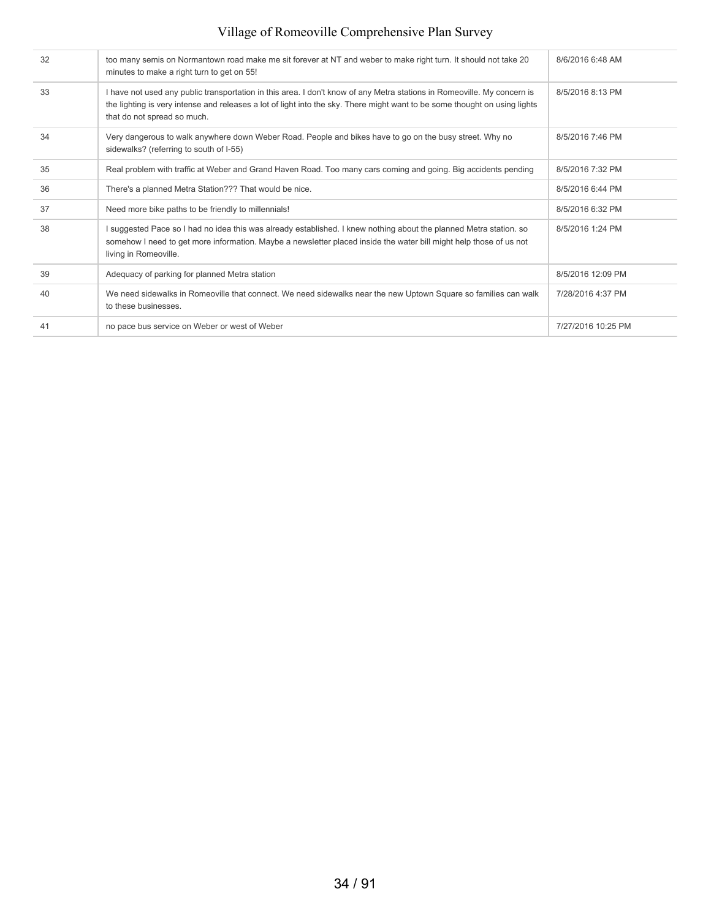| 32 | too many semis on Normantown road make me sit forever at NT and weber to make right turn. It should not take 20<br>minutes to make a right turn to get on 55!                                                                                                                        | 8/6/2016 6:48 AM   |
|----|--------------------------------------------------------------------------------------------------------------------------------------------------------------------------------------------------------------------------------------------------------------------------------------|--------------------|
| 33 | I have not used any public transportation in this area. I don't know of any Metra stations in Romeoville. My concern is<br>the lighting is very intense and releases a lot of light into the sky. There might want to be some thought on using lights<br>that do not spread so much. | 8/5/2016 8:13 PM   |
| 34 | Very dangerous to walk anywhere down Weber Road. People and bikes have to go on the busy street. Why no<br>sidewalks? (referring to south of I-55)                                                                                                                                   | 8/5/2016 7:46 PM   |
| 35 | Real problem with traffic at Weber and Grand Haven Road. Too many cars coming and going. Big accidents pending                                                                                                                                                                       | 8/5/2016 7:32 PM   |
| 36 | There's a planned Metra Station??? That would be nice.                                                                                                                                                                                                                               | 8/5/2016 6:44 PM   |
| 37 | Need more bike paths to be friendly to millennials!                                                                                                                                                                                                                                  | 8/5/2016 6:32 PM   |
| 38 | I suggested Pace so I had no idea this was already established. I knew nothing about the planned Metra station. so<br>somehow I need to get more information. Maybe a newsletter placed inside the water bill might help those of us not<br>living in Romeoville.                    | 8/5/2016 1:24 PM   |
| 39 | Adequacy of parking for planned Metra station                                                                                                                                                                                                                                        | 8/5/2016 12:09 PM  |
| 40 | We need sidewalks in Romeoville that connect. We need sidewalks near the new Uptown Square so families can walk<br>to these businesses.                                                                                                                                              | 7/28/2016 4:37 PM  |
| 41 | no pace bus service on Weber or west of Weber                                                                                                                                                                                                                                        | 7/27/2016 10:25 PM |
|    |                                                                                                                                                                                                                                                                                      |                    |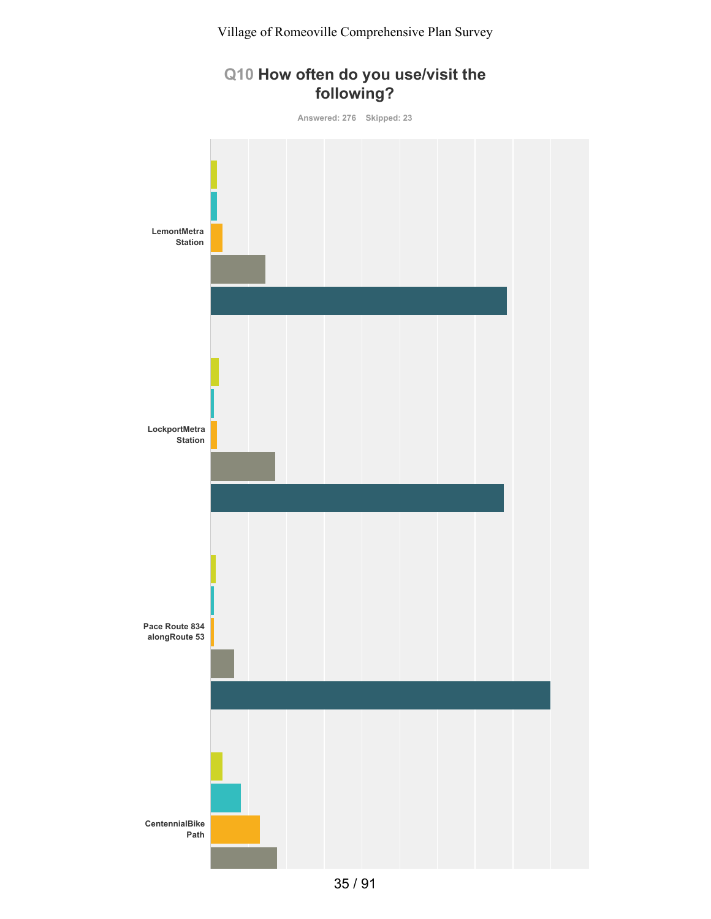# **Q10 How often do you use/visit the following?**

**Answered: 276 Skipped: 23**

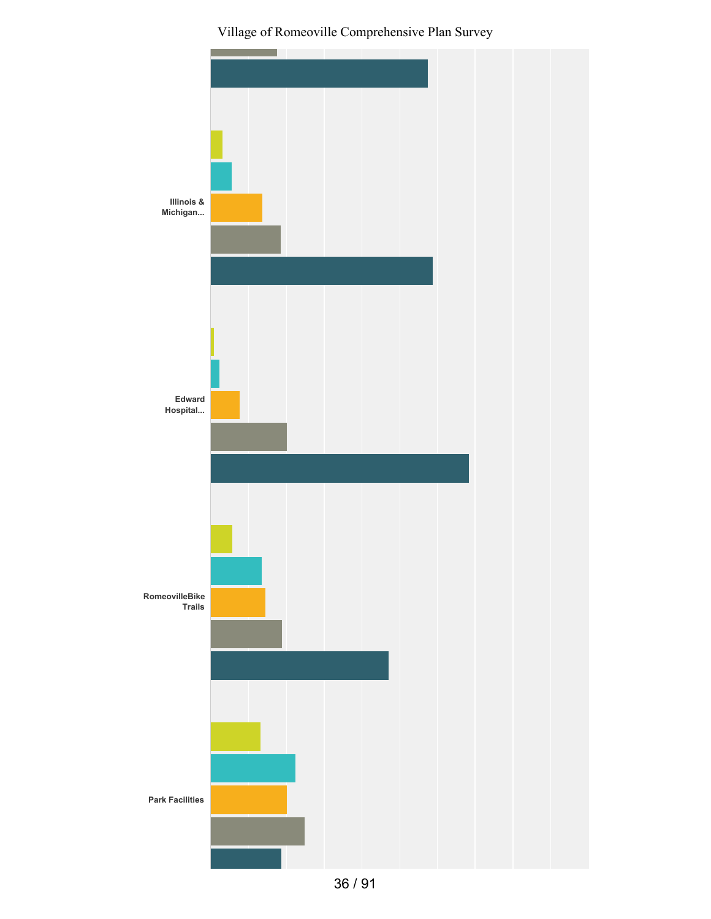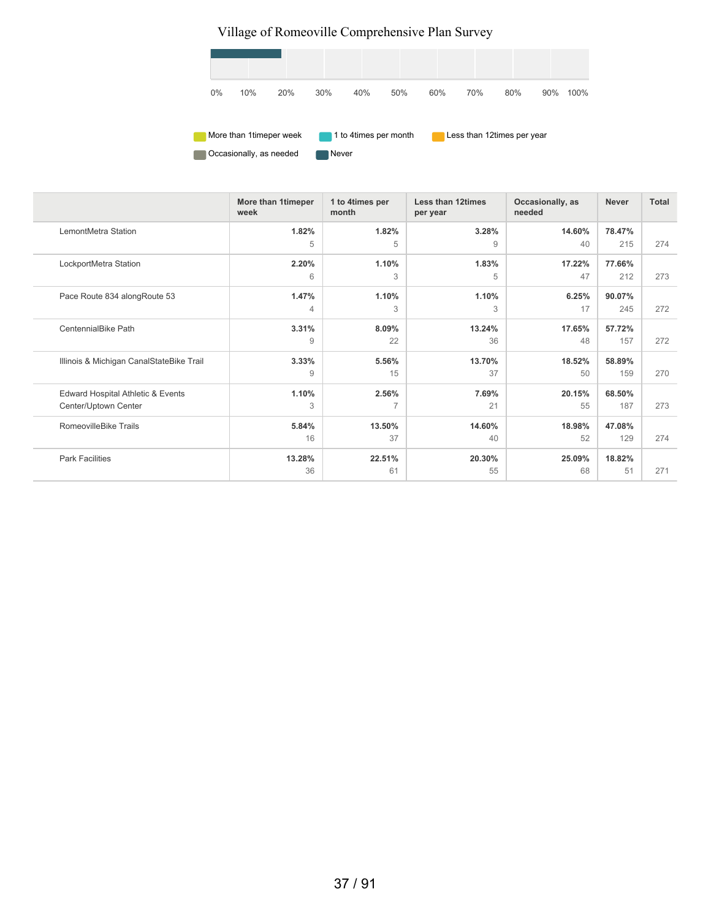

|                                          | More than 1timeper<br>week | 1 to 4times per<br>month | <b>Less than 12times</b><br>per year | Occasionally, as<br>needed | <b>Never</b> | <b>Total</b> |
|------------------------------------------|----------------------------|--------------------------|--------------------------------------|----------------------------|--------------|--------------|
| LemontMetra Station                      | 1.82%                      | 1.82%                    | 3.28%                                | 14.60%                     | 78.47%       |              |
|                                          | 5                          | 5                        | 9                                    | 40                         | 215          | 274          |
| LockportMetra Station                    | 2.20%                      | 1.10%                    | 1.83%                                | 17.22%                     | 77.66%       |              |
|                                          | 6                          | 3                        | 5                                    | 47                         | 212          | 273          |
| Pace Route 834 along Route 53            | 1.47%                      | 1.10%                    | 1.10%                                | 6.25%                      | 90.07%       |              |
|                                          | $\overline{4}$             | 3                        | 3                                    | 17                         | 245          | 272          |
| CentennialBike Path                      | 3.31%                      | 8.09%                    | 13.24%                               | 17.65%                     | 57.72%       |              |
|                                          | 9                          | 22                       | 36                                   | 48                         | 157          | 272          |
| Illinois & Michigan CanalStateBike Trail | 3.33%                      | 5.56%                    | 13.70%                               | 18.52%                     | 58.89%       |              |
|                                          | 9                          | 15                       | 37                                   | 50                         | 159          | 270          |
| Edward Hospital Athletic & Events        | 1.10%                      | 2.56%                    | 7.69%                                | 20.15%                     | 68.50%       |              |
| Center/Uptown Center                     | 3                          | $\overline{7}$           | 21                                   | 55                         | 187          | 273          |
| RomeovilleBike Trails                    | 5.84%                      | 13.50%                   | 14.60%                               | 18.98%                     | 47.08%       |              |
|                                          | 16                         | 37                       | 40                                   | 52                         | 129          | 274          |
| <b>Park Facilities</b>                   | 13.28%                     | 22.51%                   | 20.30%                               | 25.09%                     | 18.82%       |              |
|                                          | 36                         | 61                       | 55                                   | 68                         | 51           | 271          |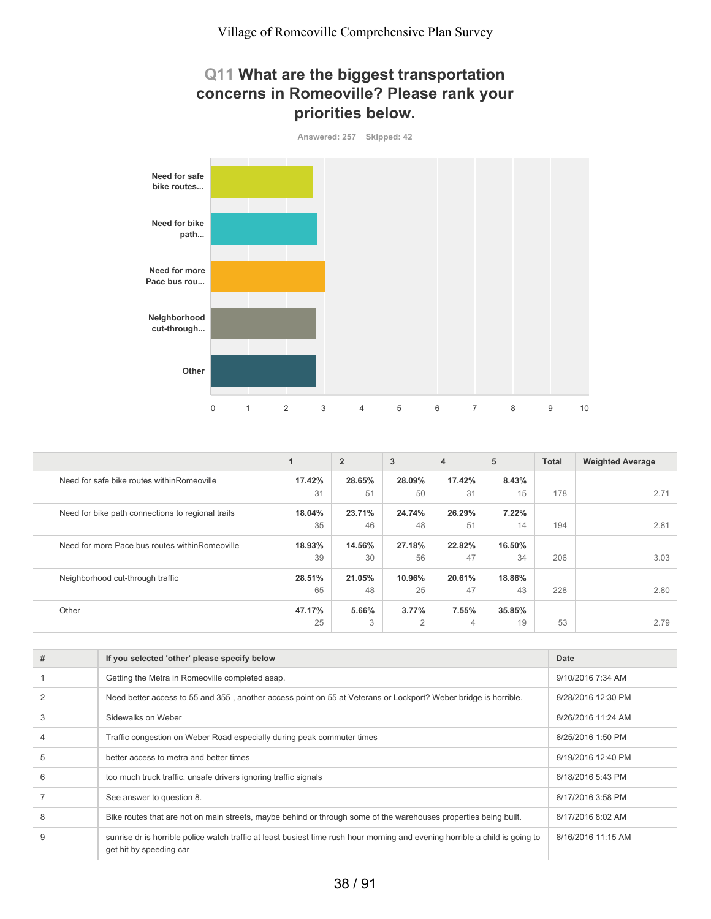## **Q11 What are the biggest transportation concerns in Romeoville? Please rank your priorities below.**



|                                                   | $\mathbf{1}$ | $\overline{2}$ | 3      | 4      | 5      | <b>Total</b> | <b>Weighted Average</b> |
|---------------------------------------------------|--------------|----------------|--------|--------|--------|--------------|-------------------------|
| Need for safe bike routes within Romeoville       | 17.42%       | 28.65%         | 28.09% | 17.42% | 8.43%  |              |                         |
|                                                   | 31           | 51             | 50     | 31     | 15     | 178          | 2.71                    |
| Need for bike path connections to regional trails | 18.04%       | 23.71%         | 24.74% | 26.29% | 7.22%  |              |                         |
|                                                   | 35           | 46             | 48     | 51     | 14     | 194          | 2.81                    |
| Need for more Pace bus routes within Romeoville   | 18.93%       | 14.56%         | 27.18% | 22.82% | 16.50% |              |                         |
|                                                   | 39           | 30             | 56     | 47     | 34     | 206          | 3.03                    |
| Neighborhood cut-through traffic                  | 28.51%       | 21.05%         | 10.96% | 20.61% | 18.86% |              |                         |
|                                                   | 65           | 48             | 25     | 47     | 43     | 228          | 2.80                    |
| Other                                             | 47.17%       | 5.66%          | 3.77%  | 7.55%  | 35.85% |              |                         |
|                                                   | 25           | 3              | 2      | 4      | 19     | 53           | 2.79                    |

| # | If you selected 'other' please specify below                                                                                                            | Date               |
|---|---------------------------------------------------------------------------------------------------------------------------------------------------------|--------------------|
|   | Getting the Metra in Romeoville completed asap.                                                                                                         | 9/10/2016 7:34 AM  |
|   | Need better access to 55 and 355, another access point on 55 at Veterans or Lockport? Weber bridge is horrible.                                         | 8/28/2016 12:30 PM |
| 3 | Sidewalks on Weber                                                                                                                                      | 8/26/2016 11:24 AM |
|   | Traffic congestion on Weber Road especially during peak commuter times                                                                                  | 8/25/2016 1:50 PM  |
| 5 | better access to metra and better times                                                                                                                 | 8/19/2016 12:40 PM |
| 6 | too much truck traffic, unsafe drivers ignoring traffic signals                                                                                         | 8/18/2016 5:43 PM  |
|   | See answer to question 8.                                                                                                                               | 8/17/2016 3:58 PM  |
| 8 | Bike routes that are not on main streets, maybe behind or through some of the warehouses properties being built.                                        | 8/17/2016 8:02 AM  |
|   | sunrise dr is horrible police watch traffic at least busiest time rush hour morning and evening horrible a child is going to<br>get hit by speeding car | 8/16/2016 11:15 AM |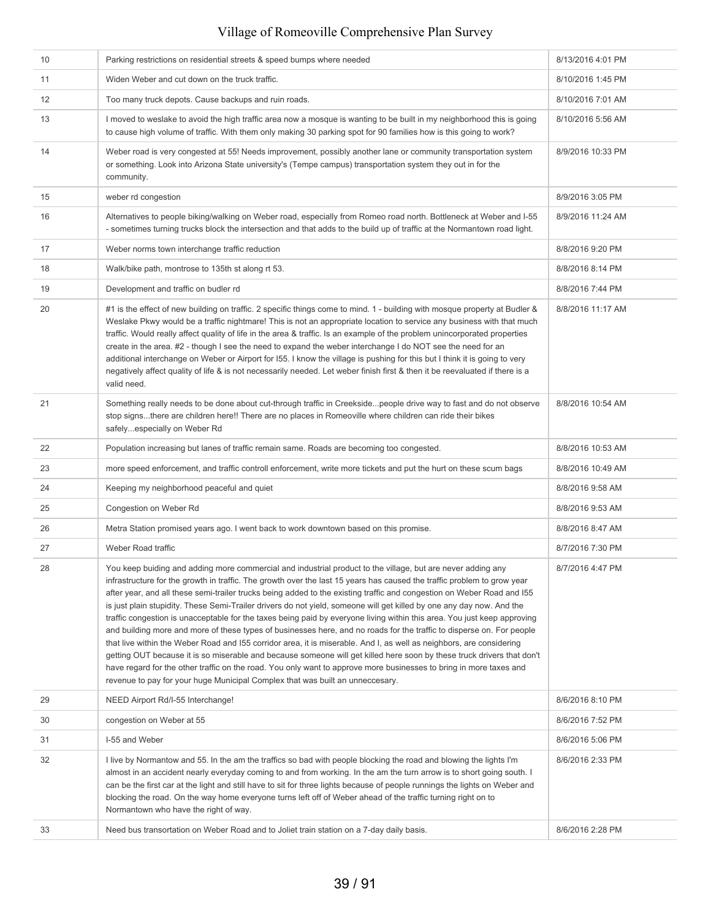| 10 | Parking restrictions on residential streets & speed bumps where needed                                                                                                                                                                                                                                                                                                                                                                                                                                                                                                                                                                                                                                                                                                                                                                                                                                                                                                                                                                                                                                                                                                                                  | 8/13/2016 4:01 PM |
|----|---------------------------------------------------------------------------------------------------------------------------------------------------------------------------------------------------------------------------------------------------------------------------------------------------------------------------------------------------------------------------------------------------------------------------------------------------------------------------------------------------------------------------------------------------------------------------------------------------------------------------------------------------------------------------------------------------------------------------------------------------------------------------------------------------------------------------------------------------------------------------------------------------------------------------------------------------------------------------------------------------------------------------------------------------------------------------------------------------------------------------------------------------------------------------------------------------------|-------------------|
| 11 | Widen Weber and cut down on the truck traffic.                                                                                                                                                                                                                                                                                                                                                                                                                                                                                                                                                                                                                                                                                                                                                                                                                                                                                                                                                                                                                                                                                                                                                          | 8/10/2016 1:45 PM |
| 12 | Too many truck depots. Cause backups and ruin roads.                                                                                                                                                                                                                                                                                                                                                                                                                                                                                                                                                                                                                                                                                                                                                                                                                                                                                                                                                                                                                                                                                                                                                    | 8/10/2016 7:01 AM |
| 13 | I moved to weslake to avoid the high traffic area now a mosque is wanting to be built in my neighborhood this is going<br>to cause high volume of traffic. With them only making 30 parking spot for 90 families how is this going to work?                                                                                                                                                                                                                                                                                                                                                                                                                                                                                                                                                                                                                                                                                                                                                                                                                                                                                                                                                             | 8/10/2016 5:56 AM |
| 14 | Weber road is very congested at 55! Needs improvement, possibly another lane or community transportation system<br>or something. Look into Arizona State university's (Tempe campus) transportation system they out in for the<br>community.                                                                                                                                                                                                                                                                                                                                                                                                                                                                                                                                                                                                                                                                                                                                                                                                                                                                                                                                                            | 8/9/2016 10:33 PM |
| 15 | weber rd congestion                                                                                                                                                                                                                                                                                                                                                                                                                                                                                                                                                                                                                                                                                                                                                                                                                                                                                                                                                                                                                                                                                                                                                                                     | 8/9/2016 3:05 PM  |
| 16 | Alternatives to people biking/walking on Weber road, especially from Romeo road north. Bottleneck at Weber and I-55<br>- sometimes turning trucks block the intersection and that adds to the build up of traffic at the Normantown road light.                                                                                                                                                                                                                                                                                                                                                                                                                                                                                                                                                                                                                                                                                                                                                                                                                                                                                                                                                         | 8/9/2016 11:24 AM |
| 17 | Weber norms town interchange traffic reduction                                                                                                                                                                                                                                                                                                                                                                                                                                                                                                                                                                                                                                                                                                                                                                                                                                                                                                                                                                                                                                                                                                                                                          | 8/8/2016 9:20 PM  |
| 18 | Walk/bike path, montrose to 135th st along rt 53.                                                                                                                                                                                                                                                                                                                                                                                                                                                                                                                                                                                                                                                                                                                                                                                                                                                                                                                                                                                                                                                                                                                                                       | 8/8/2016 8:14 PM  |
| 19 | Development and traffic on budler rd                                                                                                                                                                                                                                                                                                                                                                                                                                                                                                                                                                                                                                                                                                                                                                                                                                                                                                                                                                                                                                                                                                                                                                    | 8/8/2016 7:44 PM  |
| 20 | #1 is the effect of new building on traffic. 2 specific things come to mind. 1 - building with mosque property at Budler &<br>Weslake Pkwy would be a traffic nightmare! This is not an appropriate location to service any business with that much<br>traffic. Would really affect quality of life in the area & traffic. Is an example of the problem unincorporated properties<br>create in the area. #2 - though I see the need to expand the weber interchange I do NOT see the need for an<br>additional interchange on Weber or Airport for 155. I know the village is pushing for this but I think it is going to very<br>negatively affect quality of life & is not necessarily needed. Let weber finish first & then it be reevaluated if there is a<br>valid need.                                                                                                                                                                                                                                                                                                                                                                                                                           | 8/8/2016 11:17 AM |
| 21 | Something really needs to be done about cut-through traffic in Creeksidepeople drive way to fast and do not observe<br>stop signsthere are children here!! There are no places in Romeoville where children can ride their bikes<br>safelyespecially on Weber Rd                                                                                                                                                                                                                                                                                                                                                                                                                                                                                                                                                                                                                                                                                                                                                                                                                                                                                                                                        | 8/8/2016 10:54 AM |
| 22 | Population increasing but lanes of traffic remain same. Roads are becoming too congested.                                                                                                                                                                                                                                                                                                                                                                                                                                                                                                                                                                                                                                                                                                                                                                                                                                                                                                                                                                                                                                                                                                               | 8/8/2016 10:53 AM |
| 23 | more speed enforcement, and traffic controll enforcement, write more tickets and put the hurt on these scum bags                                                                                                                                                                                                                                                                                                                                                                                                                                                                                                                                                                                                                                                                                                                                                                                                                                                                                                                                                                                                                                                                                        | 8/8/2016 10:49 AM |
| 24 | Keeping my neighborhood peaceful and quiet                                                                                                                                                                                                                                                                                                                                                                                                                                                                                                                                                                                                                                                                                                                                                                                                                                                                                                                                                                                                                                                                                                                                                              | 8/8/2016 9:58 AM  |
| 25 | Congestion on Weber Rd                                                                                                                                                                                                                                                                                                                                                                                                                                                                                                                                                                                                                                                                                                                                                                                                                                                                                                                                                                                                                                                                                                                                                                                  | 8/8/2016 9:53 AM  |
| 26 | Metra Station promised years ago. I went back to work downtown based on this promise.                                                                                                                                                                                                                                                                                                                                                                                                                                                                                                                                                                                                                                                                                                                                                                                                                                                                                                                                                                                                                                                                                                                   | 8/8/2016 8:47 AM  |
| 27 | Weber Road traffic                                                                                                                                                                                                                                                                                                                                                                                                                                                                                                                                                                                                                                                                                                                                                                                                                                                                                                                                                                                                                                                                                                                                                                                      | 8/7/2016 7:30 PM  |
| 28 | You keep buiding and adding more commercial and industrial product to the village, but are never adding any<br>infrastructure for the growth in traffic. The growth over the last 15 years has caused the traffic problem to grow year<br>after year, and all these semi-trailer trucks being added to the existing traffic and congestion on Weber Road and I55<br>is just plain stupidity. These Semi-Trailer drivers do not yield, someone will get killed by one any day now. And the<br>traffic congestion is unacceptable for the taxes being paid by everyone living within this area. You just keep approving<br>and building more and more of these types of businesses here, and no roads for the traffic to disperse on. For people<br>that live within the Weber Road and 155 corridor area, it is miserable. And I, as well as neighbors, are considering<br>getting OUT because it is so miserable and because someone will get killed here soon by these truck drivers that don't<br>have regard for the other traffic on the road. You only want to approve more businesses to bring in more taxes and<br>revenue to pay for your huge Municipal Complex that was built an unneccesary. | 8/7/2016 4:47 PM  |
| 29 | NEED Airport Rd/I-55 Interchange!                                                                                                                                                                                                                                                                                                                                                                                                                                                                                                                                                                                                                                                                                                                                                                                                                                                                                                                                                                                                                                                                                                                                                                       | 8/6/2016 8:10 PM  |
| 30 | congestion on Weber at 55                                                                                                                                                                                                                                                                                                                                                                                                                                                                                                                                                                                                                                                                                                                                                                                                                                                                                                                                                                                                                                                                                                                                                                               | 8/6/2016 7:52 PM  |
| 31 | I-55 and Weber                                                                                                                                                                                                                                                                                                                                                                                                                                                                                                                                                                                                                                                                                                                                                                                                                                                                                                                                                                                                                                                                                                                                                                                          | 8/6/2016 5:06 PM  |
| 32 | I live by Normantow and 55. In the am the traffics so bad with people blocking the road and blowing the lights I'm<br>almost in an accident nearly everyday coming to and from working. In the am the turn arrow is to short going south. I<br>can be the first car at the light and still have to sit for three lights because of people runnings the lights on Weber and<br>blocking the road. On the way home everyone turns left off of Weber ahead of the traffic turning right on to<br>Normantown who have the right of way.                                                                                                                                                                                                                                                                                                                                                                                                                                                                                                                                                                                                                                                                     | 8/6/2016 2:33 PM  |
| 33 | Need bus transortation on Weber Road and to Joliet train station on a 7-day daily basis.                                                                                                                                                                                                                                                                                                                                                                                                                                                                                                                                                                                                                                                                                                                                                                                                                                                                                                                                                                                                                                                                                                                | 8/6/2016 2:28 PM  |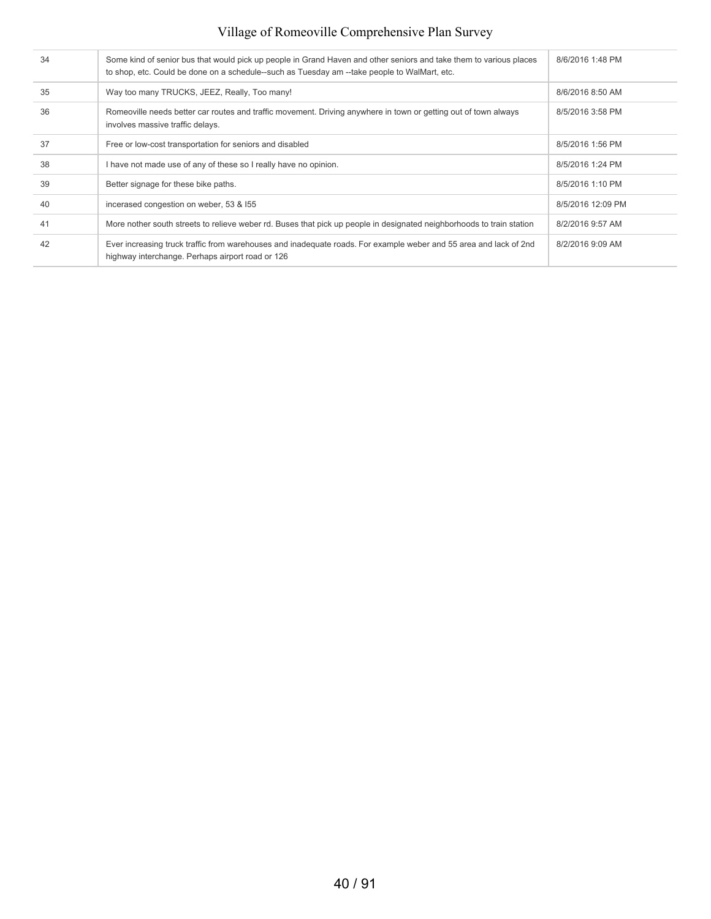| 34 | Some kind of senior bus that would pick up people in Grand Haven and other seniors and take them to various places<br>to shop, etc. Could be done on a schedule--such as Tuesday am --take people to WalMart, etc. | 8/6/2016 1:48 PM  |
|----|--------------------------------------------------------------------------------------------------------------------------------------------------------------------------------------------------------------------|-------------------|
| 35 | Way too many TRUCKS, JEEZ, Really, Too many!                                                                                                                                                                       | 8/6/2016 8:50 AM  |
| 36 | Romeoville needs better car routes and traffic movement. Driving anywhere in town or getting out of town always<br>involves massive traffic delays.                                                                | 8/5/2016 3:58 PM  |
| 37 | Free or low-cost transportation for seniors and disabled                                                                                                                                                           | 8/5/2016 1:56 PM  |
| 38 | I have not made use of any of these so I really have no opinion.                                                                                                                                                   | 8/5/2016 1:24 PM  |
| 39 | Better signage for these bike paths.                                                                                                                                                                               | 8/5/2016 1:10 PM  |
| 40 | incerased congestion on weber, 53 & 155                                                                                                                                                                            | 8/5/2016 12:09 PM |
| 41 | More nother south streets to relieve weber rd. Buses that pick up people in designated neighborhoods to train station                                                                                              | 8/2/2016 9:57 AM  |
| 42 | Ever increasing truck traffic from warehouses and inadequate roads. For example weber and 55 area and lack of 2nd<br>highway interchange. Perhaps airport road or 126                                              | 8/2/2016 9:09 AM  |
|    |                                                                                                                                                                                                                    |                   |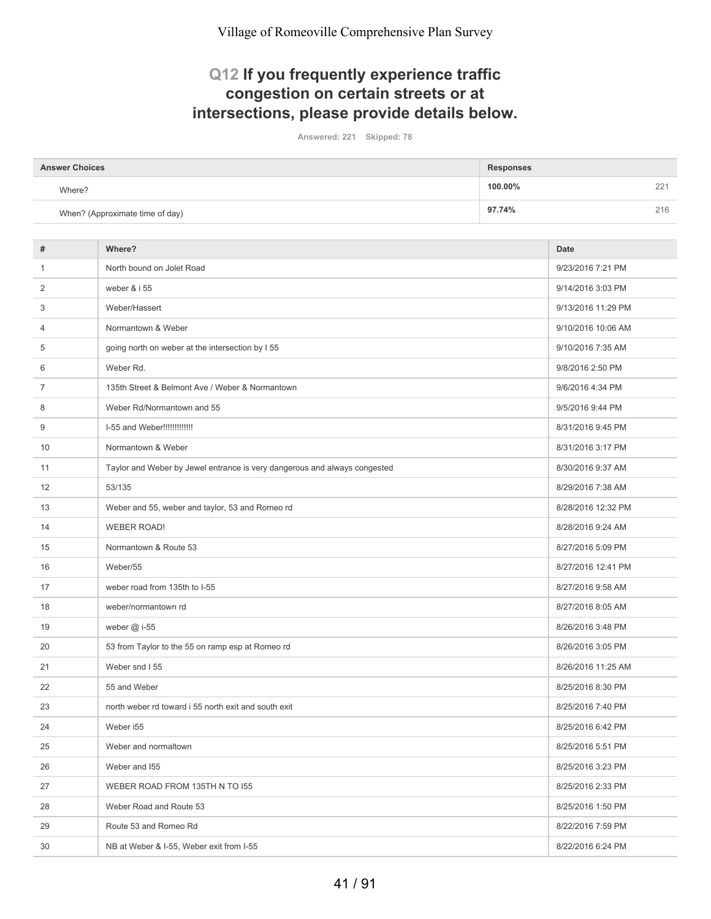## **Q12 If you frequently experience traffic congestion on certain streets or at intersections, please provide details below.**

**Answered: 221 Skipped: 78**

| <b>Answer Choices</b>           | <b>Responses</b>    |
|---------------------------------|---------------------|
| Where?                          | 100.00%<br>つつ<br>∠∠ |
| When? (Approximate time of day) | 97.74%<br>216       |

| North bound on Jolet Road<br>9/23/2016 7:21 PM<br>$\mathbf{1}$<br>weber & i 55<br>2<br>9/14/2016 3:03 PM<br>3<br>Weber/Hassert<br>9/13/2016 11:29 PM<br>Normantown & Weber<br>9/10/2016 10:06 AM<br>4<br>going north on weber at the intersection by I 55<br>9/10/2016 7:35 AM<br>5<br>Weber Rd.<br>9/8/2016 2:50 PM<br>6<br>135th Street & Belmont Ave / Weber & Normantown<br>7<br>9/6/2016 4:34 PM<br>8<br>Weber Rd/Normantown and 55<br>9/5/2016 9:44 PM<br>I-55 and Weber!!!!!!!!!!!!!<br>9<br>8/31/2016 9:45 PM<br>10<br>Normantown & Weber<br>8/31/2016 3:17 PM<br>Taylor and Weber by Jewel entrance is very dangerous and always congested<br>11<br>8/30/2016 9:37 AM<br>12<br>53/135<br>8/29/2016 7:38 AM<br>Weber and 55, weber and taylor, 53 and Romeo rd<br>8/28/2016 12:32 PM<br>13<br><b>WEBER ROAD!</b><br>8/28/2016 9:24 AM<br>14<br>Normantown & Route 53<br>8/27/2016 5:09 PM<br>15<br>Weber/55<br>8/27/2016 12:41 PM<br>16<br>17<br>weber road from 135th to I-55<br>8/27/2016 9:58 AM<br>18<br>weber/normantown rd<br>8/27/2016 8:05 AM<br>19<br>weber $@$ i-55<br>8/26/2016 3:48 PM<br>53 from Taylor to the 55 on ramp esp at Romeo rd<br>20<br>8/26/2016 3:05 PM<br>Weber snd I 55<br>8/26/2016 11:25 AM<br>21<br>55 and Weber<br>8/25/2016 8:30 PM<br>22<br>north weber rd toward i 55 north exit and south exit<br>8/25/2016 7:40 PM<br>23<br>24<br>Weber i55<br>8/25/2016 6:42 PM<br>25<br>Weber and normaltown<br>8/25/2016 5:51 PM<br>26<br>Weber and I55<br>8/25/2016 3:23 PM<br>27<br>WEBER ROAD FROM 135TH N TO 155<br>8/25/2016 2:33 PM<br>28<br>Weber Road and Route 53<br>8/25/2016 1:50 PM<br>Route 53 and Romeo Rd<br>29<br>8/22/2016 7:59 PM<br>NB at Weber & I-55, Weber exit from I-55<br>30<br>8/22/2016 6:24 PM | # | Where? | <b>Date</b> |
|------------------------------------------------------------------------------------------------------------------------------------------------------------------------------------------------------------------------------------------------------------------------------------------------------------------------------------------------------------------------------------------------------------------------------------------------------------------------------------------------------------------------------------------------------------------------------------------------------------------------------------------------------------------------------------------------------------------------------------------------------------------------------------------------------------------------------------------------------------------------------------------------------------------------------------------------------------------------------------------------------------------------------------------------------------------------------------------------------------------------------------------------------------------------------------------------------------------------------------------------------------------------------------------------------------------------------------------------------------------------------------------------------------------------------------------------------------------------------------------------------------------------------------------------------------------------------------------------------------------------------------------------------------------------------------------------------------------------------------------------------------|---|--------|-------------|
|                                                                                                                                                                                                                                                                                                                                                                                                                                                                                                                                                                                                                                                                                                                                                                                                                                                                                                                                                                                                                                                                                                                                                                                                                                                                                                                                                                                                                                                                                                                                                                                                                                                                                                                                                            |   |        |             |
|                                                                                                                                                                                                                                                                                                                                                                                                                                                                                                                                                                                                                                                                                                                                                                                                                                                                                                                                                                                                                                                                                                                                                                                                                                                                                                                                                                                                                                                                                                                                                                                                                                                                                                                                                            |   |        |             |
|                                                                                                                                                                                                                                                                                                                                                                                                                                                                                                                                                                                                                                                                                                                                                                                                                                                                                                                                                                                                                                                                                                                                                                                                                                                                                                                                                                                                                                                                                                                                                                                                                                                                                                                                                            |   |        |             |
|                                                                                                                                                                                                                                                                                                                                                                                                                                                                                                                                                                                                                                                                                                                                                                                                                                                                                                                                                                                                                                                                                                                                                                                                                                                                                                                                                                                                                                                                                                                                                                                                                                                                                                                                                            |   |        |             |
|                                                                                                                                                                                                                                                                                                                                                                                                                                                                                                                                                                                                                                                                                                                                                                                                                                                                                                                                                                                                                                                                                                                                                                                                                                                                                                                                                                                                                                                                                                                                                                                                                                                                                                                                                            |   |        |             |
|                                                                                                                                                                                                                                                                                                                                                                                                                                                                                                                                                                                                                                                                                                                                                                                                                                                                                                                                                                                                                                                                                                                                                                                                                                                                                                                                                                                                                                                                                                                                                                                                                                                                                                                                                            |   |        |             |
|                                                                                                                                                                                                                                                                                                                                                                                                                                                                                                                                                                                                                                                                                                                                                                                                                                                                                                                                                                                                                                                                                                                                                                                                                                                                                                                                                                                                                                                                                                                                                                                                                                                                                                                                                            |   |        |             |
|                                                                                                                                                                                                                                                                                                                                                                                                                                                                                                                                                                                                                                                                                                                                                                                                                                                                                                                                                                                                                                                                                                                                                                                                                                                                                                                                                                                                                                                                                                                                                                                                                                                                                                                                                            |   |        |             |
|                                                                                                                                                                                                                                                                                                                                                                                                                                                                                                                                                                                                                                                                                                                                                                                                                                                                                                                                                                                                                                                                                                                                                                                                                                                                                                                                                                                                                                                                                                                                                                                                                                                                                                                                                            |   |        |             |
|                                                                                                                                                                                                                                                                                                                                                                                                                                                                                                                                                                                                                                                                                                                                                                                                                                                                                                                                                                                                                                                                                                                                                                                                                                                                                                                                                                                                                                                                                                                                                                                                                                                                                                                                                            |   |        |             |
|                                                                                                                                                                                                                                                                                                                                                                                                                                                                                                                                                                                                                                                                                                                                                                                                                                                                                                                                                                                                                                                                                                                                                                                                                                                                                                                                                                                                                                                                                                                                                                                                                                                                                                                                                            |   |        |             |
|                                                                                                                                                                                                                                                                                                                                                                                                                                                                                                                                                                                                                                                                                                                                                                                                                                                                                                                                                                                                                                                                                                                                                                                                                                                                                                                                                                                                                                                                                                                                                                                                                                                                                                                                                            |   |        |             |
|                                                                                                                                                                                                                                                                                                                                                                                                                                                                                                                                                                                                                                                                                                                                                                                                                                                                                                                                                                                                                                                                                                                                                                                                                                                                                                                                                                                                                                                                                                                                                                                                                                                                                                                                                            |   |        |             |
|                                                                                                                                                                                                                                                                                                                                                                                                                                                                                                                                                                                                                                                                                                                                                                                                                                                                                                                                                                                                                                                                                                                                                                                                                                                                                                                                                                                                                                                                                                                                                                                                                                                                                                                                                            |   |        |             |
|                                                                                                                                                                                                                                                                                                                                                                                                                                                                                                                                                                                                                                                                                                                                                                                                                                                                                                                                                                                                                                                                                                                                                                                                                                                                                                                                                                                                                                                                                                                                                                                                                                                                                                                                                            |   |        |             |
|                                                                                                                                                                                                                                                                                                                                                                                                                                                                                                                                                                                                                                                                                                                                                                                                                                                                                                                                                                                                                                                                                                                                                                                                                                                                                                                                                                                                                                                                                                                                                                                                                                                                                                                                                            |   |        |             |
|                                                                                                                                                                                                                                                                                                                                                                                                                                                                                                                                                                                                                                                                                                                                                                                                                                                                                                                                                                                                                                                                                                                                                                                                                                                                                                                                                                                                                                                                                                                                                                                                                                                                                                                                                            |   |        |             |
|                                                                                                                                                                                                                                                                                                                                                                                                                                                                                                                                                                                                                                                                                                                                                                                                                                                                                                                                                                                                                                                                                                                                                                                                                                                                                                                                                                                                                                                                                                                                                                                                                                                                                                                                                            |   |        |             |
|                                                                                                                                                                                                                                                                                                                                                                                                                                                                                                                                                                                                                                                                                                                                                                                                                                                                                                                                                                                                                                                                                                                                                                                                                                                                                                                                                                                                                                                                                                                                                                                                                                                                                                                                                            |   |        |             |
|                                                                                                                                                                                                                                                                                                                                                                                                                                                                                                                                                                                                                                                                                                                                                                                                                                                                                                                                                                                                                                                                                                                                                                                                                                                                                                                                                                                                                                                                                                                                                                                                                                                                                                                                                            |   |        |             |
|                                                                                                                                                                                                                                                                                                                                                                                                                                                                                                                                                                                                                                                                                                                                                                                                                                                                                                                                                                                                                                                                                                                                                                                                                                                                                                                                                                                                                                                                                                                                                                                                                                                                                                                                                            |   |        |             |
|                                                                                                                                                                                                                                                                                                                                                                                                                                                                                                                                                                                                                                                                                                                                                                                                                                                                                                                                                                                                                                                                                                                                                                                                                                                                                                                                                                                                                                                                                                                                                                                                                                                                                                                                                            |   |        |             |
|                                                                                                                                                                                                                                                                                                                                                                                                                                                                                                                                                                                                                                                                                                                                                                                                                                                                                                                                                                                                                                                                                                                                                                                                                                                                                                                                                                                                                                                                                                                                                                                                                                                                                                                                                            |   |        |             |
|                                                                                                                                                                                                                                                                                                                                                                                                                                                                                                                                                                                                                                                                                                                                                                                                                                                                                                                                                                                                                                                                                                                                                                                                                                                                                                                                                                                                                                                                                                                                                                                                                                                                                                                                                            |   |        |             |
|                                                                                                                                                                                                                                                                                                                                                                                                                                                                                                                                                                                                                                                                                                                                                                                                                                                                                                                                                                                                                                                                                                                                                                                                                                                                                                                                                                                                                                                                                                                                                                                                                                                                                                                                                            |   |        |             |
|                                                                                                                                                                                                                                                                                                                                                                                                                                                                                                                                                                                                                                                                                                                                                                                                                                                                                                                                                                                                                                                                                                                                                                                                                                                                                                                                                                                                                                                                                                                                                                                                                                                                                                                                                            |   |        |             |
|                                                                                                                                                                                                                                                                                                                                                                                                                                                                                                                                                                                                                                                                                                                                                                                                                                                                                                                                                                                                                                                                                                                                                                                                                                                                                                                                                                                                                                                                                                                                                                                                                                                                                                                                                            |   |        |             |
|                                                                                                                                                                                                                                                                                                                                                                                                                                                                                                                                                                                                                                                                                                                                                                                                                                                                                                                                                                                                                                                                                                                                                                                                                                                                                                                                                                                                                                                                                                                                                                                                                                                                                                                                                            |   |        |             |
|                                                                                                                                                                                                                                                                                                                                                                                                                                                                                                                                                                                                                                                                                                                                                                                                                                                                                                                                                                                                                                                                                                                                                                                                                                                                                                                                                                                                                                                                                                                                                                                                                                                                                                                                                            |   |        |             |
|                                                                                                                                                                                                                                                                                                                                                                                                                                                                                                                                                                                                                                                                                                                                                                                                                                                                                                                                                                                                                                                                                                                                                                                                                                                                                                                                                                                                                                                                                                                                                                                                                                                                                                                                                            |   |        |             |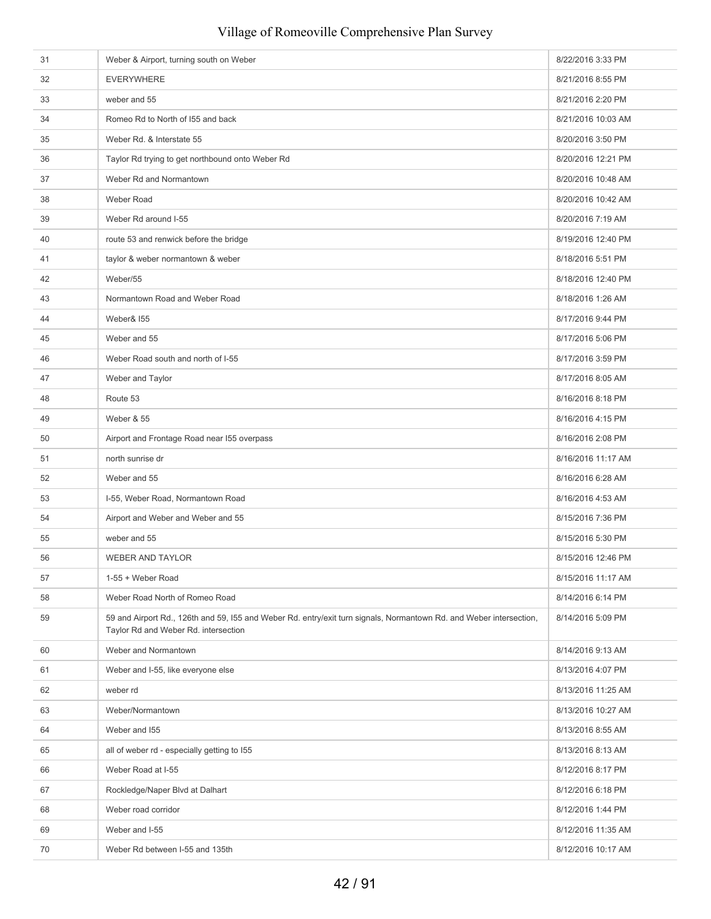| 31 | Weber & Airport, turning south on Weber                                                                                                                     | 8/22/2016 3:33 PM  |
|----|-------------------------------------------------------------------------------------------------------------------------------------------------------------|--------------------|
| 32 | <b>EVERYWHERE</b>                                                                                                                                           | 8/21/2016 8:55 PM  |
| 33 | weber and 55                                                                                                                                                | 8/21/2016 2:20 PM  |
| 34 | Romeo Rd to North of 155 and back                                                                                                                           | 8/21/2016 10:03 AM |
| 35 | Weber Rd. & Interstate 55                                                                                                                                   | 8/20/2016 3:50 PM  |
| 36 | Taylor Rd trying to get northbound onto Weber Rd                                                                                                            | 8/20/2016 12:21 PM |
| 37 | Weber Rd and Normantown                                                                                                                                     | 8/20/2016 10:48 AM |
| 38 | Weber Road                                                                                                                                                  | 8/20/2016 10:42 AM |
| 39 | Weber Rd around I-55                                                                                                                                        | 8/20/2016 7:19 AM  |
| 40 | route 53 and renwick before the bridge                                                                                                                      | 8/19/2016 12:40 PM |
| 41 | taylor & weber normantown & weber                                                                                                                           | 8/18/2016 5:51 PM  |
| 42 | Weber/55                                                                                                                                                    | 8/18/2016 12:40 PM |
| 43 | Normantown Road and Weber Road                                                                                                                              | 8/18/2016 1:26 AM  |
| 44 | Weber& I55                                                                                                                                                  | 8/17/2016 9:44 PM  |
| 45 | Weber and 55                                                                                                                                                | 8/17/2016 5:06 PM  |
| 46 | Weber Road south and north of I-55                                                                                                                          | 8/17/2016 3:59 PM  |
| 47 | Weber and Taylor                                                                                                                                            | 8/17/2016 8:05 AM  |
| 48 | Route 53                                                                                                                                                    | 8/16/2016 8:18 PM  |
| 49 | <b>Weber &amp; 55</b>                                                                                                                                       | 8/16/2016 4:15 PM  |
| 50 | Airport and Frontage Road near 155 overpass                                                                                                                 | 8/16/2016 2:08 PM  |
| 51 | north sunrise dr                                                                                                                                            | 8/16/2016 11:17 AM |
| 52 | Weber and 55                                                                                                                                                | 8/16/2016 6:28 AM  |
| 53 | I-55, Weber Road, Normantown Road                                                                                                                           | 8/16/2016 4:53 AM  |
| 54 | Airport and Weber and Weber and 55                                                                                                                          | 8/15/2016 7:36 PM  |
| 55 | weber and 55                                                                                                                                                | 8/15/2016 5:30 PM  |
| 56 | <b>WEBER AND TAYLOR</b>                                                                                                                                     | 8/15/2016 12:46 PM |
| 57 | 1-55 + Weber Road                                                                                                                                           | 8/15/2016 11:17 AM |
| 58 | Weber Road North of Romeo Road                                                                                                                              | 8/14/2016 6:14 PM  |
| 59 | 59 and Airport Rd., 126th and 59, I55 and Weber Rd. entry/exit turn signals, Normantown Rd. and Weber intersection,<br>Taylor Rd and Weber Rd. intersection | 8/14/2016 5:09 PM  |
| 60 | Weber and Normantown                                                                                                                                        | 8/14/2016 9:13 AM  |
| 61 | Weber and I-55, like everyone else                                                                                                                          | 8/13/2016 4:07 PM  |
| 62 | weber rd                                                                                                                                                    | 8/13/2016 11:25 AM |
| 63 | Weber/Normantown                                                                                                                                            | 8/13/2016 10:27 AM |
| 64 | Weber and I55                                                                                                                                               | 8/13/2016 8:55 AM  |
| 65 | all of weber rd - especially getting to I55                                                                                                                 | 8/13/2016 8:13 AM  |
| 66 | Weber Road at I-55                                                                                                                                          | 8/12/2016 8:17 PM  |
| 67 | Rockledge/Naper Blvd at Dalhart                                                                                                                             | 8/12/2016 6:18 PM  |
| 68 | Weber road corridor                                                                                                                                         | 8/12/2016 1:44 PM  |
| 69 | Weber and I-55                                                                                                                                              | 8/12/2016 11:35 AM |
| 70 | Weber Rd between I-55 and 135th                                                                                                                             | 8/12/2016 10:17 AM |
|    |                                                                                                                                                             |                    |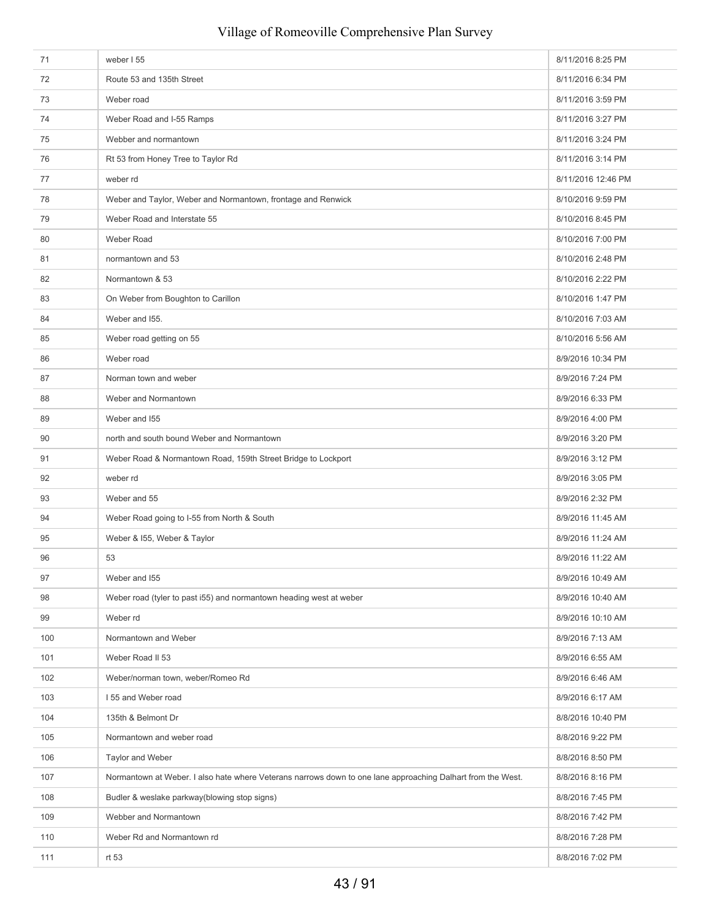| 71  | weber I 55                                                                                                  | 8/11/2016 8:25 PM  |
|-----|-------------------------------------------------------------------------------------------------------------|--------------------|
| 72  | Route 53 and 135th Street                                                                                   | 8/11/2016 6:34 PM  |
| 73  | Weber road                                                                                                  | 8/11/2016 3:59 PM  |
| 74  | Weber Road and I-55 Ramps                                                                                   | 8/11/2016 3:27 PM  |
| 75  | Webber and normantown                                                                                       | 8/11/2016 3:24 PM  |
| 76  | Rt 53 from Honey Tree to Taylor Rd                                                                          | 8/11/2016 3:14 PM  |
| 77  | weber rd                                                                                                    | 8/11/2016 12:46 PM |
| 78  | Weber and Taylor, Weber and Normantown, frontage and Renwick                                                | 8/10/2016 9:59 PM  |
| 79  | Weber Road and Interstate 55                                                                                | 8/10/2016 8:45 PM  |
| 80  | Weber Road                                                                                                  | 8/10/2016 7:00 PM  |
| 81  | normantown and 53                                                                                           | 8/10/2016 2:48 PM  |
| 82  | Normantown & 53                                                                                             | 8/10/2016 2:22 PM  |
| 83  | On Weber from Boughton to Carillon                                                                          | 8/10/2016 1:47 PM  |
| 84  | Weber and I55.                                                                                              | 8/10/2016 7:03 AM  |
| 85  | Weber road getting on 55                                                                                    | 8/10/2016 5:56 AM  |
| 86  | Weber road                                                                                                  | 8/9/2016 10:34 PM  |
| 87  | Norman town and weber                                                                                       | 8/9/2016 7:24 PM   |
| 88  | Weber and Normantown                                                                                        | 8/9/2016 6:33 PM   |
| 89  | Weber and I55                                                                                               | 8/9/2016 4:00 PM   |
| 90  | north and south bound Weber and Normantown                                                                  | 8/9/2016 3:20 PM   |
| 91  | Weber Road & Normantown Road, 159th Street Bridge to Lockport                                               | 8/9/2016 3:12 PM   |
| 92  | weber rd                                                                                                    | 8/9/2016 3:05 PM   |
| 93  | Weber and 55                                                                                                | 8/9/2016 2:32 PM   |
| 94  | Weber Road going to I-55 from North & South                                                                 | 8/9/2016 11:45 AM  |
| 95  | Weber & 155, Weber & Taylor                                                                                 | 8/9/2016 11:24 AM  |
| 96  | 53                                                                                                          | 8/9/2016 11:22 AM  |
| 97  | Weber and I55                                                                                               | 8/9/2016 10:49 AM  |
| 98  | Weber road (tyler to past i55) and normantown heading west at weber                                         | 8/9/2016 10:40 AM  |
| 99  | Weber rd                                                                                                    | 8/9/2016 10:10 AM  |
| 100 | Normantown and Weber                                                                                        | 8/9/2016 7:13 AM   |
| 101 | Weber Road II 53                                                                                            | 8/9/2016 6:55 AM   |
| 102 | Weber/norman town, weber/Romeo Rd                                                                           | 8/9/2016 6:46 AM   |
| 103 | 155 and Weber road                                                                                          | 8/9/2016 6:17 AM   |
| 104 | 135th & Belmont Dr                                                                                          | 8/8/2016 10:40 PM  |
| 105 | Normantown and weber road                                                                                   | 8/8/2016 9:22 PM   |
| 106 | Taylor and Weber                                                                                            | 8/8/2016 8:50 PM   |
| 107 | Normantown at Weber. I also hate where Veterans narrows down to one lane approaching Dalhart from the West. | 8/8/2016 8:16 PM   |
| 108 | Budler & weslake parkway(blowing stop signs)                                                                | 8/8/2016 7:45 PM   |
| 109 | Webber and Normantown                                                                                       | 8/8/2016 7:42 PM   |
| 110 | Weber Rd and Normantown rd                                                                                  | 8/8/2016 7:28 PM   |
| 111 | rt 53                                                                                                       | 8/8/2016 7:02 PM   |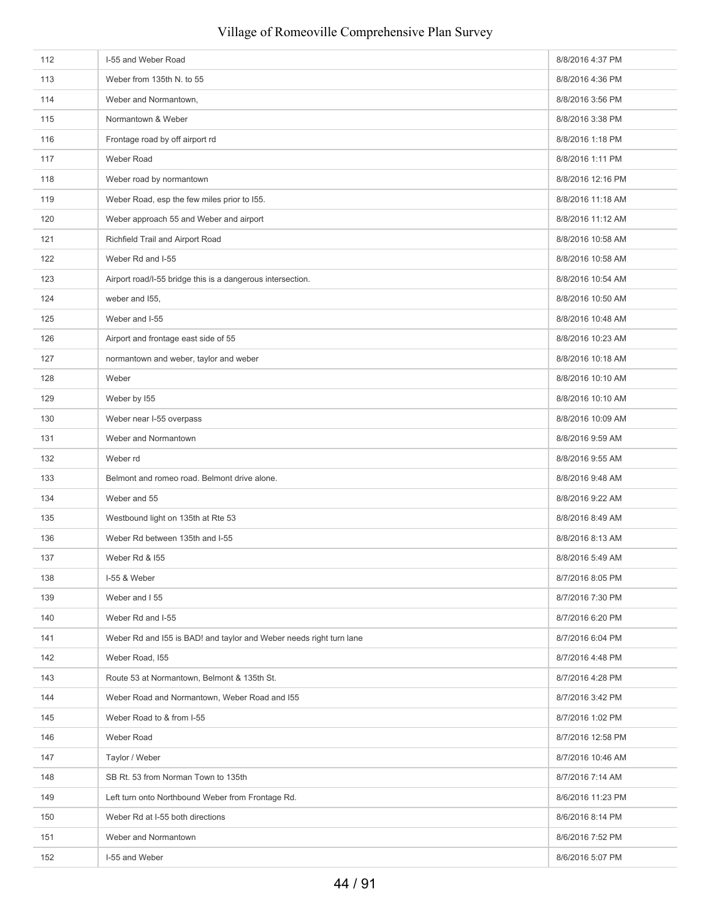# 112 **I-55 and Weber Road** 8/8/2016 4:37 PM 113 Weber from 135th N. to 55 8/8/2016 4:36 PM 114 Weber and Normantown and the state of the state of the state of the state of the state of the State of the State of the State of the State of the State of the State of the State of the State of the State of the State o 115 Normantown & Weber 8/8/2016 3:38 PM 116 **Frontage road by off airport rd** 8/8/2016 1:18 PM 117 Weber Road Network and States and States and States and States and States and States and States and States and States and States and States and States and States and States and States and States and States and States a 118 Weber road by normantown 8/8/2016 12:16 PM 119 Weber Road, esp the few miles prior to 155. Subset of the state of the state of the S/8/2016 11:18 AM 120 Weber approach 55 and Weber and airport 8/8/2016 11:12 AM 121 Richfield Trail and Airport Road 8/8/2016 10:58 AM 122 Weber Rd and I-55 8/8/2016 10:58 AM Service 2018 12:00 12:00 12:00 12:00 12:00 12:00 12:00 12:00 12:00 12:00 12:00 12:00 12:00 12:00 12:00 12:00 12:00 12:00 12:00 12:00 12:00 12:00 12:00 12:00 12:00 12:00 12:00 12:00 1 123 Airport road/I-55 bridge this is a dangerous intersection. **8/8/2016** 10:54 AM 124 weber and 155, 8/8/2016 10:50 AM 125 Weber and I-55 8/8/2016 10:48 AM 126 Airport and frontage east side of 55 **Biographic science of the set of 55** 8/8/2016 10:23 AM 127 **hormantown and weber, taylor and weber** 8/8/2016 10:18 AM 128 Weber 8/8/2016 10:10 AM & Research 2016 10:10 AM & Research 2016 10:10 AM & Research 2016 10:10 AM & Research 2016 10:10 AM & Research 2016 10:10 AM & Research 2016 10:10 AM & Research 2016 10:10 AM & Research 2016 10: 129 Weber by I55 8/8/2016 10:10 AM 130 Weber near I-55 overpass 8/8/2016 10:09 AM Service and the state of the state of the state of the state of the state of the state of the state of the state of the state of the state of the state of the state of the sta 131 Weber and Normantown 8/8/2016 9:59 AM 132 Weber rd **8/8/2016** 9:55 AM 133 Belmont and romeo road. Belmont drive alone. **8/8/2016** 9:48 AM 134 Weber and 55 8/8/2016 9:22 AM 135 Westbound light on 135th at Rte 53 8/8/2016 8:49 AM 136 Weber Rd between 135th and I-55 8/8/2016 8:13 AM 137 Weber Rd & 155 8/8/2016 5:49 AM 138 I-55 & Weber 8/7/2016 8:05 PM 139 Weber and 155 8/7/2016 7:30 PM 140 Weber Rd and I-55 8/7/2016 6:20 PM 141 Weber Rd and 155 is BAD! and taylor and Weber needs right turn lane 8/7/2016 6:04 PM 142 Weber Road, I55 8/7/2016 4:48 PM 143 Route 53 at Normantown, Belmont & 135th St. 8/7/2016 4:28 PM 144 Weber Road and Normantown, Weber Road and I55 8/7/2016 3:42 PM 145 Weber Road to & from I-55 8/7/2016 1:02 PM 146 Weber Road 8/7/2016 12:58 PM 147 Taylor / Weber 8/7/2016 10:46 AM 148 SB Rt. 53 from Norman Town to 135th 8/7/2016 7:14 AM 149 Left turn onto Northbound Weber from Frontage Rd. **8/6/2016** 11:23 PM 150 Weber Rd at I-55 both directions 8/6/2016 8:14 PM 151 Weber and Normantown 8/6/2016 7:52 PM 152 **I-55 and Weber 8/6/2016** 5:07 PM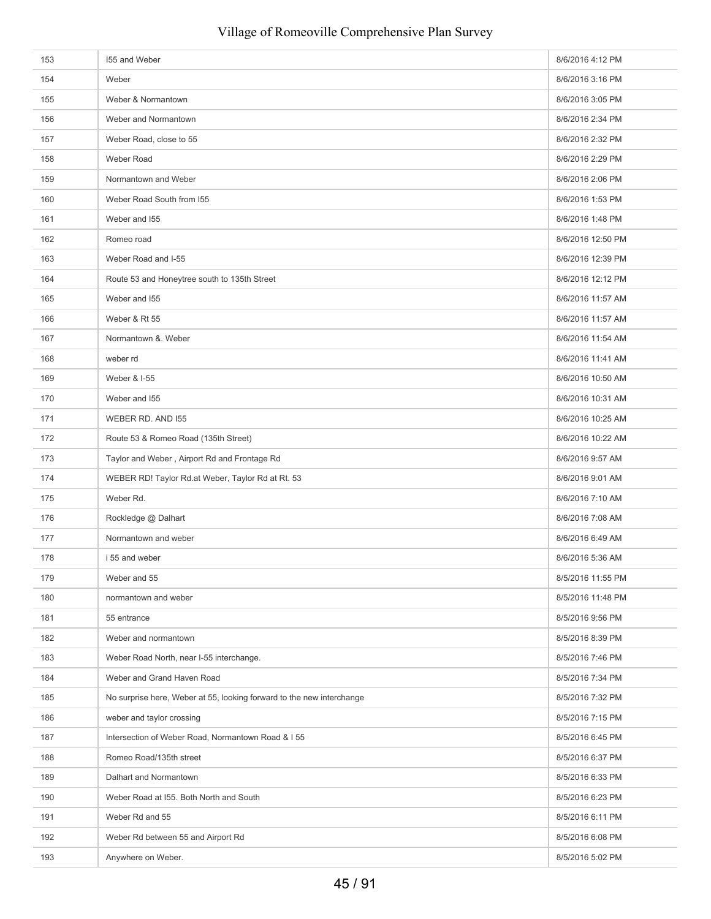| 153 | 155 and Weber                                                         | 8/6/2016 4:12 PM  |
|-----|-----------------------------------------------------------------------|-------------------|
| 154 | Weber                                                                 | 8/6/2016 3:16 PM  |
| 155 | Weber & Normantown                                                    | 8/6/2016 3:05 PM  |
| 156 | Weber and Normantown                                                  | 8/6/2016 2:34 PM  |
| 157 | Weber Road, close to 55                                               | 8/6/2016 2:32 PM  |
| 158 | Weber Road                                                            | 8/6/2016 2:29 PM  |
| 159 | Normantown and Weber                                                  | 8/6/2016 2:06 PM  |
| 160 | Weber Road South from 155                                             | 8/6/2016 1:53 PM  |
| 161 | Weber and I55                                                         | 8/6/2016 1:48 PM  |
| 162 | Romeo road                                                            | 8/6/2016 12:50 PM |
| 163 | Weber Road and I-55                                                   | 8/6/2016 12:39 PM |
| 164 | Route 53 and Honeytree south to 135th Street                          | 8/6/2016 12:12 PM |
| 165 | Weber and I55                                                         | 8/6/2016 11:57 AM |
| 166 | Weber & Rt 55                                                         | 8/6/2016 11:57 AM |
| 167 | Normantown &. Weber                                                   | 8/6/2016 11:54 AM |
| 168 | weber rd                                                              | 8/6/2016 11:41 AM |
| 169 | Weber & I-55                                                          | 8/6/2016 10:50 AM |
| 170 | Weber and I55                                                         | 8/6/2016 10:31 AM |
| 171 | WEBER RD. AND 155                                                     | 8/6/2016 10:25 AM |
| 172 | Route 53 & Romeo Road (135th Street)                                  | 8/6/2016 10:22 AM |
| 173 | Taylor and Weber, Airport Rd and Frontage Rd                          | 8/6/2016 9:57 AM  |
| 174 | WEBER RD! Taylor Rd.at Weber, Taylor Rd at Rt. 53                     | 8/6/2016 9:01 AM  |
| 175 | Weber Rd.                                                             | 8/6/2016 7:10 AM  |
| 176 | Rockledge @ Dalhart                                                   | 8/6/2016 7:08 AM  |
| 177 | Normantown and weber                                                  | 8/6/2016 6:49 AM  |
| 178 | i 55 and weber                                                        | 8/6/2016 5:36 AM  |
| 179 | Weber and 55                                                          | 8/5/2016 11:55 PM |
| 180 | normantown and weber                                                  | 8/5/2016 11:48 PM |
| 181 | 55 entrance                                                           | 8/5/2016 9:56 PM  |
| 182 | Weber and normantown                                                  | 8/5/2016 8:39 PM  |
| 183 | Weber Road North, near I-55 interchange.                              | 8/5/2016 7:46 PM  |
| 184 | Weber and Grand Haven Road                                            | 8/5/2016 7:34 PM  |
| 185 | No surprise here, Weber at 55, looking forward to the new interchange | 8/5/2016 7:32 PM  |
| 186 | weber and taylor crossing                                             | 8/5/2016 7:15 PM  |
| 187 | Intersection of Weber Road, Normantown Road & I 55                    | 8/5/2016 6:45 PM  |
| 188 | Romeo Road/135th street                                               | 8/5/2016 6:37 PM  |
| 189 | Dalhart and Normantown                                                | 8/5/2016 6:33 PM  |
| 190 | Weber Road at I55. Both North and South                               | 8/5/2016 6:23 PM  |
| 191 | Weber Rd and 55                                                       | 8/5/2016 6:11 PM  |
| 192 | Weber Rd between 55 and Airport Rd                                    | 8/5/2016 6:08 PM  |
| 193 | Anywhere on Weber.                                                    | 8/5/2016 5:02 PM  |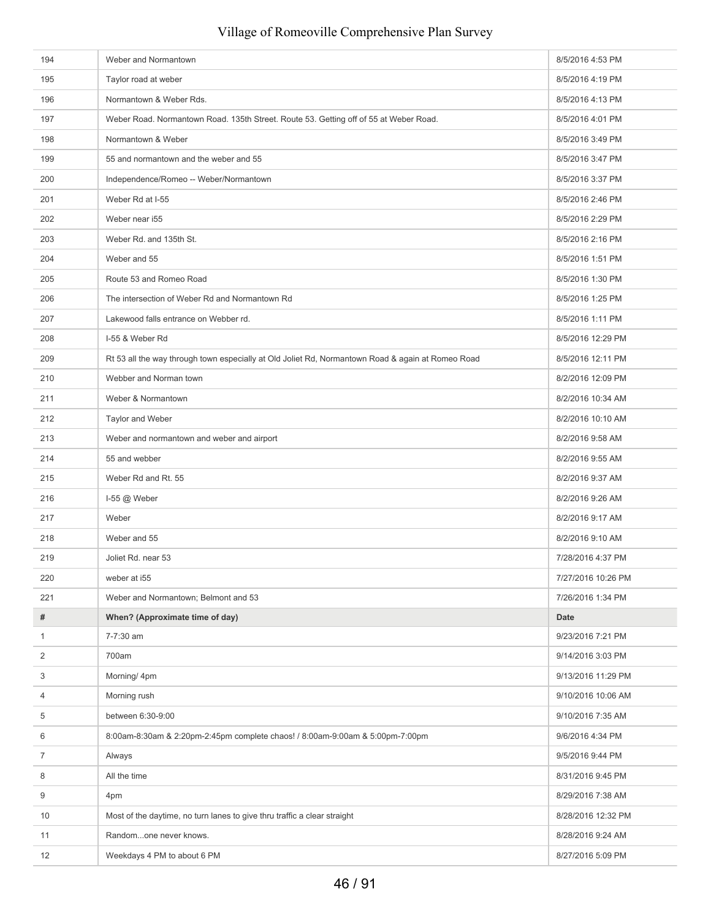| 194            | Weber and Normantown                                                                              | 8/5/2016 4:53 PM   |
|----------------|---------------------------------------------------------------------------------------------------|--------------------|
| 195            | Taylor road at weber                                                                              | 8/5/2016 4:19 PM   |
| 196            | Normantown & Weber Rds.                                                                           | 8/5/2016 4:13 PM   |
| 197            | Weber Road. Normantown Road. 135th Street. Route 53. Getting off of 55 at Weber Road.             | 8/5/2016 4:01 PM   |
| 198            | Normantown & Weber                                                                                | 8/5/2016 3:49 PM   |
| 199            | 55 and normantown and the weber and 55                                                            | 8/5/2016 3:47 PM   |
| 200            | Independence/Romeo -- Weber/Normantown                                                            | 8/5/2016 3:37 PM   |
| 201            | Weber Rd at I-55                                                                                  | 8/5/2016 2:46 PM   |
| 202            | Weber near i55                                                                                    | 8/5/2016 2:29 PM   |
| 203            | Weber Rd. and 135th St.                                                                           | 8/5/2016 2:16 PM   |
| 204            | Weber and 55                                                                                      | 8/5/2016 1:51 PM   |
| 205            | Route 53 and Romeo Road                                                                           | 8/5/2016 1:30 PM   |
| 206            | The intersection of Weber Rd and Normantown Rd                                                    | 8/5/2016 1:25 PM   |
| 207            | Lakewood falls entrance on Webber rd.                                                             | 8/5/2016 1:11 PM   |
| 208            | I-55 & Weber Rd                                                                                   | 8/5/2016 12:29 PM  |
| 209            | Rt 53 all the way through town especially at Old Joliet Rd, Normantown Road & again at Romeo Road | 8/5/2016 12:11 PM  |
| 210            | Webber and Norman town                                                                            | 8/2/2016 12:09 PM  |
| 211            | Weber & Normantown                                                                                | 8/2/2016 10:34 AM  |
| 212            | Taylor and Weber                                                                                  | 8/2/2016 10:10 AM  |
| 213            | Weber and normantown and weber and airport                                                        | 8/2/2016 9:58 AM   |
| 214            | 55 and webber                                                                                     | 8/2/2016 9:55 AM   |
| 215            | Weber Rd and Rt. 55                                                                               | 8/2/2016 9:37 AM   |
| 216            | 1-55 @ Weber                                                                                      | 8/2/2016 9:26 AM   |
| 217            | Weber                                                                                             | 8/2/2016 9:17 AM   |
| 218            | Weber and 55                                                                                      | 8/2/2016 9:10 AM   |
| 219            | Joliet Rd. near 53                                                                                | 7/28/2016 4:37 PM  |
| 220            | weber at i55                                                                                      | 7/27/2016 10:26 PM |
| 221            | Weber and Normantown; Belmont and 53                                                              | 7/26/2016 1:34 PM  |
| #              | When? (Approximate time of day)                                                                   | <b>Date</b>        |
| $\mathbf{1}$   | 7-7:30 am                                                                                         | 9/23/2016 7:21 PM  |
| 2              | 700am                                                                                             | 9/14/2016 3:03 PM  |
| 3              | Morning/ 4pm                                                                                      | 9/13/2016 11:29 PM |
| 4              | Morning rush                                                                                      | 9/10/2016 10:06 AM |
| 5              | between 6:30-9:00                                                                                 | 9/10/2016 7:35 AM  |
|                |                                                                                                   |                    |
| 6              | 8:00am-8:30am & 2:20pm-2:45pm complete chaos! / 8:00am-9:00am & 5:00pm-7:00pm                     | 9/6/2016 4:34 PM   |
| $\overline{7}$ | Always                                                                                            | 9/5/2016 9:44 PM   |
| 8              | All the time                                                                                      | 8/31/2016 9:45 PM  |
| 9              | 4pm                                                                                               | 8/29/2016 7:38 AM  |
| 10             | Most of the daytime, no turn lanes to give thru traffic a clear straight                          | 8/28/2016 12:32 PM |
| 11             | Randomone never knows.                                                                            | 8/28/2016 9:24 AM  |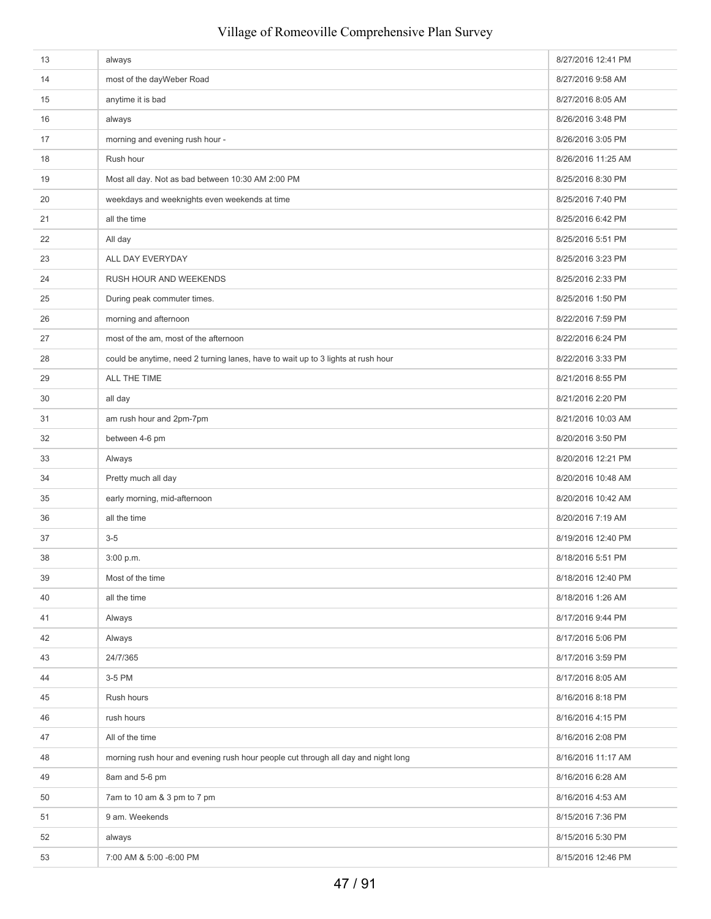| 13 | always                                                                            | 8/27/2016 12:41 PM |
|----|-----------------------------------------------------------------------------------|--------------------|
| 14 | most of the dayWeber Road                                                         | 8/27/2016 9:58 AM  |
| 15 | anytime it is bad                                                                 | 8/27/2016 8:05 AM  |
| 16 | always                                                                            | 8/26/2016 3:48 PM  |
| 17 | morning and evening rush hour -                                                   | 8/26/2016 3:05 PM  |
| 18 | Rush hour                                                                         | 8/26/2016 11:25 AM |
| 19 | Most all day. Not as bad between 10:30 AM 2:00 PM                                 | 8/25/2016 8:30 PM  |
| 20 | weekdays and weeknights even weekends at time                                     | 8/25/2016 7:40 PM  |
| 21 | all the time                                                                      | 8/25/2016 6:42 PM  |
| 22 | All day                                                                           | 8/25/2016 5:51 PM  |
| 23 | ALL DAY EVERYDAY                                                                  | 8/25/2016 3:23 PM  |
| 24 | RUSH HOUR AND WEEKENDS                                                            | 8/25/2016 2:33 PM  |
| 25 | During peak commuter times.                                                       | 8/25/2016 1:50 PM  |
| 26 | morning and afternoon                                                             | 8/22/2016 7:59 PM  |
| 27 | most of the am, most of the afternoon                                             | 8/22/2016 6:24 PM  |
| 28 | could be anytime, need 2 turning lanes, have to wait up to 3 lights at rush hour  | 8/22/2016 3:33 PM  |
| 29 | ALL THE TIME                                                                      | 8/21/2016 8:55 PM  |
| 30 | all day                                                                           | 8/21/2016 2:20 PM  |
| 31 | am rush hour and 2pm-7pm                                                          | 8/21/2016 10:03 AM |
| 32 | between 4-6 pm                                                                    | 8/20/2016 3:50 PM  |
| 33 | Always                                                                            | 8/20/2016 12:21 PM |
| 34 | Pretty much all day                                                               | 8/20/2016 10:48 AM |
| 35 | early morning, mid-afternoon                                                      | 8/20/2016 10:42 AM |
| 36 | all the time                                                                      | 8/20/2016 7:19 AM  |
| 37 | $3-5$                                                                             | 8/19/2016 12:40 PM |
| 38 | 3:00 p.m.                                                                         | 8/18/2016 5:51 PM  |
| 39 | Most of the time                                                                  | 8/18/2016 12:40 PM |
| 40 | all the time                                                                      | 8/18/2016 1:26 AM  |
| 41 | Always                                                                            | 8/17/2016 9:44 PM  |
| 42 | Always                                                                            | 8/17/2016 5:06 PM  |
| 43 | 24/7/365                                                                          | 8/17/2016 3:59 PM  |
| 44 | 3-5 PM                                                                            | 8/17/2016 8:05 AM  |
| 45 | Rush hours                                                                        | 8/16/2016 8:18 PM  |
| 46 | rush hours                                                                        | 8/16/2016 4:15 PM  |
| 47 | All of the time                                                                   | 8/16/2016 2:08 PM  |
| 48 | morning rush hour and evening rush hour people cut through all day and night long | 8/16/2016 11:17 AM |
| 49 | 8am and 5-6 pm                                                                    | 8/16/2016 6:28 AM  |
| 50 | 7am to 10 am & 3 pm to 7 pm                                                       | 8/16/2016 4:53 AM  |
| 51 | 9 am. Weekends                                                                    | 8/15/2016 7:36 PM  |
| 52 | always                                                                            | 8/15/2016 5:30 PM  |
| 53 | 7:00 AM & 5:00 -6:00 PM                                                           | 8/15/2016 12:46 PM |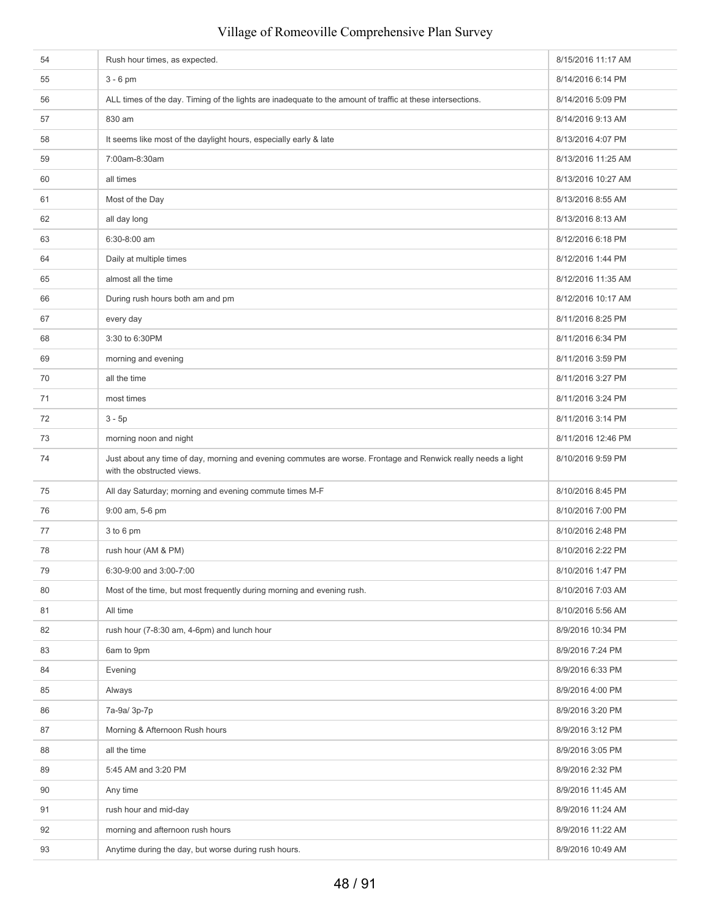| 54 | Rush hour times, as expected.                                                                                                               | 8/15/2016 11:17 AM |
|----|---------------------------------------------------------------------------------------------------------------------------------------------|--------------------|
| 55 | $3 - 6$ pm                                                                                                                                  | 8/14/2016 6:14 PM  |
| 56 | ALL times of the day. Timing of the lights are inadequate to the amount of traffic at these intersections.                                  | 8/14/2016 5:09 PM  |
| 57 | 830 am                                                                                                                                      | 8/14/2016 9:13 AM  |
| 58 | It seems like most of the daylight hours, especially early & late                                                                           | 8/13/2016 4:07 PM  |
| 59 | 7:00am-8:30am                                                                                                                               | 8/13/2016 11:25 AM |
| 60 | all times                                                                                                                                   | 8/13/2016 10:27 AM |
| 61 | Most of the Day                                                                                                                             | 8/13/2016 8:55 AM  |
| 62 | all day long                                                                                                                                | 8/13/2016 8:13 AM  |
| 63 | 6:30-8:00 am                                                                                                                                | 8/12/2016 6:18 PM  |
| 64 | Daily at multiple times                                                                                                                     | 8/12/2016 1:44 PM  |
| 65 | almost all the time                                                                                                                         | 8/12/2016 11:35 AM |
| 66 | During rush hours both am and pm                                                                                                            | 8/12/2016 10:17 AM |
| 67 | every day                                                                                                                                   | 8/11/2016 8:25 PM  |
| 68 | 3:30 to 6:30PM                                                                                                                              | 8/11/2016 6:34 PM  |
| 69 | morning and evening                                                                                                                         | 8/11/2016 3:59 PM  |
| 70 | all the time                                                                                                                                | 8/11/2016 3:27 PM  |
| 71 | most times                                                                                                                                  | 8/11/2016 3:24 PM  |
| 72 | $3 - 5p$                                                                                                                                    | 8/11/2016 3:14 PM  |
| 73 | morning noon and night                                                                                                                      | 8/11/2016 12:46 PM |
| 74 | Just about any time of day, morning and evening commutes are worse. Frontage and Renwick really needs a light<br>with the obstructed views. | 8/10/2016 9:59 PM  |
| 75 | All day Saturday; morning and evening commute times M-F                                                                                     | 8/10/2016 8:45 PM  |
| 76 | 9:00 am, 5-6 pm                                                                                                                             | 8/10/2016 7:00 PM  |
| 77 | 3 to 6 pm                                                                                                                                   | 8/10/2016 2:48 PM  |
| 78 | rush hour (AM & PM)                                                                                                                         | 8/10/2016 2:22 PM  |
| 79 | 6:30-9:00 and 3:00-7:00                                                                                                                     | 8/10/2016 1:47 PM  |
| 80 | Most of the time, but most frequently during morning and evening rush.                                                                      | 8/10/2016 7:03 AM  |
| 81 | All time                                                                                                                                    | 8/10/2016 5:56 AM  |
| 82 | rush hour (7-8:30 am, 4-6pm) and lunch hour                                                                                                 | 8/9/2016 10:34 PM  |
| 83 | 6am to 9pm                                                                                                                                  | 8/9/2016 7:24 PM   |
| 84 | Evening                                                                                                                                     | 8/9/2016 6:33 PM   |
| 85 | Always                                                                                                                                      | 8/9/2016 4:00 PM   |
| 86 | 7a-9a/ 3p-7p                                                                                                                                | 8/9/2016 3:20 PM   |
| 87 | Morning & Afternoon Rush hours                                                                                                              | 8/9/2016 3:12 PM   |
| 88 | all the time                                                                                                                                | 8/9/2016 3:05 PM   |
| 89 | 5:45 AM and 3:20 PM                                                                                                                         | 8/9/2016 2:32 PM   |
| 90 | Any time                                                                                                                                    | 8/9/2016 11:45 AM  |
| 91 | rush hour and mid-day                                                                                                                       | 8/9/2016 11:24 AM  |
| 92 | morning and afternoon rush hours                                                                                                            | 8/9/2016 11:22 AM  |
| 93 | Anytime during the day, but worse during rush hours.                                                                                        | 8/9/2016 10:49 AM  |
|    |                                                                                                                                             |                    |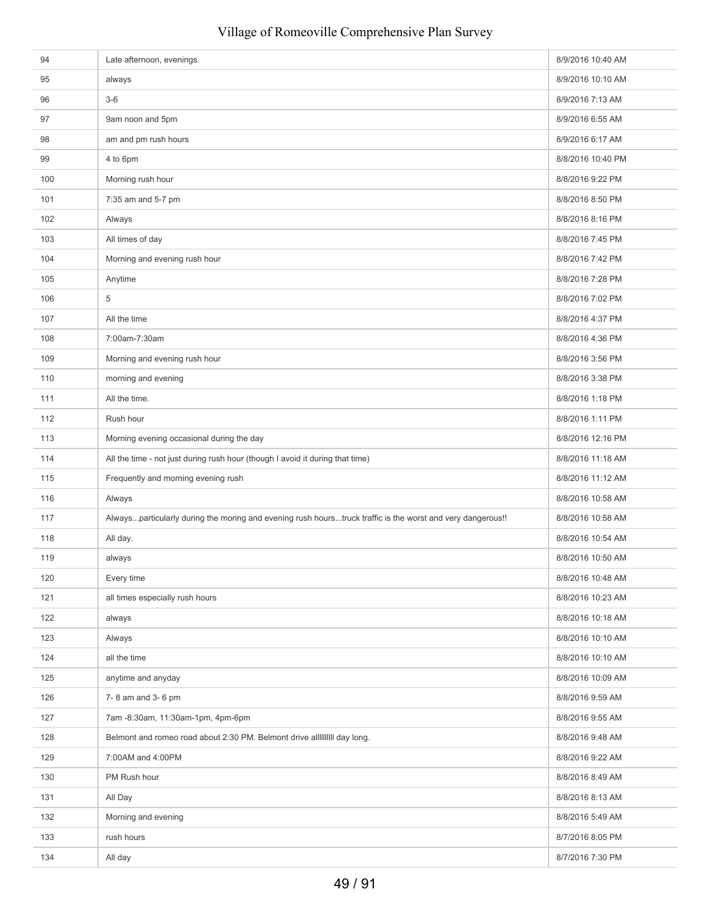| 94  | Late afternoon, evenings.                                                                                  | 8/9/2016 10:40 AM |
|-----|------------------------------------------------------------------------------------------------------------|-------------------|
| 95  | always                                                                                                     | 8/9/2016 10:10 AM |
| 96  | $3-6$                                                                                                      | 8/9/2016 7:13 AM  |
| 97  | 9am noon and 5pm                                                                                           | 8/9/2016 6:55 AM  |
| 98  | am and pm rush hours                                                                                       | 8/9/2016 6:17 AM  |
| 99  | 4 to 6pm                                                                                                   | 8/8/2016 10:40 PM |
| 100 | Morning rush hour                                                                                          | 8/8/2016 9:22 PM  |
| 101 | 7:35 am and 5-7 pm                                                                                         | 8/8/2016 8:50 PM  |
| 102 | Always                                                                                                     | 8/8/2016 8:16 PM  |
| 103 | All times of day                                                                                           | 8/8/2016 7:45 PM  |
| 104 | Morning and evening rush hour                                                                              | 8/8/2016 7:42 PM  |
| 105 | Anytime                                                                                                    | 8/8/2016 7:28 PM  |
| 106 | 5                                                                                                          | 8/8/2016 7:02 PM  |
| 107 | All the time                                                                                               | 8/8/2016 4:37 PM  |
| 108 | 7:00am-7:30am                                                                                              | 8/8/2016 4:36 PM  |
| 109 | Morning and evening rush hour                                                                              | 8/8/2016 3:56 PM  |
| 110 | morning and evening                                                                                        | 8/8/2016 3:38 PM  |
| 111 | All the time.                                                                                              | 8/8/2016 1:18 PM  |
| 112 | Rush hour                                                                                                  | 8/8/2016 1:11 PM  |
| 113 | Morning evening occasional during the day                                                                  | 8/8/2016 12:16 PM |
| 114 | All the time - not just during rush hour (though I avoid it during that time)                              | 8/8/2016 11:18 AM |
| 115 | Frequently and morning evening rush                                                                        | 8/8/2016 11:12 AM |
| 116 | Always                                                                                                     | 8/8/2016 10:58 AM |
| 117 | Alwaysparticularly during the moring and evening rush hourstruck traffic is the worst and very dangerous!! | 8/8/2016 10:58 AM |
| 118 | All day.                                                                                                   | 8/8/2016 10:54 AM |
| 119 | always                                                                                                     | 8/8/2016 10:50 AM |
| 120 | Every time                                                                                                 | 8/8/2016 10:48 AM |
| 121 | all times especially rush hours                                                                            | 8/8/2016 10:23 AM |
| 122 | always                                                                                                     | 8/8/2016 10:18 AM |
| 123 | Always                                                                                                     | 8/8/2016 10:10 AM |
| 124 | all the time                                                                                               | 8/8/2016 10:10 AM |
| 125 | anytime and anyday                                                                                         | 8/8/2016 10:09 AM |
| 126 | 7-8 am and 3-6 pm                                                                                          | 8/8/2016 9:59 AM  |
| 127 | 7am -8:30am, 11:30am-1pm, 4pm-6pm                                                                          | 8/8/2016 9:55 AM  |
| 128 | Belmont and romeo road about 2:30 PM. Belmont drive all IIIIIIII day long.                                 | 8/8/2016 9:48 AM  |
| 129 | 7:00AM and 4:00PM                                                                                          | 8/8/2016 9:22 AM  |
| 130 | PM Rush hour                                                                                               | 8/8/2016 8:49 AM  |
| 131 | All Day                                                                                                    | 8/8/2016 8:13 AM  |
| 132 | Morning and evening                                                                                        | 8/8/2016 5:49 AM  |
| 133 | rush hours                                                                                                 | 8/7/2016 8:05 PM  |
| 134 | All day                                                                                                    | 8/7/2016 7:30 PM  |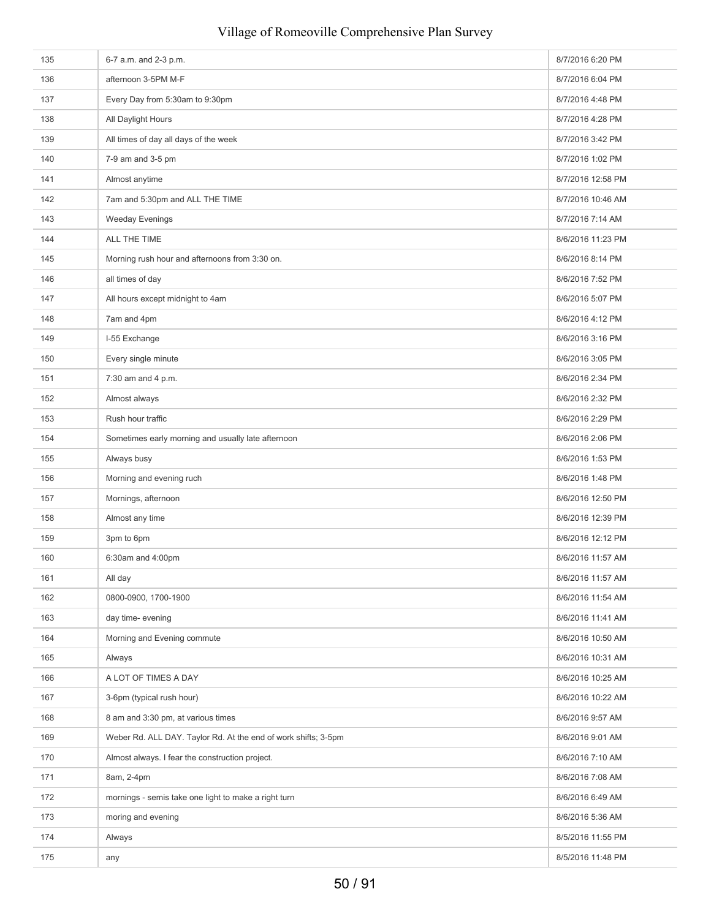# 135 6-7 a.m. and 2-3 p.m. 8/7/2016 6:20 PM 136 **afternoon 3-5PM M-F** 8/7/2016 6:04 PM 137 **Every Day from 5:30am to 9:30pm 8/7/2016 4:48 PM 8/7/2016 4:48 PM** 138 All Daylight Hours **All Daylight Hours** 8/7/2016 4:28 PM 139 All times of day all days of the week 8/7/2016 3:42 PM 140 7-9 am and 3-5 pm 8/7/2016 1:02 PM 141 Almost anytime **8/7/2016** 12:58 PM 142 7am and 5:30pm and ALL THE TIME 8/7/2016 10:46 AM 143 Weeday Evenings 8/7/2016 7:14 AM 144 ALL THE TIME **ALL THE TIME** 145 Morning rush hour and afternoons from 3:30 on. 8. 8/6/2016 8:14 PM 146 all times of day all times of day and the set of the set of the set of the set of the set of the set of the set of the set of the set of the set of the set of the set of the set of the set of the set of the set of the 147 All hours except midnight to 4am 8/6/2016 5:07 PM 148 7am and 4pm 8/6/2016 4:12 PM 149 I-55 Exchange 8/6/2016 3:16 PM 150 Every single minute **BUSIC SET SETTER** 8/6/2016 3:05 PM 151 7:30 am and 4 p.m. **8/6/2016** 2:34 PM 152 Almost always and the state of the state of the state of the state of the state of the state of the state of the state of the state of the state of the state of the state of the state of the state of the state of the s 153 Rush hour traffic **8/6/2016** 2:29 PM 154 Sometimes early morning and usually late afternoon **8/6/2016** 2:06 PM 155 Always busy and the state of the state of the state of the state of the state of the state of the state of the state of the state of the state of the state of the state of the state of the state of the state of the sta 156 Morning and evening ruch 8/6/2016 1:48 PM 157 Mornings, afternoon 8/6/2016 12:50 PM 158 Almost any time **8/6/2016** 12:39 PM 159 3pm to 6pm 8/6/2016 12:12 PM 8/6/2016 12:12 PM 8/6/2016 12:12 PM 8/6/2016 12:12 PM 8/6/2016 12:12 PM 8/6/2016 12:12 PM 8/6/2016 12:12 PM 8/6/2016 12:12 PM 8/6/2016 12:12 PM 8/6/2016 12:12 PM 8/6/2016 12:12 PM 8/6/2016 160 6:30am and 4:00pm 8/6/2016 11:57 AM 161 All day 8/6/2016 11:57 AM 162 0800-0900, 1700-1900 8/6/2016 11:54 AM 163 day time- evening the state of the state of the state of the state of the state of the state of the state of the state of the state of the state of the state of the state of the state of the state of the state of the s 164 Morning and Evening commute 8/6/2016 10:50 AM 165 Always 8/6/2016 10:31 AM 166 A LOT OF TIMES A DAY 8/6/2016 10:25 AM 167 3-6pm (typical rush hour) 8/6/2016 10:22 AM 168 8/6/2016 9:57 AM 8 am and 3:30 pm, at various times 8/6/2016 9:57 AM 169 Weber Rd. ALL DAY. Taylor Rd. At the end of work shifts; 3-5pm 8/6/2016 9:01 AM 170 Almost always. I fear the construction project. Almost 2008 and the construction project. 171 8am, 2-4pm 8/6/2016 7:08 AM 172 mornings - semis take one light to make a right turn 8/6/2016 6:49 AM 173 moring and evening and evening the state of the state of the state of the state of the state of the state of the state of the state of the state of the state of the state of the state of the state of the state of the s 174 Always Always Always Always Always Always Always Always Always Always Always Always Always Always Always Always Always Always Always Always Always Always Always Always Always Always Always Always Always Always Always A 175 any 8/5/2016 11:48 PM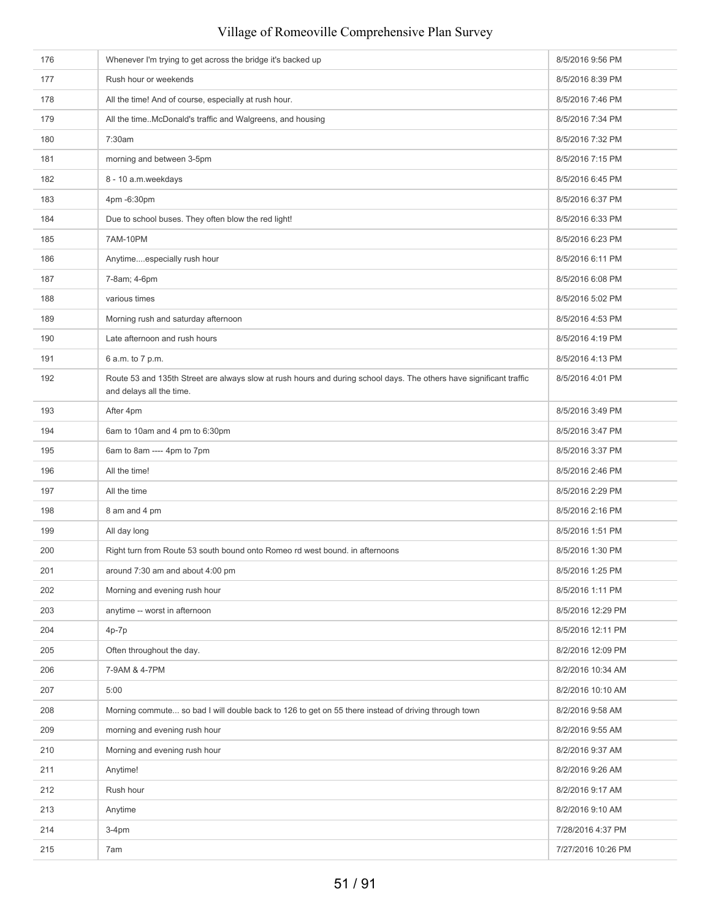| 176 | Whenever I'm trying to get across the bridge it's backed up                                                                                     | 8/5/2016 9:56 PM   |
|-----|-------------------------------------------------------------------------------------------------------------------------------------------------|--------------------|
| 177 | Rush hour or weekends                                                                                                                           | 8/5/2016 8:39 PM   |
| 178 | All the time! And of course, especially at rush hour.                                                                                           | 8/5/2016 7:46 PM   |
| 179 | All the timeMcDonald's traffic and Walgreens, and housing                                                                                       | 8/5/2016 7:34 PM   |
| 180 | 7:30am                                                                                                                                          | 8/5/2016 7:32 PM   |
| 181 | morning and between 3-5pm                                                                                                                       | 8/5/2016 7:15 PM   |
| 182 | 8 - 10 a.m.weekdays                                                                                                                             | 8/5/2016 6:45 PM   |
| 183 | 4pm -6:30pm                                                                                                                                     | 8/5/2016 6:37 PM   |
| 184 | Due to school buses. They often blow the red light!                                                                                             | 8/5/2016 6:33 PM   |
| 185 | 7AM-10PM                                                                                                                                        | 8/5/2016 6:23 PM   |
| 186 | Anytimeespecially rush hour                                                                                                                     | 8/5/2016 6:11 PM   |
| 187 | 7-8am; 4-6pm                                                                                                                                    | 8/5/2016 6:08 PM   |
| 188 | various times                                                                                                                                   | 8/5/2016 5:02 PM   |
| 189 | Morning rush and saturday afternoon                                                                                                             | 8/5/2016 4:53 PM   |
| 190 | Late afternoon and rush hours                                                                                                                   | 8/5/2016 4:19 PM   |
| 191 | 6 a.m. to 7 p.m.                                                                                                                                | 8/5/2016 4:13 PM   |
| 192 | Route 53 and 135th Street are always slow at rush hours and during school days. The others have significant traffic<br>and delays all the time. | 8/5/2016 4:01 PM   |
| 193 | After 4pm                                                                                                                                       | 8/5/2016 3:49 PM   |
| 194 | 6am to 10am and 4 pm to 6:30pm                                                                                                                  | 8/5/2016 3:47 PM   |
| 195 | 6am to 8am ---- 4pm to 7pm                                                                                                                      | 8/5/2016 3:37 PM   |
| 196 | All the time!                                                                                                                                   | 8/5/2016 2:46 PM   |
| 197 | All the time                                                                                                                                    | 8/5/2016 2:29 PM   |
| 198 | 8 am and 4 pm                                                                                                                                   | 8/5/2016 2:16 PM   |
| 199 | All day long                                                                                                                                    | 8/5/2016 1:51 PM   |
| 200 | Right turn from Route 53 south bound onto Romeo rd west bound. in afternoons                                                                    | 8/5/2016 1:30 PM   |
| 201 | around 7:30 am and about 4:00 pm                                                                                                                | 8/5/2016 1:25 PM   |
| 202 | Morning and evening rush hour                                                                                                                   | 8/5/2016 1:11 PM   |
| 203 | anytime -- worst in afternoon                                                                                                                   | 8/5/2016 12:29 PM  |
| 204 | $4p-7p$                                                                                                                                         | 8/5/2016 12:11 PM  |
| 205 | Often throughout the day.                                                                                                                       | 8/2/2016 12:09 PM  |
| 206 | 7-9AM & 4-7PM                                                                                                                                   | 8/2/2016 10:34 AM  |
| 207 | 5:00                                                                                                                                            | 8/2/2016 10:10 AM  |
| 208 | Morning commute so bad I will double back to 126 to get on 55 there instead of driving through town                                             | 8/2/2016 9:58 AM   |
| 209 | morning and evening rush hour                                                                                                                   | 8/2/2016 9:55 AM   |
| 210 | Morning and evening rush hour                                                                                                                   | 8/2/2016 9:37 AM   |
| 211 | Anytime!                                                                                                                                        | 8/2/2016 9:26 AM   |
| 212 | Rush hour                                                                                                                                       | 8/2/2016 9:17 AM   |
| 213 | Anytime                                                                                                                                         | 8/2/2016 9:10 AM   |
| 214 | $3-4pm$                                                                                                                                         | 7/28/2016 4:37 PM  |
| 215 | 7am                                                                                                                                             | 7/27/2016 10:26 PM |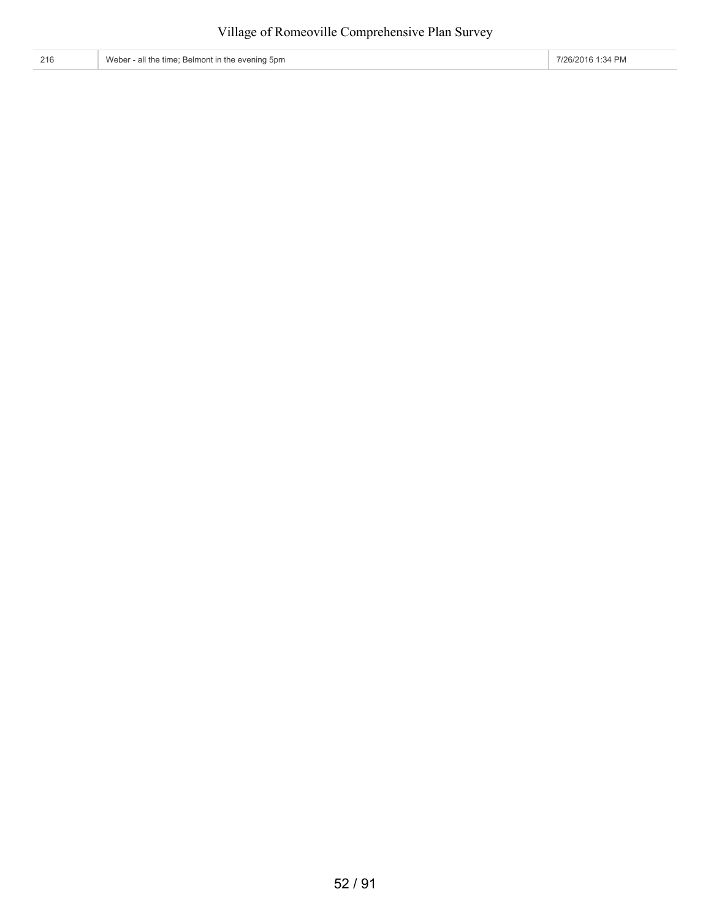216 Weber - all the time; Belmont in the evening 5pm **7/26/2016** 1:34 PM

52 / 91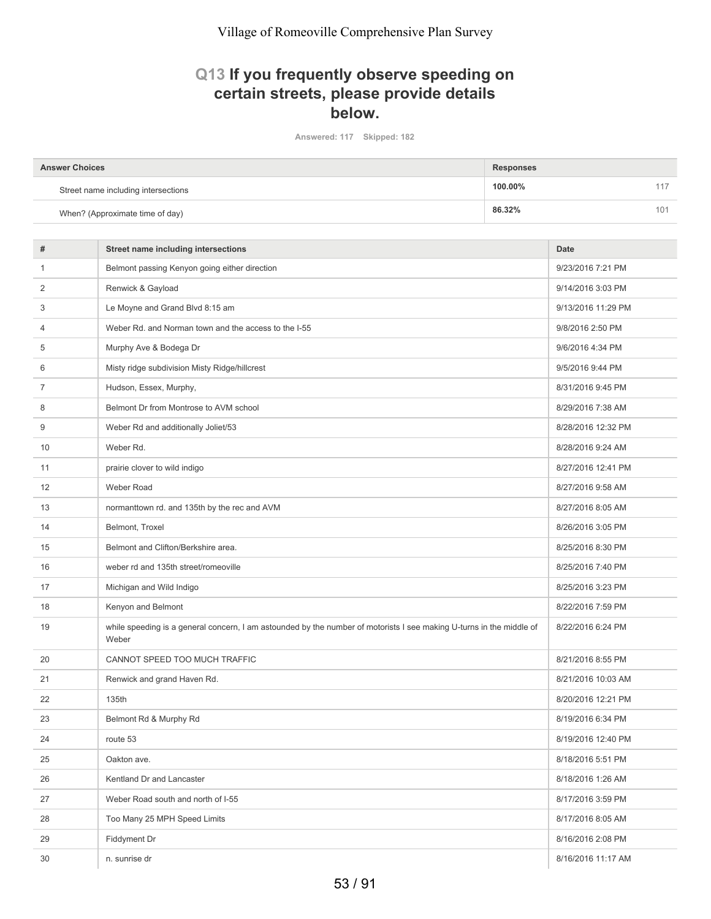# **Q13 If you frequently observe speeding on certain streets, please provide details below.**

**Answered: 117 Skipped: 182**

| <b>Answer Choices</b>               | Responses |  |
|-------------------------------------|-----------|--|
| Street name including intersections | 100.00%   |  |
| When? (Approximate time of day)     | 86.32%    |  |

| #            | <b>Street name including intersections</b>                                                                                    | <b>Date</b>        |
|--------------|-------------------------------------------------------------------------------------------------------------------------------|--------------------|
| $\mathbf{1}$ | Belmont passing Kenyon going either direction                                                                                 | 9/23/2016 7:21 PM  |
| 2            | Renwick & Gayload                                                                                                             | 9/14/2016 3:03 PM  |
| 3            | Le Moyne and Grand Blvd 8:15 am                                                                                               | 9/13/2016 11:29 PM |
| 4            | Weber Rd. and Norman town and the access to the I-55                                                                          | 9/8/2016 2:50 PM   |
| 5            | Murphy Ave & Bodega Dr                                                                                                        | 9/6/2016 4:34 PM   |
| 6            | Misty ridge subdivision Misty Ridge/hillcrest                                                                                 | 9/5/2016 9:44 PM   |
| 7            | Hudson, Essex, Murphy,                                                                                                        | 8/31/2016 9:45 PM  |
| 8            | Belmont Dr from Montrose to AVM school                                                                                        | 8/29/2016 7:38 AM  |
| 9            | Weber Rd and additionally Joliet/53                                                                                           | 8/28/2016 12:32 PM |
| 10           | Weber Rd.                                                                                                                     | 8/28/2016 9:24 AM  |
| 11           | prairie clover to wild indigo                                                                                                 | 8/27/2016 12:41 PM |
| 12           | Weber Road                                                                                                                    | 8/27/2016 9:58 AM  |
| 13           | normanttown rd. and 135th by the rec and AVM                                                                                  | 8/27/2016 8:05 AM  |
| 14           | Belmont, Troxel                                                                                                               | 8/26/2016 3:05 PM  |
| 15           | Belmont and Clifton/Berkshire area.                                                                                           | 8/25/2016 8:30 PM  |
| 16           | weber rd and 135th street/romeoville                                                                                          | 8/25/2016 7:40 PM  |
| 17           | Michigan and Wild Indigo                                                                                                      | 8/25/2016 3:23 PM  |
| 18           | Kenyon and Belmont                                                                                                            | 8/22/2016 7:59 PM  |
| 19           | while speeding is a general concern, I am astounded by the number of motorists I see making U-turns in the middle of<br>Weber | 8/22/2016 6:24 PM  |
| 20           | CANNOT SPEED TOO MUCH TRAFFIC                                                                                                 | 8/21/2016 8:55 PM  |
| 21           | Renwick and grand Haven Rd.                                                                                                   | 8/21/2016 10:03 AM |
| 22           | 135th                                                                                                                         | 8/20/2016 12:21 PM |
| 23           | Belmont Rd & Murphy Rd                                                                                                        | 8/19/2016 6:34 PM  |
| 24           | route 53                                                                                                                      | 8/19/2016 12:40 PM |
| 25           | Oakton ave.                                                                                                                   | 8/18/2016 5:51 PM  |
| 26           | Kentland Dr and Lancaster                                                                                                     | 8/18/2016 1:26 AM  |
| 27           | Weber Road south and north of I-55                                                                                            | 8/17/2016 3:59 PM  |
| 28           | Too Many 25 MPH Speed Limits                                                                                                  | 8/17/2016 8:05 AM  |
| 29           | Fiddyment Dr                                                                                                                  | 8/16/2016 2:08 PM  |
| 30           | n. sunrise dr                                                                                                                 | 8/16/2016 11:17 AM |
|              |                                                                                                                               |                    |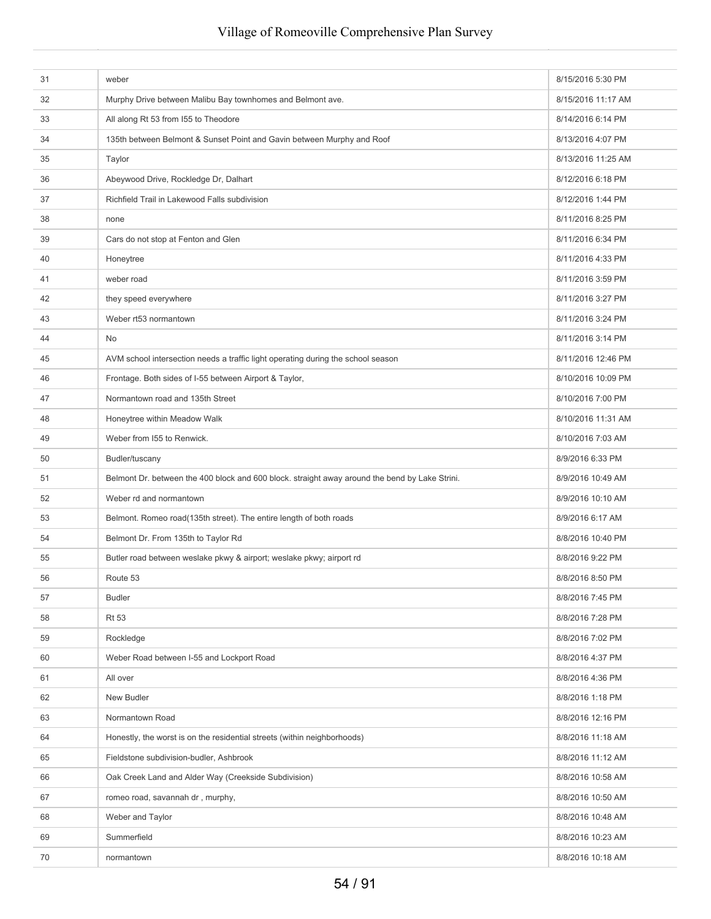| 31 | weber                                                                                          | 8/15/2016 5:30 PM  |
|----|------------------------------------------------------------------------------------------------|--------------------|
| 32 | Murphy Drive between Malibu Bay townhomes and Belmont ave.                                     | 8/15/2016 11:17 AM |
| 33 | All along Rt 53 from 155 to Theodore                                                           | 8/14/2016 6:14 PM  |
| 34 | 135th between Belmont & Sunset Point and Gavin between Murphy and Roof                         | 8/13/2016 4:07 PM  |
| 35 | Taylor                                                                                         | 8/13/2016 11:25 AM |
| 36 | Abeywood Drive, Rockledge Dr, Dalhart                                                          | 8/12/2016 6:18 PM  |
| 37 | Richfield Trail in Lakewood Falls subdivision                                                  | 8/12/2016 1:44 PM  |
| 38 | none                                                                                           | 8/11/2016 8:25 PM  |
| 39 | Cars do not stop at Fenton and Glen                                                            | 8/11/2016 6:34 PM  |
| 40 | Honeytree                                                                                      | 8/11/2016 4:33 PM  |
| 41 | weber road                                                                                     | 8/11/2016 3:59 PM  |
| 42 | they speed everywhere                                                                          | 8/11/2016 3:27 PM  |
| 43 | Weber rt53 normantown                                                                          | 8/11/2016 3:24 PM  |
| 44 | No                                                                                             | 8/11/2016 3:14 PM  |
| 45 | AVM school intersection needs a traffic light operating during the school season               | 8/11/2016 12:46 PM |
| 46 | Frontage. Both sides of I-55 between Airport & Taylor,                                         | 8/10/2016 10:09 PM |
| 47 | Normantown road and 135th Street                                                               | 8/10/2016 7:00 PM  |
| 48 | Honeytree within Meadow Walk                                                                   | 8/10/2016 11:31 AM |
| 49 | Weber from 155 to Renwick.                                                                     | 8/10/2016 7:03 AM  |
| 50 | Budler/tuscany                                                                                 | 8/9/2016 6:33 PM   |
| 51 | Belmont Dr. between the 400 block and 600 block. straight away around the bend by Lake Strini. | 8/9/2016 10:49 AM  |
| 52 | Weber rd and normantown                                                                        | 8/9/2016 10:10 AM  |
| 53 | Belmont. Romeo road(135th street). The entire length of both roads                             | 8/9/2016 6:17 AM   |
| 54 | Belmont Dr. From 135th to Taylor Rd                                                            | 8/8/2016 10:40 PM  |
| 55 | Butler road between weslake pkwy & airport; weslake pkwy; airport rd                           | 8/8/2016 9:22 PM   |
| 56 | Route 53                                                                                       | 8/8/2016 8:50 PM   |
| 57 | <b>Budler</b>                                                                                  | 8/8/2016 7:45 PM   |
| 58 | <b>Rt 53</b>                                                                                   | 8/8/2016 7:28 PM   |
| 59 | Rockledge                                                                                      | 8/8/2016 7:02 PM   |
| 60 | Weber Road between I-55 and Lockport Road                                                      | 8/8/2016 4:37 PM   |
| 61 | All over                                                                                       | 8/8/2016 4:36 PM   |
| 62 | New Budler                                                                                     | 8/8/2016 1:18 PM   |
| 63 | Normantown Road                                                                                | 8/8/2016 12:16 PM  |
| 64 | Honestly, the worst is on the residential streets (within neighborhoods)                       | 8/8/2016 11:18 AM  |
| 65 | Fieldstone subdivision-budler, Ashbrook                                                        | 8/8/2016 11:12 AM  |
| 66 | Oak Creek Land and Alder Way (Creekside Subdivision)                                           | 8/8/2016 10:58 AM  |
| 67 | romeo road, savannah dr, murphy,                                                               | 8/8/2016 10:50 AM  |
| 68 | Weber and Taylor                                                                               | 8/8/2016 10:48 AM  |
| 69 | Summerfield                                                                                    | 8/8/2016 10:23 AM  |
| 70 | normantown                                                                                     | 8/8/2016 10:18 AM  |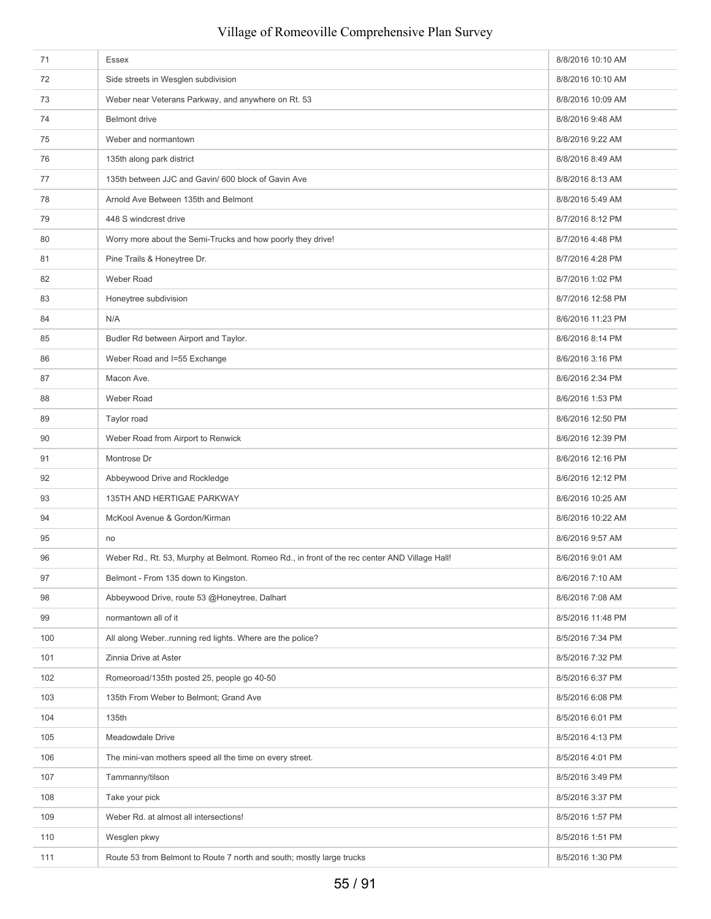| 71  | Essex                                                                                         | 8/8/2016 10:10 AM |
|-----|-----------------------------------------------------------------------------------------------|-------------------|
| 72  | Side streets in Wesglen subdivision                                                           | 8/8/2016 10:10 AM |
| 73  | Weber near Veterans Parkway, and anywhere on Rt. 53                                           | 8/8/2016 10:09 AM |
| 74  | <b>Belmont</b> drive                                                                          | 8/8/2016 9:48 AM  |
| 75  | Weber and normantown                                                                          | 8/8/2016 9:22 AM  |
| 76  | 135th along park district                                                                     | 8/8/2016 8:49 AM  |
| 77  | 135th between JJC and Gavin/ 600 block of Gavin Ave                                           | 8/8/2016 8:13 AM  |
| 78  | Arnold Ave Between 135th and Belmont                                                          | 8/8/2016 5:49 AM  |
| 79  | 448 S windcrest drive                                                                         | 8/7/2016 8:12 PM  |
| 80  | Worry more about the Semi-Trucks and how poorly they drive!                                   | 8/7/2016 4:48 PM  |
| 81  | Pine Trails & Honeytree Dr.                                                                   | 8/7/2016 4:28 PM  |
| 82  | <b>Weber Road</b>                                                                             | 8/7/2016 1:02 PM  |
| 83  | Honeytree subdivision                                                                         | 8/7/2016 12:58 PM |
| 84  | N/A                                                                                           | 8/6/2016 11:23 PM |
| 85  | Budler Rd between Airport and Taylor.                                                         | 8/6/2016 8:14 PM  |
| 86  | Weber Road and I=55 Exchange                                                                  | 8/6/2016 3:16 PM  |
| 87  | Macon Ave.                                                                                    | 8/6/2016 2:34 PM  |
| 88  | Weber Road                                                                                    | 8/6/2016 1:53 PM  |
| 89  | Taylor road                                                                                   | 8/6/2016 12:50 PM |
| 90  | Weber Road from Airport to Renwick                                                            | 8/6/2016 12:39 PM |
| 91  | Montrose Dr                                                                                   | 8/6/2016 12:16 PM |
| 92  | Abbeywood Drive and Rockledge                                                                 | 8/6/2016 12:12 PM |
| 93  | 135TH AND HERTIGAE PARKWAY                                                                    | 8/6/2016 10:25 AM |
| 94  | McKool Avenue & Gordon/Kirman                                                                 | 8/6/2016 10:22 AM |
| 95  | no                                                                                            | 8/6/2016 9:57 AM  |
| 96  | Weber Rd., Rt. 53, Murphy at Belmont. Romeo Rd., in front of the rec center AND Village Hall! | 8/6/2016 9:01 AM  |
| 97  | Belmont - From 135 down to Kingston.                                                          | 8/6/2016 7:10 AM  |
| 98  | Abbeywood Drive, route 53 @Honeytree, Dalhart                                                 | 8/6/2016 7:08 AM  |
| 99  | normantown all of it                                                                          | 8/5/2016 11:48 PM |
| 100 | All along Weberrunning red lights. Where are the police?                                      | 8/5/2016 7:34 PM  |
| 101 | Zinnia Drive at Aster                                                                         | 8/5/2016 7:32 PM  |
| 102 | Romeoroad/135th posted 25, people go 40-50                                                    | 8/5/2016 6:37 PM  |
| 103 | 135th From Weber to Belmont; Grand Ave                                                        | 8/5/2016 6:08 PM  |
| 104 | 135th                                                                                         | 8/5/2016 6:01 PM  |
| 105 | Meadowdale Drive                                                                              | 8/5/2016 4:13 PM  |
| 106 | The mini-van mothers speed all the time on every street.                                      | 8/5/2016 4:01 PM  |
| 107 | Tammanny/tilson                                                                               | 8/5/2016 3:49 PM  |
| 108 | Take your pick                                                                                | 8/5/2016 3:37 PM  |
| 109 | Weber Rd. at almost all intersections!                                                        | 8/5/2016 1:57 PM  |
| 110 | Wesglen pkwy                                                                                  | 8/5/2016 1:51 PM  |
| 111 | Route 53 from Belmont to Route 7 north and south; mostly large trucks                         | 8/5/2016 1:30 PM  |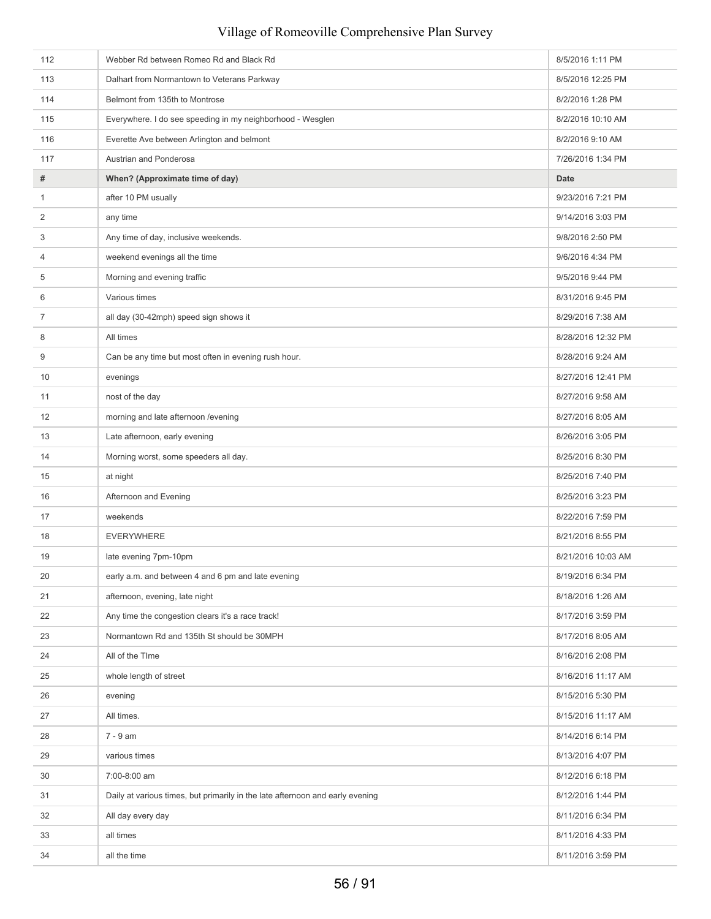| 112            | Webber Rd between Romeo Rd and Black Rd                                       | 8/5/2016 1:11 PM   |
|----------------|-------------------------------------------------------------------------------|--------------------|
| 113            | Dalhart from Normantown to Veterans Parkway                                   | 8/5/2016 12:25 PM  |
| 114            | Belmont from 135th to Montrose                                                | 8/2/2016 1:28 PM   |
| 115            | Everywhere. I do see speeding in my neighborhood - Wesglen                    | 8/2/2016 10:10 AM  |
| 116            | Everette Ave between Arlington and belmont                                    | 8/2/2016 9:10 AM   |
| 117            | Austrian and Ponderosa                                                        | 7/26/2016 1:34 PM  |
| #              | When? (Approximate time of day)                                               | Date               |
| 1              | after 10 PM usually                                                           | 9/23/2016 7:21 PM  |
| $\overline{2}$ | any time                                                                      | 9/14/2016 3:03 PM  |
| 3              | Any time of day, inclusive weekends.                                          | 9/8/2016 2:50 PM   |
| 4              | weekend evenings all the time                                                 | 9/6/2016 4:34 PM   |
| 5              | Morning and evening traffic                                                   | 9/5/2016 9:44 PM   |
| 6              | Various times                                                                 | 8/31/2016 9:45 PM  |
| $\overline{7}$ | all day (30-42mph) speed sign shows it                                        | 8/29/2016 7:38 AM  |
| 8              | All times                                                                     | 8/28/2016 12:32 PM |
| 9              | Can be any time but most often in evening rush hour.                          | 8/28/2016 9:24 AM  |
| 10             | evenings                                                                      | 8/27/2016 12:41 PM |
| 11             | nost of the day                                                               | 8/27/2016 9:58 AM  |
| 12             | morning and late afternoon /evening                                           | 8/27/2016 8:05 AM  |
| 13             | Late afternoon, early evening                                                 | 8/26/2016 3:05 PM  |
| 14             | Morning worst, some speeders all day.                                         | 8/25/2016 8:30 PM  |
| 15             | at night                                                                      | 8/25/2016 7:40 PM  |
| 16             | Afternoon and Evening                                                         | 8/25/2016 3:23 PM  |
| 17             | weekends                                                                      | 8/22/2016 7:59 PM  |
| 18             | <b>EVERYWHERE</b>                                                             | 8/21/2016 8:55 PM  |
| 19             | late evening 7pm-10pm                                                         | 8/21/2016 10:03 AM |
| 20             | early a.m. and between 4 and 6 pm and late evening                            | 8/19/2016 6:34 PM  |
| 21             | afternoon, evening, late night                                                | 8/18/2016 1:26 AM  |
| 22             | Any time the congestion clears it's a race track!                             | 8/17/2016 3:59 PM  |
| 23             | Normantown Rd and 135th St should be 30MPH                                    | 8/17/2016 8:05 AM  |
| 24             | All of the TIme                                                               | 8/16/2016 2:08 PM  |
| 25             | whole length of street                                                        | 8/16/2016 11:17 AM |
| 26             | evening                                                                       | 8/15/2016 5:30 PM  |
| 27             | All times.                                                                    | 8/15/2016 11:17 AM |
| 28             | 7 - 9 am                                                                      | 8/14/2016 6:14 PM  |
| 29             | various times                                                                 | 8/13/2016 4:07 PM  |
| 30             | 7:00-8:00 am                                                                  | 8/12/2016 6:18 PM  |
| 31             | Daily at various times, but primarily in the late afternoon and early evening | 8/12/2016 1:44 PM  |
| 32             | All day every day                                                             | 8/11/2016 6:34 PM  |
| 33             | all times                                                                     | 8/11/2016 4:33 PM  |
| 34             | all the time                                                                  | 8/11/2016 3:59 PM  |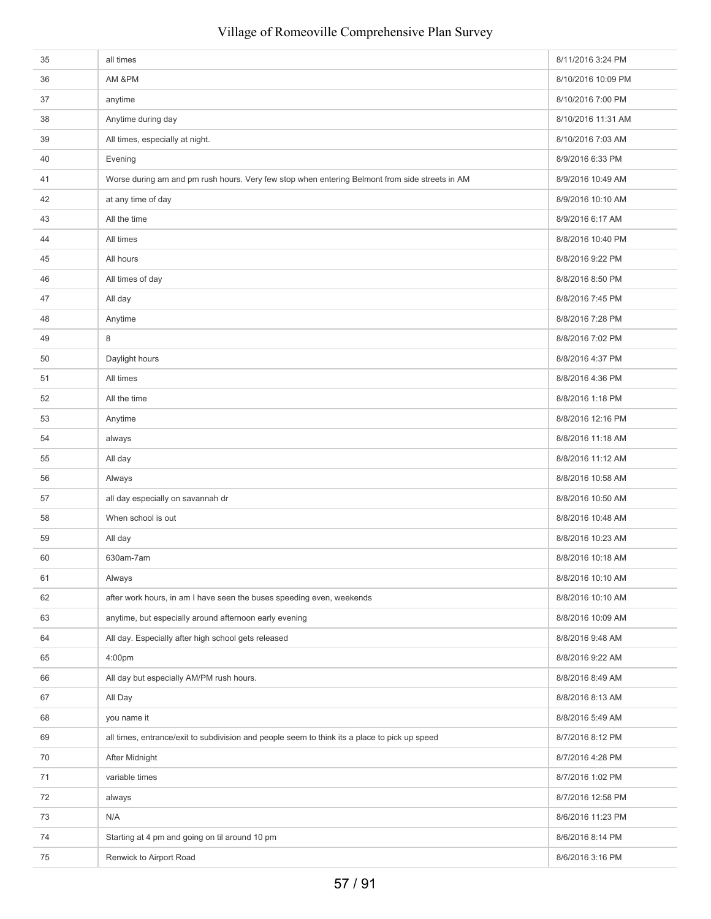| 35 | all times                                                                                      | 8/11/2016 3:24 PM  |
|----|------------------------------------------------------------------------------------------------|--------------------|
| 36 | AM &PM                                                                                         | 8/10/2016 10:09 PM |
| 37 | anytime                                                                                        | 8/10/2016 7:00 PM  |
| 38 | Anytime during day                                                                             | 8/10/2016 11:31 AM |
| 39 | All times, especially at night.                                                                | 8/10/2016 7:03 AM  |
| 40 | Evening                                                                                        | 8/9/2016 6:33 PM   |
| 41 | Worse during am and pm rush hours. Very few stop when entering Belmont from side streets in AM | 8/9/2016 10:49 AM  |
| 42 | at any time of day                                                                             | 8/9/2016 10:10 AM  |
| 43 | All the time                                                                                   | 8/9/2016 6:17 AM   |
| 44 | All times                                                                                      | 8/8/2016 10:40 PM  |
| 45 | All hours                                                                                      | 8/8/2016 9:22 PM   |
| 46 | All times of day                                                                               | 8/8/2016 8:50 PM   |
| 47 | All day                                                                                        | 8/8/2016 7:45 PM   |
| 48 | Anytime                                                                                        | 8/8/2016 7:28 PM   |
| 49 | 8                                                                                              | 8/8/2016 7:02 PM   |
| 50 | Daylight hours                                                                                 | 8/8/2016 4:37 PM   |
| 51 | All times                                                                                      | 8/8/2016 4:36 PM   |
| 52 | All the time                                                                                   | 8/8/2016 1:18 PM   |
| 53 | Anytime                                                                                        | 8/8/2016 12:16 PM  |
| 54 | always                                                                                         | 8/8/2016 11:18 AM  |
| 55 | All day                                                                                        | 8/8/2016 11:12 AM  |
| 56 | Always                                                                                         | 8/8/2016 10:58 AM  |
| 57 | all day especially on savannah dr                                                              | 8/8/2016 10:50 AM  |
| 58 | When school is out                                                                             | 8/8/2016 10:48 AM  |
| 59 | All day                                                                                        | 8/8/2016 10:23 AM  |
| 60 | 630am-7am                                                                                      | 8/8/2016 10:18 AM  |
| 61 | Always                                                                                         | 8/8/2016 10:10 AM  |
| 62 | after work hours, in am I have seen the buses speeding even, weekends                          | 8/8/2016 10:10 AM  |
| 63 | anytime, but especially around afternoon early evening                                         | 8/8/2016 10:09 AM  |
| 64 | All day. Especially after high school gets released                                            | 8/8/2016 9:48 AM   |
| 65 | 4:00pm                                                                                         | 8/8/2016 9:22 AM   |
| 66 | All day but especially AM/PM rush hours.                                                       | 8/8/2016 8:49 AM   |
| 67 | All Day                                                                                        | 8/8/2016 8:13 AM   |
| 68 | you name it                                                                                    | 8/8/2016 5:49 AM   |
| 69 | all times, entrance/exit to subdivision and people seem to think its a place to pick up speed  | 8/7/2016 8:12 PM   |
| 70 | After Midnight                                                                                 | 8/7/2016 4:28 PM   |
| 71 | variable times                                                                                 | 8/7/2016 1:02 PM   |
| 72 | always                                                                                         | 8/7/2016 12:58 PM  |
| 73 | N/A                                                                                            | 8/6/2016 11:23 PM  |
| 74 | Starting at 4 pm and going on til around 10 pm                                                 | 8/6/2016 8:14 PM   |
| 75 | Renwick to Airport Road                                                                        | 8/6/2016 3:16 PM   |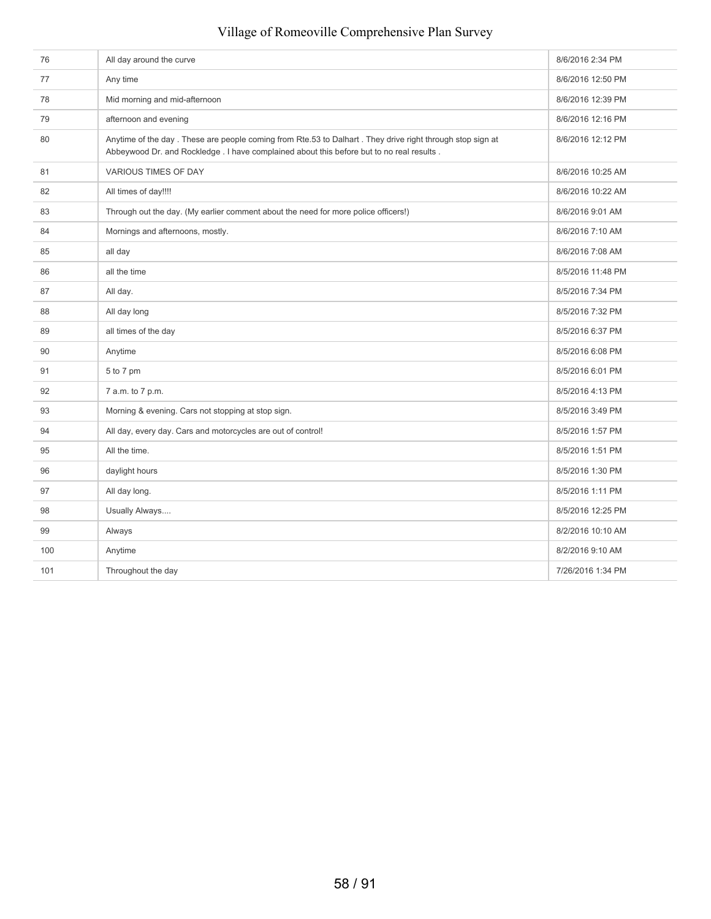### 76 All day around the curve **8/6/2016** 2:34 PM The Research of the Second Second Second Second Second Second Second Second Second Second Second Second Second Second Second Second Second Second Second Second Second Second Second Second Second Second Second Second Second The Mid morning and mid-afternoon 8/6/2016 12:39 PM and the state of the Middle State of the S/6/2016 12:39 PM afternoon and evening and the state of the state of the state of the state of the state of the state of the state of the state of the state of the state of the state of the state of the state of the state of the state of t 80 Anytime of the day . These are people coming from Rte.53 to Dalhart . They drive right through stop sign at Abbeywood Dr. and Rockledge . I have complained about this before but to no real results 8/6/2016 12:12 PM 81 VARIOUS TIMES OF DAY 8/6/2016 10:25 AM 82 All times of day!!!! 8/6/2016 10:22 AM 83 Through out the day. (My earlier comment about the need for more police officers!) 8/6/2016 9:01 AM 84 Mornings and afternoons, mostly. **8/6/2016 7:10 AM** 8/6/2016 7:10 AM 85 all day and the set of the set of the set of the set of the set of the set of the set of the set of the set of the set of the set of the set of the set of the set of the set of the set of the set of the set of the set o 86 all the time and the state of the state of the state of the state of the state of the state of the state of the state of the state of the state of the state of the state of the state of the state of the state of the sta 87 All day. All day. All day and the study of the study of the study of the study of the study of the study of the study of the study of the study of the study of the study of the study of the study of the study of the stu 88 All day long and the state of the state of the state of the state of the state of the state of the state of the state of the state of the state of the state of the state of the state of the state of the state of the sta 89 all times of the day **8/5/2016** 6:37 PM 90 Anytime 8/5/2016 6:08 PM 91 5 to 7 pm 8/5/2016 6:01 PM 92 7 a.m. to 7 p.m. 93 Morning & evening. Cars not stopping at stop sign. Supervisory of the stopping at stop sign. And the stopping of the stopping at stop sign. 94 All day, every day. Cars and motorcycles are out of control! 8/5/2016 1:57 PM 95 All the time. And the time of the time of the time of the time of the time of the time of the time of the time of the time of time of the time of time of the time of time of time of time of time of time of time of time 96 daylight hours 8/5/2016 1:30 PM 97 All day long. And a structure of the structure of the structure of the structure of the structure of the structure of the structure of the structure of the structure of the structure of the structure of the structure of 98 Usually Always.... 8/5/2016 12:25 PM 99 Always Always Always Always Always Always Always Always Always Always Always Always Always Always Always Always Always Always Always Always Always Always Always Always Always Always Always Always Always Always Always Al 100 Anytime 8/2/2016 9:10 AM 101 Throughout the day **101** Throughout the day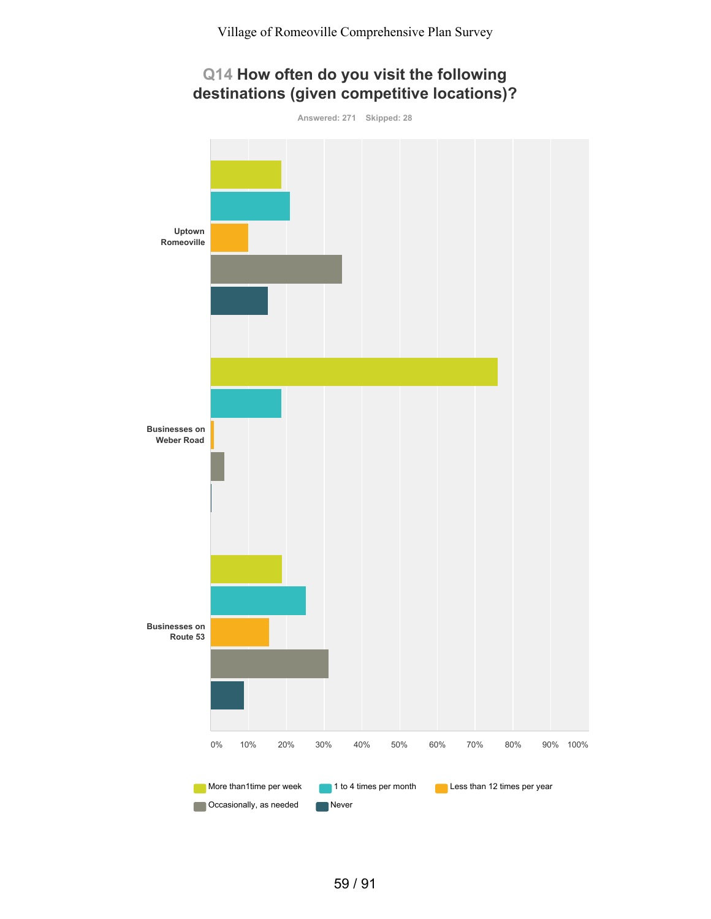# **Q14 How often do you visit the following destinations (given competitive locations)?**

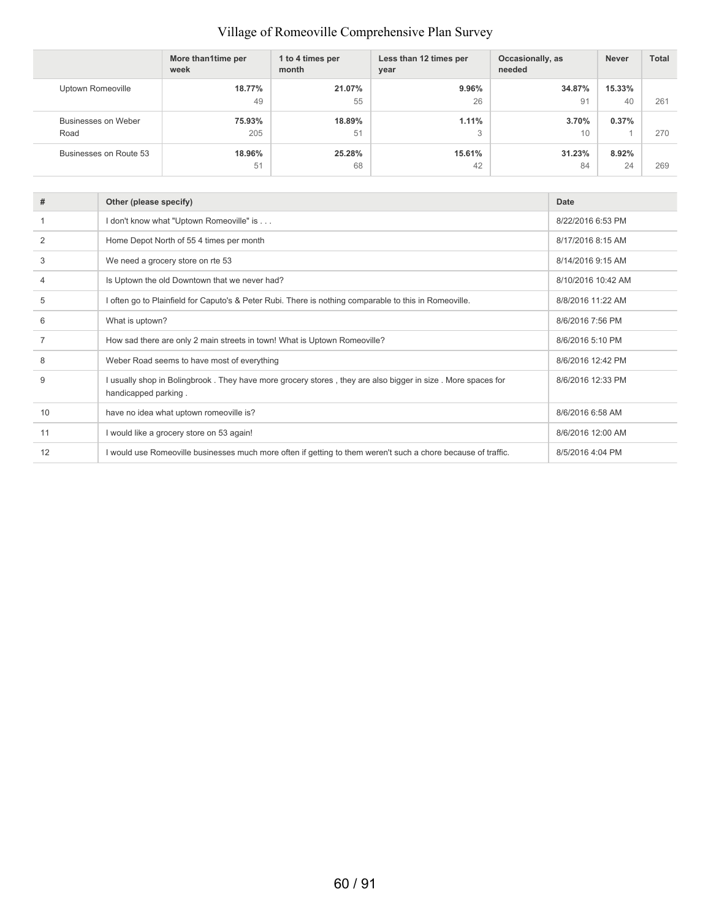|                        | More than1time per<br>week | 1 to 4 times per<br>month | Less than 12 times per<br>year | Occasionally, as<br>needed | <b>Never</b> | <b>Total</b> |
|------------------------|----------------------------|---------------------------|--------------------------------|----------------------------|--------------|--------------|
| Uptown Romeoville      | 18.77%                     | 21.07%                    | 9.96%                          | 34.87%                     | 15.33%       |              |
|                        | 49                         | 55                        | 26                             | 91                         | 40           | 261          |
| Businesses on Weber    | 75.93%                     | 18.89%                    | 1.11%                          | 3.70%                      | 0.37%        |              |
| Road                   | 205                        | 51                        | 3                              | 10                         |              | 270          |
| Businesses on Route 53 | 18.96%                     | 25.28%                    | 15.61%                         | 31.23%                     | 8.92%        |              |
|                        | 51                         | 68                        | 42                             | 84                         | 24           | 269          |

| #  | Other (please specify)                                                                                                              | <b>Date</b>        |
|----|-------------------------------------------------------------------------------------------------------------------------------------|--------------------|
|    | I don't know what "Uptown Romeoville" is                                                                                            | 8/22/2016 6:53 PM  |
| 2  | Home Depot North of 55 4 times per month                                                                                            | 8/17/2016 8:15 AM  |
| 3  | We need a grocery store on rte 53                                                                                                   | 8/14/2016 9:15 AM  |
| 4  | Is Uptown the old Downtown that we never had?                                                                                       | 8/10/2016 10:42 AM |
| 5  | I often go to Plainfield for Caputo's & Peter Rubi. There is nothing comparable to this in Romeoville.                              | 8/8/2016 11:22 AM  |
| 6  | What is uptown?                                                                                                                     | 8/6/2016 7:56 PM   |
|    | How sad there are only 2 main streets in town! What is Uptown Romeoville?                                                           | 8/6/2016 5:10 PM   |
| 8  | Weber Road seems to have most of everything                                                                                         | 8/6/2016 12:42 PM  |
| 9  | I usually shop in Bolingbrook. They have more grocery stores, they are also bigger in size. More spaces for<br>handicapped parking. | 8/6/2016 12:33 PM  |
| 10 | have no idea what uptown romeoville is?                                                                                             | 8/6/2016 6:58 AM   |
| 11 | I would like a grocery store on 53 again!                                                                                           | 8/6/2016 12:00 AM  |
| 12 | I would use Romeoville businesses much more often if getting to them weren't such a chore because of traffic.                       | 8/5/2016 4:04 PM   |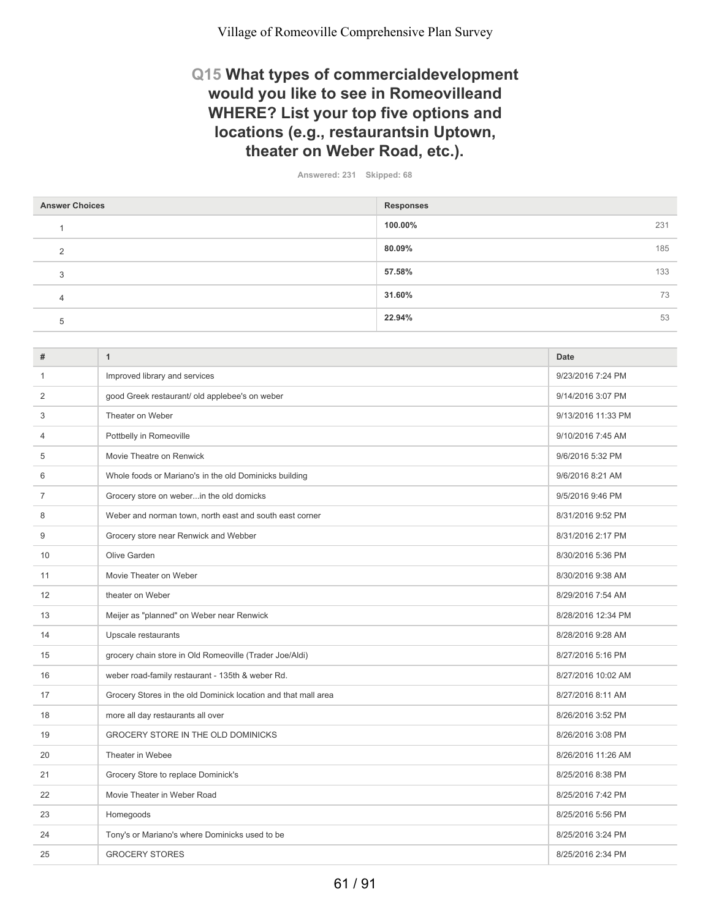## **Q15 What types of commercialdevelopment would you like to see in Romeovilleand WHERE? List your top five options and locations (e.g., restaurantsin Uptown, theater on Weber Road, etc.).**

**Answered: 231 Skipped: 68**

| <b>Answer Choices</b> | <b>Responses</b> |     |
|-----------------------|------------------|-----|
|                       | 100.00%          | 231 |
| $\Omega$              | 80.09%           | 185 |
| 3                     | 57.58%           | 133 |
| 4                     | 31.60%           | 73  |
| 5                     | 22.94%           | 53  |

| #              | $\mathbf{1}$                                                   | <b>Date</b>        |
|----------------|----------------------------------------------------------------|--------------------|
| 1              | Improved library and services                                  | 9/23/2016 7:24 PM  |
| 2              | good Greek restaurant/ old applebee's on weber                 | 9/14/2016 3:07 PM  |
| 3              | Theater on Weber                                               | 9/13/2016 11:33 PM |
| 4              | Pottbelly in Romeoville                                        | 9/10/2016 7:45 AM  |
| 5              | Movie Theatre on Renwick                                       | 9/6/2016 5:32 PM   |
| 6              | Whole foods or Mariano's in the old Dominicks building         | 9/6/2016 8:21 AM   |
| $\overline{7}$ | Grocery store on weberin the old domicks                       | 9/5/2016 9:46 PM   |
| 8              | Weber and norman town, north east and south east corner        | 8/31/2016 9:52 PM  |
| 9              | Grocery store near Renwick and Webber                          | 8/31/2016 2:17 PM  |
| 10             | Olive Garden                                                   | 8/30/2016 5:36 PM  |
| 11             | Movie Theater on Weber                                         | 8/30/2016 9:38 AM  |
| 12             | theater on Weber                                               | 8/29/2016 7:54 AM  |
| 13             | Meijer as "planned" on Weber near Renwick                      | 8/28/2016 12:34 PM |
| 14             | Upscale restaurants                                            | 8/28/2016 9:28 AM  |
| 15             | grocery chain store in Old Romeoville (Trader Joe/Aldi)        | 8/27/2016 5:16 PM  |
| 16             | weber road-family restaurant - 135th & weber Rd.               | 8/27/2016 10:02 AM |
| 17             | Grocery Stores in the old Dominick location and that mall area | 8/27/2016 8:11 AM  |
| 18             | more all day restaurants all over                              | 8/26/2016 3:52 PM  |
| 19             | GROCERY STORE IN THE OLD DOMINICKS                             | 8/26/2016 3:08 PM  |
| 20             | Theater in Webee                                               | 8/26/2016 11:26 AM |
| 21             | Grocery Store to replace Dominick's                            | 8/25/2016 8:38 PM  |
| 22             | Movie Theater in Weber Road                                    | 8/25/2016 7:42 PM  |
| 23             | Homegoods                                                      | 8/25/2016 5:56 PM  |
| 24             | Tony's or Mariano's where Dominicks used to be                 | 8/25/2016 3:24 PM  |
| 25             | <b>GROCERY STORES</b>                                          | 8/25/2016 2:34 PM  |
|                |                                                                |                    |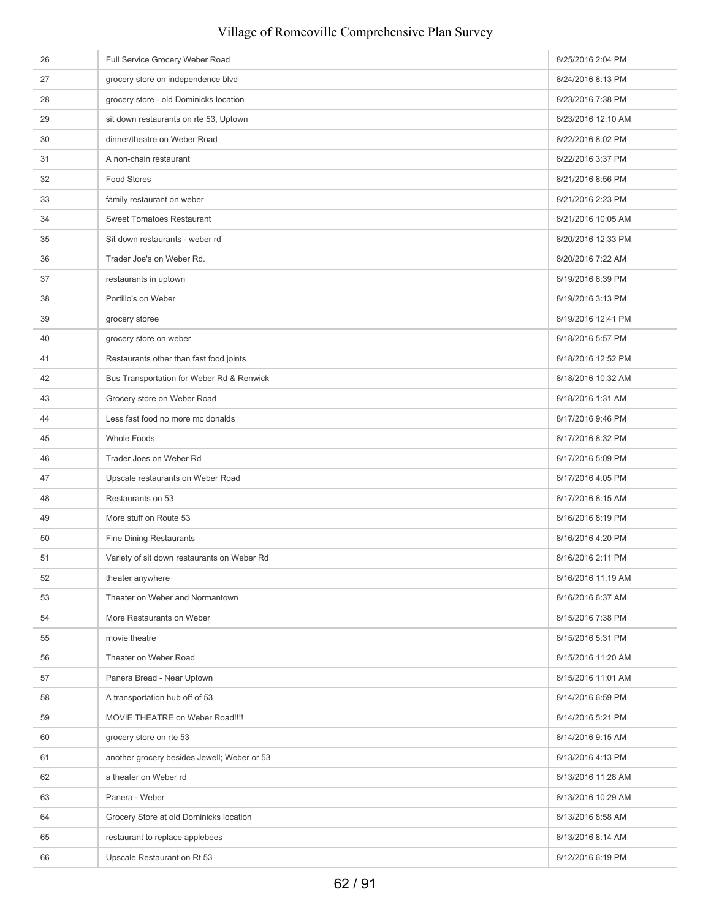| 26 | Full Service Grocery Weber Road             | 8/25/2016 2:04 PM  |
|----|---------------------------------------------|--------------------|
| 27 | grocery store on independence blvd          | 8/24/2016 8:13 PM  |
| 28 | grocery store - old Dominicks location      | 8/23/2016 7:38 PM  |
| 29 | sit down restaurants on rte 53, Uptown      | 8/23/2016 12:10 AM |
| 30 | dinner/theatre on Weber Road                | 8/22/2016 8:02 PM  |
| 31 | A non-chain restaurant                      | 8/22/2016 3:37 PM  |
| 32 | <b>Food Stores</b>                          | 8/21/2016 8:56 PM  |
| 33 | family restaurant on weber                  | 8/21/2016 2:23 PM  |
| 34 | <b>Sweet Tomatoes Restaurant</b>            | 8/21/2016 10:05 AM |
| 35 | Sit down restaurants - weber rd             | 8/20/2016 12:33 PM |
| 36 | Trader Joe's on Weber Rd.                   | 8/20/2016 7:22 AM  |
| 37 | restaurants in uptown                       | 8/19/2016 6:39 PM  |
| 38 | Portillo's on Weber                         | 8/19/2016 3:13 PM  |
| 39 | grocery storee                              | 8/19/2016 12:41 PM |
| 40 | grocery store on weber                      | 8/18/2016 5:57 PM  |
| 41 | Restaurants other than fast food joints     | 8/18/2016 12:52 PM |
| 42 | Bus Transportation for Weber Rd & Renwick   | 8/18/2016 10:32 AM |
| 43 | Grocery store on Weber Road                 | 8/18/2016 1:31 AM  |
| 44 | Less fast food no more mc donalds           | 8/17/2016 9:46 PM  |
| 45 | <b>Whole Foods</b>                          | 8/17/2016 8:32 PM  |
| 46 | Trader Joes on Weber Rd                     | 8/17/2016 5:09 PM  |
| 47 | Upscale restaurants on Weber Road           | 8/17/2016 4:05 PM  |
| 48 | Restaurants on 53                           | 8/17/2016 8:15 AM  |
| 49 | More stuff on Route 53                      | 8/16/2016 8:19 PM  |
| 50 | <b>Fine Dining Restaurants</b>              | 8/16/2016 4:20 PM  |
| 51 | Variety of sit down restaurants on Weber Rd | 8/16/2016 2:11 PM  |
| 52 | theater anywhere                            | 8/16/2016 11:19 AM |
| 53 | Theater on Weber and Normantown             | 8/16/2016 6:37 AM  |
| 54 | More Restaurants on Weber                   | 8/15/2016 7:38 PM  |
| 55 | movie theatre                               | 8/15/2016 5:31 PM  |
| 56 | Theater on Weber Road                       | 8/15/2016 11:20 AM |
| 57 | Panera Bread - Near Uptown                  | 8/15/2016 11:01 AM |
| 58 | A transportation hub off of 53              | 8/14/2016 6:59 PM  |
| 59 | MOVIE THEATRE on Weber Road!!!!             | 8/14/2016 5:21 PM  |
| 60 | grocery store on rte 53                     | 8/14/2016 9:15 AM  |
| 61 | another grocery besides Jewell; Weber or 53 | 8/13/2016 4:13 PM  |
| 62 | a theater on Weber rd                       | 8/13/2016 11:28 AM |
| 63 | Panera - Weber                              | 8/13/2016 10:29 AM |
| 64 | Grocery Store at old Dominicks location     | 8/13/2016 8:58 AM  |
| 65 | restaurant to replace applebees             | 8/13/2016 8:14 AM  |
| 66 | Upscale Restaurant on Rt 53                 | 8/12/2016 6:19 PM  |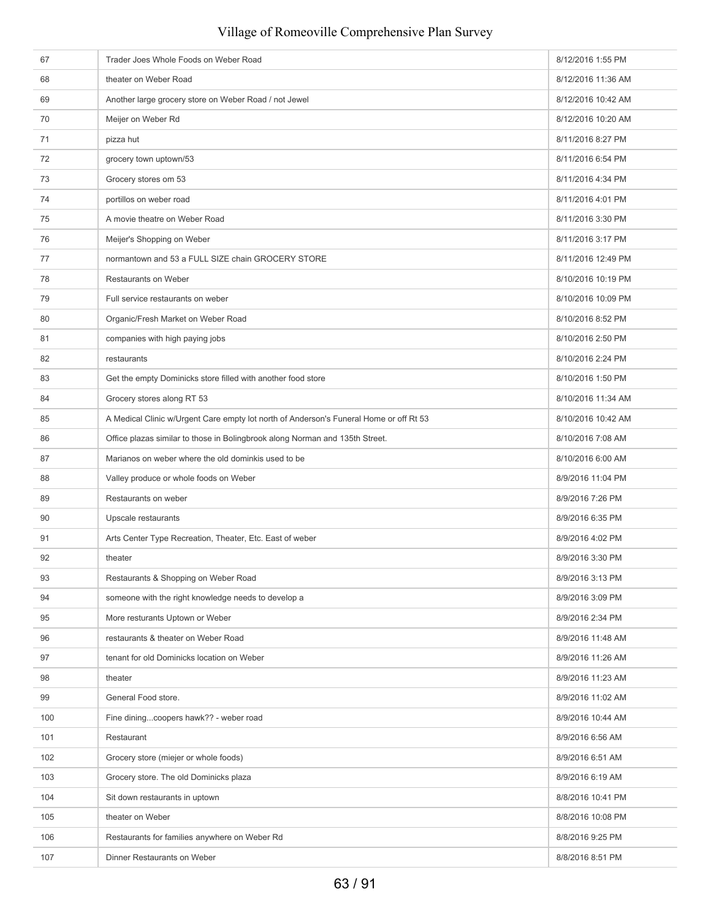# 67 Trader Joes Whole Foods on Weber Road 8/12/2016 1:55 PM 68 theater on Weber Road **8/12/2016 11:36 AM** 69 Another large grocery store on Weber Road / not Jewel 8/12/2016 10:42 AM 70 Meijer on Weber Rd 8/12/2016 10:20 AM 71 pizza hut 8/11/2016 8:27 PM The state of the state of the state of the state of the state of the state of the state of the state of the state of the state of the state of the state of the state of the state of the state of the state of the state of t The stores of the ST stores of the ST stores of the ST stores of the ST stores of the ST stores of the ST stores of the ST stores of the ST stores of the ST stores of the ST stores of the ST stores of the ST stores of the 74 portillos on weber road **8/11/2016** 4:01 PM The State on Weber Road American State on Weber Road American State on Weber Road American State on Weber Road American State on Weber Road American State on Weber Road American State on Weber Road American State on Weber 76 Meijer's Shopping on Weber 8/11/2016 3:17 PM 77 hormantown and 53 a FULL SIZE chain GROCERY STORE 8/11/2016 12:49 PM 78 Restaurants on Weber 8/10/2016 10:19 PM 79 Full service restaurants on weber 8/10/2016 10:09 PM 80 **Organic/Fresh Market on Weber Road** 8/10/2016 8:52 PM 81 companies with high paying jobs 8/10/2016 2:50 PM 82 restaurants 8/10/2016 2:24 PM 83 Get the empty Dominicks store filled with another food store 8/10/2016 1:50 PM 84 Grocery stores along RT 53 8/10/2016 11:34 AM 85 A Medical Clinic w/Urgent Care empty lot north of Anderson's Funeral Home or off Rt 53 8/10/2016 10:42 AM 86 Office plazas similar to those in Bolingbrook along Norman and 135th Street. 8/10/2016 7:08 AM 87 Marianos on weber where the old dominkis used to be 8/10/2016 6:00 AM 88 Valley produce or whole foods on Weber 8/9/2016 11:04 PM 89 Restaurants on weber 8/9/2016 7:26 PM 90 Upscale restaurants 8/9/2016 6:35 PM 91 Arts Center Type Recreation, Theater, Etc. East of weber 8/9/2016 4:02 PM 92 theater 8/9/2016 3:30 PM 93 Restaurants & Shopping on Weber Road 8/9/2016 3:13 PM 94 someone with the right knowledge needs to develop a 8/9/2016 3:09 PM 95 More resturants Uptown or Weber 8/9/2016 2:34 PM extraordinary extraordinary control of the state of the state of the state of the state of the state of the state of the state of the state of the state of the state of the state of the state of the state of the state of t example and tenant for old Dominicks location on Weber 8/9/2016 11:26 AM and the S/9/2016 11:26 AM 98 **theater** 8/9/2016 11:23 AM 99 General Food store. **8/9/2016 11:02 AM** 100 Fine dining...coopers hawk?? - weber road 8/9/2016 10:44 AM 101 Restaurant Restaurant Restaurant Research Control of the State of the State of the State of the State of the State of the State of the State of the State of the State of the State of the State of the State of the State 102 Grocery store (miejer or whole foods) 8/9/2016 6:51 AM 103 Grocery store. The old Dominicks plaza 8/9/2016 6:19 AM 104 Sit down restaurants in uptown 8/8/2016 10:41 PM 105 theater on Weber 8/8/2016 10:08 PM 106 Restaurants for families anywhere on Weber Rd 8/8/2016 9:25 PM 107 Dinner Restaurants on Weber 8/8/2016 8:51 PM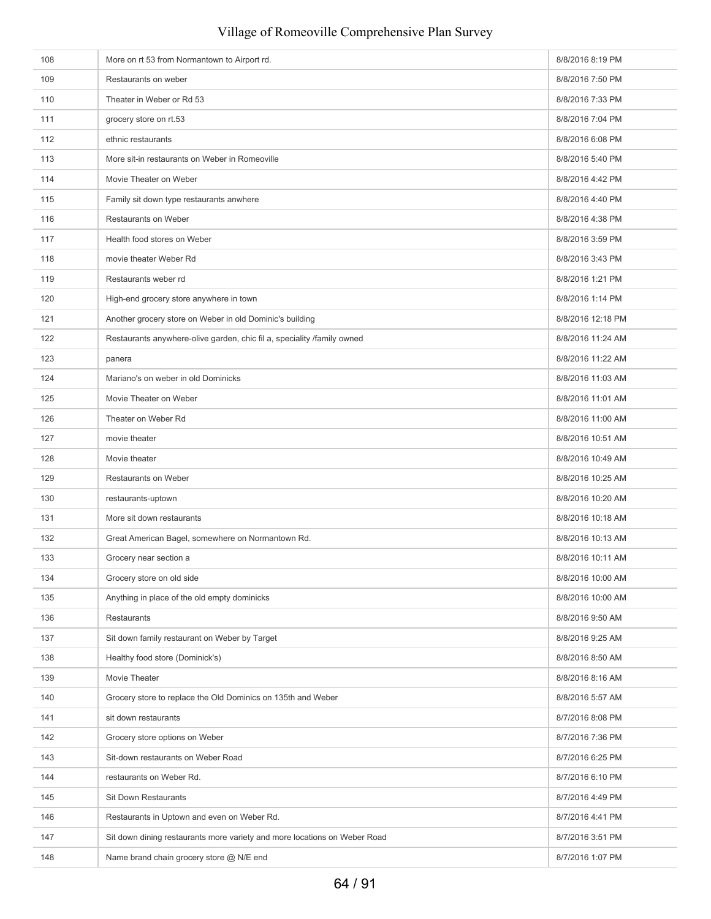# 108 More on rt 53 from Normantown to Airport rd. 8/8/2016 8:19 PM 109 Restaurants on weber **8/8/2016 7:50 PM** 110 **Theater in Weber or Rd 53** 8/8/2016 7:33 PM 111 grocery store on rt.53 grocery store on the state of the state of the state of the state of the state of the state of the state of the state of the state of the state of the state of the state of the state of the state 112 ethnic restaurants ethnic restaurants ethnic restaurants ethnic restaurants ethnic restaurants ethnic restaurants 113 More sit-in restaurants on Weber in Romeoville 8/8/2016 5:40 PM 114 Movie Theater on Weber 8/8/2016 4:42 PM 115 **Family sit down type restaurants anwhere** 8/8/2016 4:40 PM 116 Restaurants on Weber 8/8/2016 4:38 PM 117 **Health food stores on Weber 8/8/2016 3:59 PM** 8/8/2016 3:59 PM 118 movie theater Weber Rd **8/8/2016** 3:43 PM 119 Restaurants weber rd **8/8/2016** 1:21 PM 120 High-end grocery store anywhere in town 8/8/2016 1:14 PM 121 Another grocery store on Weber in old Dominic's building and the store of the store of the 8/8/2016 12:18 PM 122 Restaurants anywhere-olive garden, chic fil a, speciality /family owned 8/8/2016 11:24 AM 123 panera 8/8/2016 11:22 AM 124 Mariano's on weber in old Dominicks **8/8/2016** 11:03 AM 125 Movie Theater on Weber 8/8/2016 11:01 AM 126 Theater on Weber Rd **8/8/2016** 11:00 AM 127 movie theater **8/8/2016 10:51 AM** 128 Movie theater **8/8/2016** 10:49 AM 129 Restaurants on Weber 8/8/2016 10:25 AM 130 restaurants-uptown 8/8/2016 10:20 AM and the state of the state of the state of the state of the state of the state of the state of the state of the state of the state of the state of the state of the state of the stat 131 More sit down restaurants **8/8/2016** 10:18 AM 132 Great American Bagel, somewhere on Normantown Rd. 678 and 10:13 AM Service 10:13 AM Service 10:13 AM Service 10:13 AM 133 Grocery near section a 8/8/2016 10:11 AM 134 Grocery store on old side **8/8/2016** 10:00 AM 135 Anything in place of the old empty dominicks **8/8/2016 10:00 AM** 8/8/2016 10:00 AM 136 Restaurants Restaurants **8/8/2016** 9:50 AM 137 Sit down family restaurant on Weber by Target 8/8/2016 9:25 AM 138 Healthy food store (Dominick's) 8/8/2016 8:50 AM 139 Movie Theater **8/8/2016 8:16** AM 140 Grocery store to replace the Old Dominics on 135th and Weber 8/8/2016 5:57 AM 141 sit down restaurants **8/7/2016** 8:08 PM 142 Grocery store options on Weber 8/7/2016 7:36 PM 143 Sit-down restaurants on Weber Road 8/7/2016 6:25 PM 144 restaurants on Weber Rd. **8/7/2016 6:10 PM** 145 Sit Down Restaurants 8/7/2016 4:49 PM 146 Restaurants in Uptown and even on Weber Rd. **8/7/2016 4:41 PM** 8/7/2016 4:41 PM 147 Sit down dining restaurants more variety and more locations on Weber Road 8/7/2016 3:51 PM 148 Name brand chain grocery store @ N/E end 8/7/2016 1:07 PM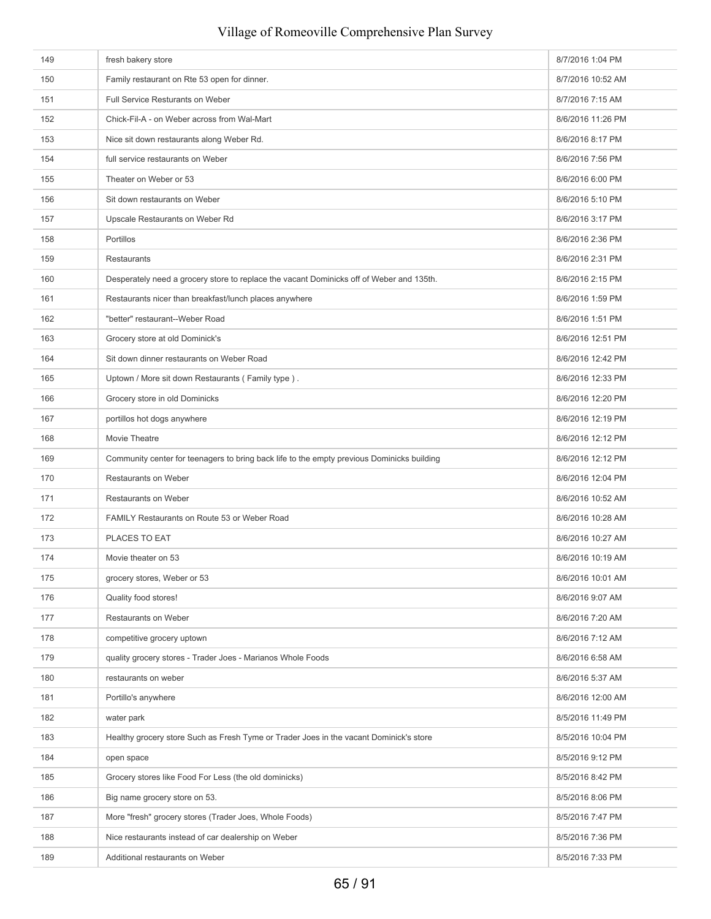| 149 | fresh bakery store                                                                         | 8/7/2016 1:04 PM  |
|-----|--------------------------------------------------------------------------------------------|-------------------|
| 150 | Family restaurant on Rte 53 open for dinner.                                               | 8/7/2016 10:52 AM |
| 151 | Full Service Resturants on Weber                                                           | 8/7/2016 7:15 AM  |
| 152 | Chick-Fil-A - on Weber across from Wal-Mart                                                | 8/6/2016 11:26 PM |
| 153 | Nice sit down restaurants along Weber Rd.                                                  | 8/6/2016 8:17 PM  |
| 154 | full service restaurants on Weber                                                          | 8/6/2016 7:56 PM  |
| 155 | Theater on Weber or 53                                                                     | 8/6/2016 6:00 PM  |
| 156 | Sit down restaurants on Weber                                                              | 8/6/2016 5:10 PM  |
| 157 | Upscale Restaurants on Weber Rd                                                            | 8/6/2016 3:17 PM  |
| 158 | Portillos                                                                                  | 8/6/2016 2:36 PM  |
| 159 | Restaurants                                                                                | 8/6/2016 2:31 PM  |
| 160 | Desperately need a grocery store to replace the vacant Dominicks off of Weber and 135th.   | 8/6/2016 2:15 PM  |
| 161 | Restaurants nicer than breakfast/lunch places anywhere                                     | 8/6/2016 1:59 PM  |
| 162 | "better" restaurant--Weber Road                                                            | 8/6/2016 1:51 PM  |
| 163 | Grocery store at old Dominick's                                                            | 8/6/2016 12:51 PM |
| 164 | Sit down dinner restaurants on Weber Road                                                  | 8/6/2016 12:42 PM |
| 165 | Uptown / More sit down Restaurants (Family type).                                          | 8/6/2016 12:33 PM |
| 166 | Grocery store in old Dominicks                                                             | 8/6/2016 12:20 PM |
| 167 | portillos hot dogs anywhere                                                                | 8/6/2016 12:19 PM |
| 168 | Movie Theatre                                                                              | 8/6/2016 12:12 PM |
| 169 | Community center for teenagers to bring back life to the empty previous Dominicks building | 8/6/2016 12:12 PM |
| 170 | Restaurants on Weber                                                                       | 8/6/2016 12:04 PM |
| 171 | Restaurants on Weber                                                                       | 8/6/2016 10:52 AM |
| 172 | FAMILY Restaurants on Route 53 or Weber Road                                               | 8/6/2016 10:28 AM |
| 173 | PLACES TO EAT                                                                              | 8/6/2016 10:27 AM |
| 174 | Movie theater on 53                                                                        | 8/6/2016 10:19 AM |
| 175 | grocery stores, Weber or 53                                                                | 8/6/2016 10:01 AM |
| 176 | Quality food stores!                                                                       | 8/6/2016 9:07 AM  |
| 177 | Restaurants on Weber                                                                       | 8/6/2016 7:20 AM  |
| 178 | competitive grocery uptown                                                                 | 8/6/2016 7:12 AM  |
| 179 | quality grocery stores - Trader Joes - Marianos Whole Foods                                | 8/6/2016 6:58 AM  |
| 180 | restaurants on weber                                                                       | 8/6/2016 5:37 AM  |
| 181 | Portillo's anywhere                                                                        | 8/6/2016 12:00 AM |
| 182 | water park                                                                                 | 8/5/2016 11:49 PM |
| 183 | Healthy grocery store Such as Fresh Tyme or Trader Joes in the vacant Dominick's store     | 8/5/2016 10:04 PM |
| 184 | open space                                                                                 | 8/5/2016 9:12 PM  |
| 185 | Grocery stores like Food For Less (the old dominicks)                                      | 8/5/2016 8:42 PM  |
| 186 | Big name grocery store on 53.                                                              | 8/5/2016 8:06 PM  |
| 187 | More "fresh" grocery stores (Trader Joes, Whole Foods)                                     | 8/5/2016 7:47 PM  |
| 188 | Nice restaurants instead of car dealership on Weber                                        | 8/5/2016 7:36 PM  |
| 189 | Additional restaurants on Weber                                                            | 8/5/2016 7:33 PM  |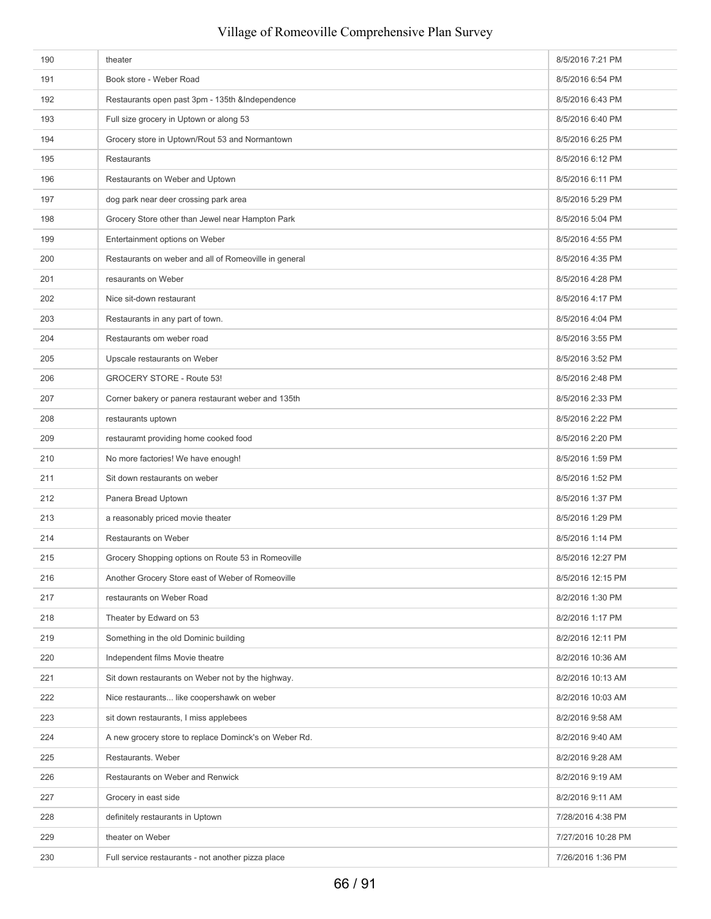| 190 | theater                                               | 8/5/2016 7:21 PM   |
|-----|-------------------------------------------------------|--------------------|
| 191 | Book store - Weber Road                               | 8/5/2016 6:54 PM   |
| 192 | Restaurants open past 3pm - 135th &Independence       | 8/5/2016 6:43 PM   |
| 193 | Full size grocery in Uptown or along 53               | 8/5/2016 6:40 PM   |
| 194 | Grocery store in Uptown/Rout 53 and Normantown        | 8/5/2016 6:25 PM   |
| 195 | Restaurants                                           | 8/5/2016 6:12 PM   |
| 196 | Restaurants on Weber and Uptown                       | 8/5/2016 6:11 PM   |
| 197 | dog park near deer crossing park area                 | 8/5/2016 5:29 PM   |
| 198 | Grocery Store other than Jewel near Hampton Park      | 8/5/2016 5:04 PM   |
| 199 | Entertainment options on Weber                        | 8/5/2016 4:55 PM   |
| 200 | Restaurants on weber and all of Romeoville in general | 8/5/2016 4:35 PM   |
| 201 | resaurants on Weber                                   | 8/5/2016 4:28 PM   |
| 202 | Nice sit-down restaurant                              | 8/5/2016 4:17 PM   |
| 203 | Restaurants in any part of town.                      | 8/5/2016 4:04 PM   |
| 204 | Restaurants om weber road                             | 8/5/2016 3:55 PM   |
| 205 | Upscale restaurants on Weber                          | 8/5/2016 3:52 PM   |
| 206 | GROCERY STORE - Route 53!                             | 8/5/2016 2:48 PM   |
| 207 | Corner bakery or panera restaurant weber and 135th    | 8/5/2016 2:33 PM   |
| 208 | restaurants uptown                                    | 8/5/2016 2:22 PM   |
| 209 | restauramt providing home cooked food                 | 8/5/2016 2:20 PM   |
| 210 | No more factories! We have enough!                    | 8/5/2016 1:59 PM   |
| 211 | Sit down restaurants on weber                         | 8/5/2016 1:52 PM   |
| 212 | Panera Bread Uptown                                   | 8/5/2016 1:37 PM   |
| 213 | a reasonably priced movie theater                     | 8/5/2016 1:29 PM   |
| 214 | Restaurants on Weber                                  | 8/5/2016 1:14 PM   |
| 215 | Grocery Shopping options on Route 53 in Romeoville    | 8/5/2016 12:27 PM  |
| 216 | Another Grocery Store east of Weber of Romeoville     | 8/5/2016 12:15 PM  |
| 217 | restaurants on Weber Road                             | 8/2/2016 1:30 PM   |
| 218 | Theater by Edward on 53                               | 8/2/2016 1:17 PM   |
| 219 | Something in the old Dominic building                 | 8/2/2016 12:11 PM  |
| 220 | Independent films Movie theatre                       | 8/2/2016 10:36 AM  |
| 221 | Sit down restaurants on Weber not by the highway.     | 8/2/2016 10:13 AM  |
| 222 | Nice restaurants like coopershawk on weber            | 8/2/2016 10:03 AM  |
| 223 | sit down restaurants, I miss applebees                | 8/2/2016 9:58 AM   |
| 224 | A new grocery store to replace Dominck's on Weber Rd. | 8/2/2016 9:40 AM   |
| 225 | Restaurants. Weber                                    | 8/2/2016 9:28 AM   |
| 226 | Restaurants on Weber and Renwick                      | 8/2/2016 9:19 AM   |
| 227 | Grocery in east side                                  | 8/2/2016 9:11 AM   |
| 228 | definitely restaurants in Uptown                      | 7/28/2016 4:38 PM  |
| 229 | theater on Weber                                      | 7/27/2016 10:28 PM |
| 230 | Full service restaurants - not another pizza place    | 7/26/2016 1:36 PM  |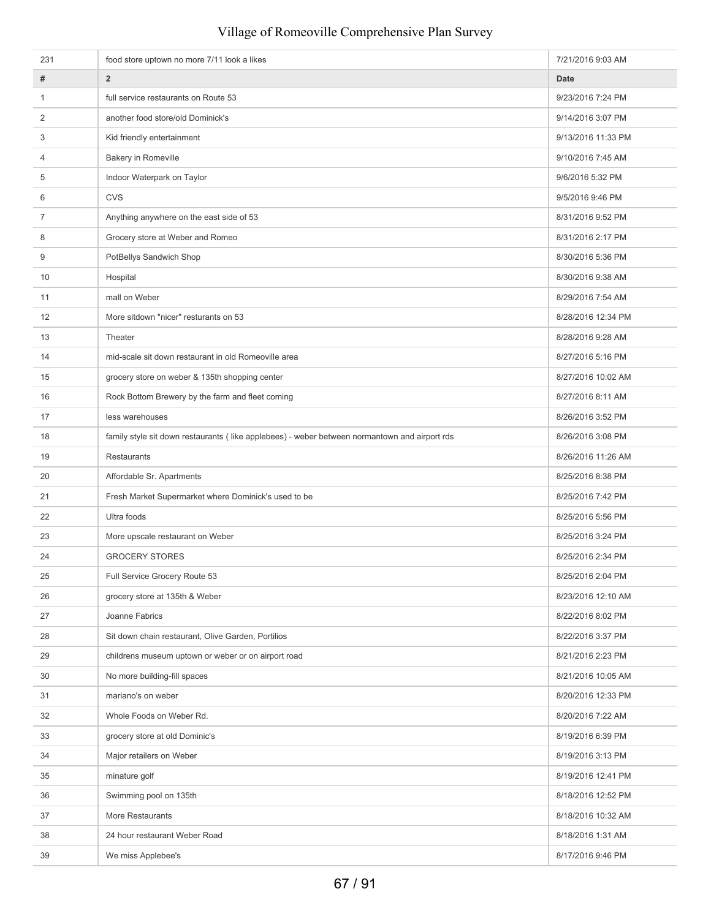| 231            | food store uptown no more 7/11 look a likes                                                   | 7/21/2016 9:03 AM  |
|----------------|-----------------------------------------------------------------------------------------------|--------------------|
| #              | $\overline{2}$                                                                                | Date               |
| 1              | full service restaurants on Route 53                                                          | 9/23/2016 7:24 PM  |
| 2              | another food store/old Dominick's                                                             | 9/14/2016 3:07 PM  |
| 3              | Kid friendly entertainment                                                                    | 9/13/2016 11:33 PM |
| 4              | Bakery in Romeville                                                                           | 9/10/2016 7:45 AM  |
| 5              | Indoor Waterpark on Taylor                                                                    | 9/6/2016 5:32 PM   |
| 6              | <b>CVS</b>                                                                                    | 9/5/2016 9:46 PM   |
| $\overline{7}$ | Anything anywhere on the east side of 53                                                      | 8/31/2016 9:52 PM  |
| 8              | Grocery store at Weber and Romeo                                                              | 8/31/2016 2:17 PM  |
| 9              | PotBellys Sandwich Shop                                                                       | 8/30/2016 5:36 PM  |
| 10             | Hospital                                                                                      | 8/30/2016 9:38 AM  |
| 11             | mall on Weber                                                                                 | 8/29/2016 7:54 AM  |
| 12             | More sitdown "nicer" resturants on 53                                                         | 8/28/2016 12:34 PM |
| 13             | Theater                                                                                       | 8/28/2016 9:28 AM  |
| 14             | mid-scale sit down restaurant in old Romeoville area                                          | 8/27/2016 5:16 PM  |
| 15             | grocery store on weber & 135th shopping center                                                | 8/27/2016 10:02 AM |
| 16             | Rock Bottom Brewery by the farm and fleet coming                                              | 8/27/2016 8:11 AM  |
| 17             | less warehouses                                                                               | 8/26/2016 3:52 PM  |
| 18             | family style sit down restaurants (like applebees) - weber between normantown and airport rds | 8/26/2016 3:08 PM  |
| 19             | Restaurants                                                                                   | 8/26/2016 11:26 AM |
| 20             | Affordable Sr. Apartments                                                                     | 8/25/2016 8:38 PM  |
| 21             | Fresh Market Supermarket where Dominick's used to be                                          | 8/25/2016 7:42 PM  |
| 22             | Ultra foods                                                                                   | 8/25/2016 5:56 PM  |
| 23             | More upscale restaurant on Weber                                                              | 8/25/2016 3:24 PM  |
| 24             | <b>GROCERY STORES</b>                                                                         | 8/25/2016 2:34 PM  |
| 25             | Full Service Grocery Route 53                                                                 | 8/25/2016 2:04 PM  |
| 26             | grocery store at 135th & Weber                                                                | 8/23/2016 12:10 AM |
| 27             | Joanne Fabrics                                                                                | 8/22/2016 8:02 PM  |
| 28             | Sit down chain restaurant, Olive Garden, Portilios                                            | 8/22/2016 3:37 PM  |
| 29             | childrens museum uptown or weber or on airport road                                           | 8/21/2016 2:23 PM  |
| 30             | No more building-fill spaces                                                                  | 8/21/2016 10:05 AM |
| 31             | mariano's on weber                                                                            | 8/20/2016 12:33 PM |
| 32             | Whole Foods on Weber Rd.                                                                      | 8/20/2016 7:22 AM  |
| 33             | grocery store at old Dominic's                                                                | 8/19/2016 6:39 PM  |
| 34             | Major retailers on Weber                                                                      | 8/19/2016 3:13 PM  |
| 35             | minature golf                                                                                 | 8/19/2016 12:41 PM |
| 36             | Swimming pool on 135th                                                                        | 8/18/2016 12:52 PM |
| 37             | More Restaurants                                                                              | 8/18/2016 10:32 AM |
| 38             | 24 hour restaurant Weber Road                                                                 | 8/18/2016 1:31 AM  |
| 39             | We miss Applebee's                                                                            | 8/17/2016 9:46 PM  |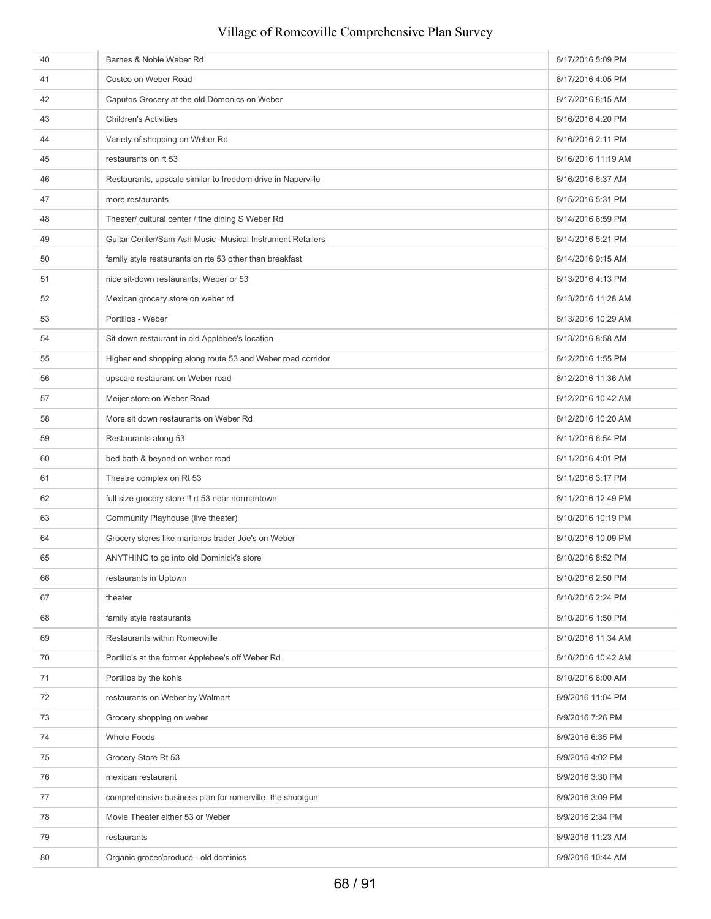# 40 Barnes & Noble Weber Rd 8/17/2016 5:09 PM 41 Costco on Weber Road 8/17/2016 4:05 PM 42 Caputos Grocery at the old Domonics on Weber 8/17/2016 8:15 AM 43 Children's Activities **8/16/2016** 4:20 PM 44 Variety of shopping on Weber Rd 8/16/2016 2:11 PM 45 restaurants on rt 53 restaurants on rt 53 restaurants on rt 53 restaurants on rt 53 restaurants on rt 53 restaurants on rt 53 restaurants on rt 53 restaurants on rt 53 restaurants on rt 53 restaurants on rt 53 restauran 46 Restaurants, upscale similar to freedom drive in Naperville 8/16/2016 6:37 AM 47 more restaurants and the state of the state of the state of the state of the state of the state of the state of the state of the state of the state of the state of the state of the state of the state of the state of the 48 Theater/ cultural center / fine dining S Weber Rd 8/14/2016 6:59 PM 49 Guitar Center/Sam Ash Music -Musical Instrument Retailers 8/14/2016 5:21 PM 50 **family style restaurants on rte 53 other than breakfast** 8/14/2016 9:15 AM 51 nice sit-down restaurants; Weber or 53 8/13/2016 4:13 PM 52 Mexican grocery store on weber rd **Example 2016** 11:28 AM and the store of the store of the 8/13/2016 11:28 AM 53 Portillos - Weber 8/13/2016 10:29 AM 54 Sit down restaurant in old Applebee's location 8/13/2016 8:58 AM 8/13/2016 8:58 AM 55 Higher end shopping along route 53 and Weber road corridor 8/12/2016 1:55 PM 56 upscale restaurant on Weber road 8/12/2016 11:36 AM 57 Meijer store on Weber Road **8/12/2016 10:42 AM** 58 More sit down restaurants on Weber Rd **Burnet Containers** and the state of the state of the state of the state of the state of the state of the state of the state of the state of the state of the state of the state of t 59 Restaurants along 53 8/11/2016 6:54 PM 60 bed bath & beyond on weber road 8/11/2016 4:01 PM 61 Theatre complex on Rt 53 8/11/2016 3:17 PM 62 full size grocery store !! rt 53 near normantown 8/11/2016 12:49 PM 63 Community Playhouse (live theater) 8/10/2016 10:19 PM 64 Grocery stores like marianos trader Joe's on Weber 8/10/2016 10:09 PM 65 ANYTHING to go into old Dominick's store 8/10/2016 8:52 PM extaurants in Uptown 8/10/2016 2:50 PM 67 theater 8/10/2016 2:24 PM 68 family style restaurants **Example 2016** family style restaurants **8/10/2016** 1:50 PM 69 Restaurants within Romeoville 8/10/2016 11:34 AM 70 Portillo's at the former Applebee's off Weber Rd 8/10/2016 10:42 AM 71 Portillos by the kohls 8/10/2016 6:00 AM The state of the state of the state of the state of the state of the state of the state of the state of the state of the state of the state of the state of the state of the state of the state of the state of the state of t The Crocery shopping on weber 8/9/2016 7:26 PM and the State of the State of the State of the State of the State of the State of the State of the State of the State of the State of the State of the State of the State of th 74 Whole Foods 8/9/2016 6:35 PM The Contract of Grocery Store Rt 53 8/9/2016 4:02 PM 76 mexican restaurant 8/9/2016 3:30 PM z comprehensive business plan for romerville. the shootgun 8/9/2016 3:09 PM 78 Movie Theater either 53 or Weber 8/9/2016 2:34 PM 79 restaurants 8/9/2016 11:23 AM 80 Organic grocer/produce - old dominics 8/9/2016 10:44 AM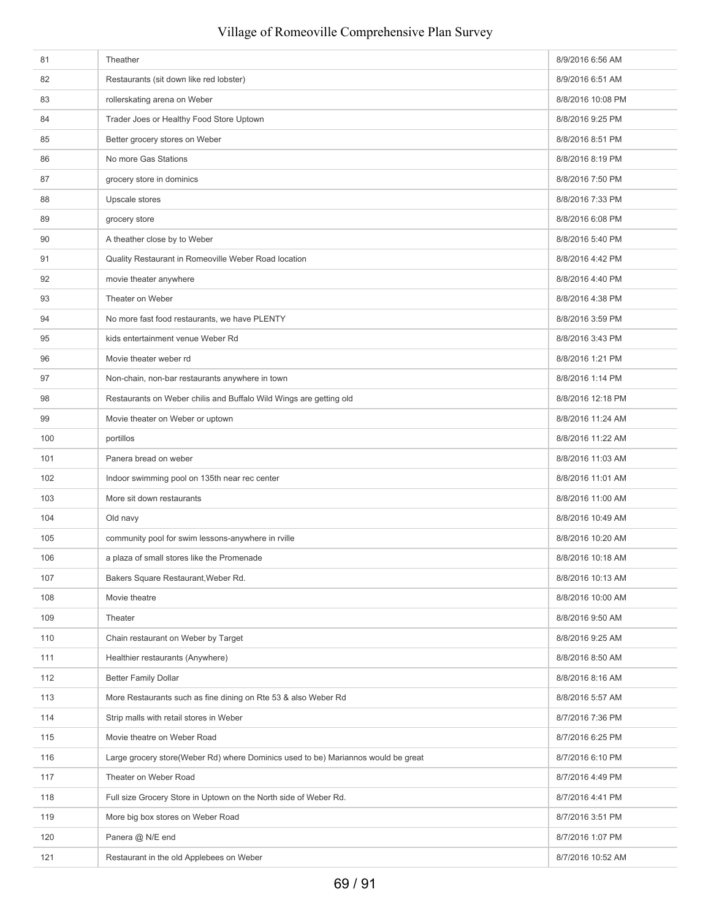# 81 Theather 809/2016 6:56 AM 82 Restaurants (sit down like red lobster) 8/9/2016 6:51 AM 83 rollerskating arena on Weber 8/8/2016 10:08 PM 84 Trader Joes or Healthy Food Store Uptown 8/8/2016 9:25 PM 85 Better grocery stores on Weber 8/8/2016 8:51 PM 86 No more Gas Stations **8/8/2016 8:19 PM** 87 grocery store in dominics and the store in the store in the store in the store in the store in the store in the store in the store in the store in the store in the store in the store in the store in the store in the sto 88 Upscale stores 8/8/2016 7:33 PM 89 and Supervey store 8/8/2016 6:08 PM 90 A theather close by to Weber 8/8/2016 5:40 PM 91 Quality Restaurant in Romeoville Weber Road location 8/8/2016 4:42 PM 92 movie theater anywhere **8/8/2016** 4:40 PM 93 Theater on Weber 8/8/2016 4:38 PM 94 No more fast food restaurants, we have PLENTY 8/8/2016 3:59 PM 95 kids entertainment venue Weber Rd **8/8/2016** 3:43 PM 96 Movie theater weber rd **8/8/2016 1:21 PM** 8/8/2016 1:21 PM 97 Non-chain, non-bar restaurants anywhere in town 8/8/2016 1:14 PM 98 Restaurants on Weber chilis and Buffalo Wild Wings are getting old 8/8/2016 12:18 PM 99 Movie theater on Weber or uptown 8/8/2016 11:24 AM 100 portillos portillos entre entre entre entre entre entre entre entre entre entre entre entre entre entre entre entre entre entre entre entre entre entre entre entre entre entre entre entre entre entre entre entre entre 101 Panera bread on weber **8/8/2016** 11:03 AM 102 Indoor swimming pool on 135th near rec center 8/8/2016 11:01 AM 103 More sit down restaurants **8/8/2016** 11:00 AM 104 **Old navy 8/8/2016 10:49 AM** 105 community pool for swim lessons-anywhere in rville 8/8/2016 10:20 AM 106 a plaza of small stores like the Promenade 8/8/2016 10:18 AM 107 Bakers Square Restaurant, Weber Rd. 8/8/2016 10:13 AM 8/8/2016 10:13 AM 108 Movie theatre **8/8/2016** 10:00 AM 109 Theater 8/8/2016 9:50 AM 110 Chain restaurant on Weber by Target 8/8/2016 9:25 AM 111 Healthier restaurants (Anywhere) 8/8/2016 8:50 AM 112 Better Family Dollar 8/8/2016 8:16 AM 113 More Restaurants such as fine dining on Rte 53 & also Weber Rd 8/8/2016 5:57 AM 114 Strip malls with retail stores in Weber 8/7/2016 7:36 PM 115 Movie theatre on Weber Road **8/7/2016 6:25 PM** Movie theatre on Weber Road **8/7/2016** 6:25 PM 116 Large grocery store(Weber Rd) where Dominics used to be) Mariannos would be great 8/7/2016 6:10 PM 117 **Theater on Weber Road** 8/7/2016 4:49 PM 118 Full size Grocery Store in Uptown on the North side of Weber Rd. 8/7/2016 4:41 PM 119 More big box stores on Weber Road **8/7/2016** 3:51 PM 120 Panera @ N/E end 8/7/2016 1:07 PM 121 Restaurant in the old Applebees on Weber 8/7/2016 10:52 AM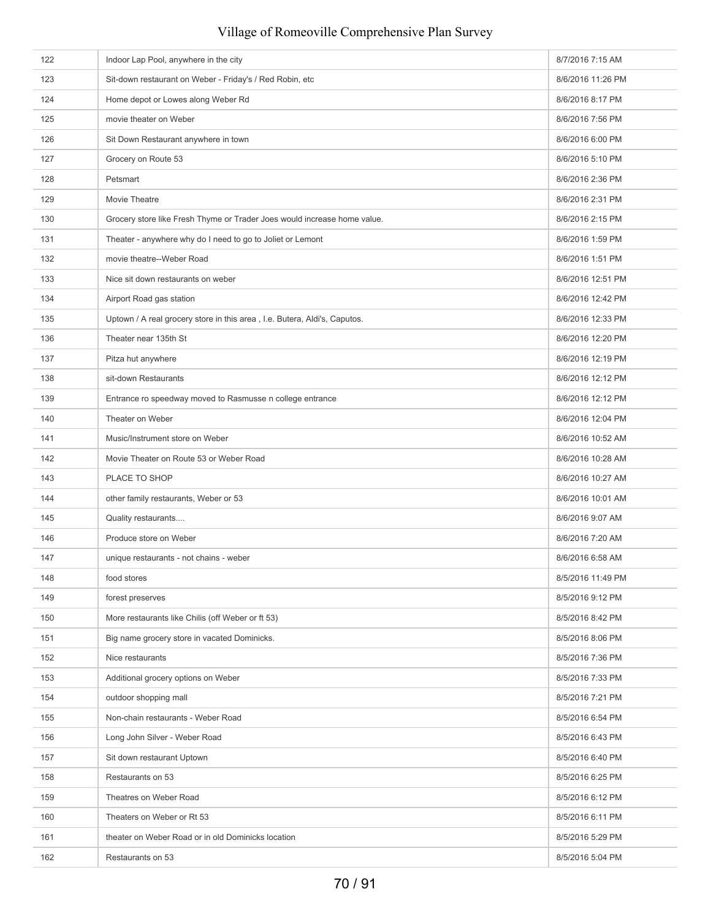| 122 | Indoor Lap Pool, anywhere in the city                                     | 8/7/2016 7:15 AM  |
|-----|---------------------------------------------------------------------------|-------------------|
| 123 | Sit-down restaurant on Weber - Friday's / Red Robin, etc                  | 8/6/2016 11:26 PM |
| 124 | Home depot or Lowes along Weber Rd                                        | 8/6/2016 8:17 PM  |
| 125 | movie theater on Weber                                                    | 8/6/2016 7:56 PM  |
| 126 | Sit Down Restaurant anywhere in town                                      | 8/6/2016 6:00 PM  |
| 127 | Grocery on Route 53                                                       | 8/6/2016 5:10 PM  |
| 128 | Petsmart                                                                  | 8/6/2016 2:36 PM  |
| 129 | Movie Theatre                                                             | 8/6/2016 2:31 PM  |
| 130 | Grocery store like Fresh Thyme or Trader Joes would increase home value.  | 8/6/2016 2:15 PM  |
| 131 | Theater - anywhere why do I need to go to Joliet or Lemont                | 8/6/2016 1:59 PM  |
| 132 | movie theatre--Weber Road                                                 | 8/6/2016 1:51 PM  |
| 133 | Nice sit down restaurants on weber                                        | 8/6/2016 12:51 PM |
| 134 | Airport Road gas station                                                  | 8/6/2016 12:42 PM |
| 135 | Uptown / A real grocery store in this area, I.e. Butera, Aldi's, Caputos. | 8/6/2016 12:33 PM |
| 136 | Theater near 135th St                                                     | 8/6/2016 12:20 PM |
| 137 | Pitza hut anywhere                                                        | 8/6/2016 12:19 PM |
| 138 | sit-down Restaurants                                                      | 8/6/2016 12:12 PM |
| 139 | Entrance ro speedway moved to Rasmusse n college entrance                 | 8/6/2016 12:12 PM |
| 140 | Theater on Weber                                                          | 8/6/2016 12:04 PM |
| 141 | Music/Instrument store on Weber                                           | 8/6/2016 10:52 AM |
| 142 | Movie Theater on Route 53 or Weber Road                                   | 8/6/2016 10:28 AM |
| 143 | PLACE TO SHOP                                                             | 8/6/2016 10:27 AM |
| 144 | other family restaurants, Weber or 53                                     | 8/6/2016 10:01 AM |
| 145 | Quality restaurants                                                       | 8/6/2016 9:07 AM  |
| 146 | Produce store on Weber                                                    | 8/6/2016 7:20 AM  |
| 147 | unique restaurants - not chains - weber                                   | 8/6/2016 6:58 AM  |
| 148 | food stores                                                               | 8/5/2016 11:49 PM |
| 149 | forest preserves                                                          | 8/5/2016 9:12 PM  |
| 150 | More restaurants like Chilis (off Weber or ft 53)                         | 8/5/2016 8:42 PM  |
| 151 | Big name grocery store in vacated Dominicks.                              | 8/5/2016 8:06 PM  |
| 152 | Nice restaurants                                                          | 8/5/2016 7:36 PM  |
| 153 | Additional grocery options on Weber                                       | 8/5/2016 7:33 PM  |
| 154 | outdoor shopping mall                                                     | 8/5/2016 7:21 PM  |
| 155 | Non-chain restaurants - Weber Road                                        | 8/5/2016 6:54 PM  |
| 156 | Long John Silver - Weber Road                                             | 8/5/2016 6:43 PM  |
| 157 | Sit down restaurant Uptown                                                | 8/5/2016 6:40 PM  |
| 158 | Restaurants on 53                                                         | 8/5/2016 6:25 PM  |
| 159 | Theatres on Weber Road                                                    | 8/5/2016 6:12 PM  |
| 160 | Theaters on Weber or Rt 53                                                | 8/5/2016 6:11 PM  |
| 161 | theater on Weber Road or in old Dominicks location                        | 8/5/2016 5:29 PM  |
| 162 | Restaurants on 53                                                         | 8/5/2016 5:04 PM  |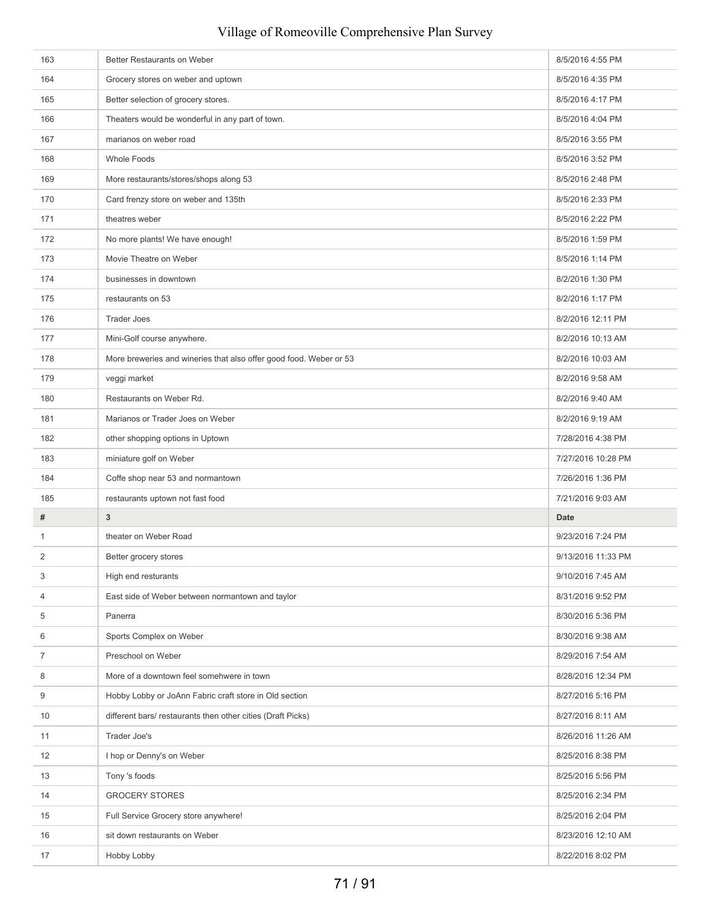# 163 Better Restaurants on Weber 8/5/2016 4:55 PM 164 Grocery stores on weber and uptown 8/5/2016 4:35 PM 165 Better selection of grocery stores. And the store of the store of the store of the store of the store of the store of the store of the store of the store of the store of the store of the store of the store of the store 166 Theaters would be wonderful in any part of town. **8/5/2016 4:04 PM** 8/5/2016 4:04 PM 167 marianos on weber road **8/5/2016** 3:55 PM 168 Whole Foods 8/5/2016 3:52 PM 169 More restaurants/stores/shops along 53 8/5/2016 2:48 PM 170 Card frenzy store on weber and 135th 8/5/2016 2:33 PM 171 theatres weber 8/5/2016 2:22 PM 172 No more plants! We have enough! 8/5/2016 1:59 PM 173 Movie Theatre on Weber 8/5/2016 1:14 PM 174 businesses in downtown businesses in downtown businesses in the matrix of the state of the state of the state of the state of the state of the state of the state of the state of the state of the state of the state of t 175 restaurants on 53 8/2/2016 1:17 PM 176 Trader Joes 8/2/2016 12:11 PM 177 Mini-Golf course anywhere. **8/2/2016 10:13 AM** 178 More breweries and wineries that also offer good food. Weber or 53 8/2/2016 10:03 AM 179 veggi market samme and the set of the set of the set of the set of the set of the set of the set of the set of the set of the set of the set of the set of the set of the set of the set of the set of the set of the set 180 Restaurants on Weber Rd. 6 and 180 Restaurants on Weber Rd. 6 and 180 Restaurants on Weber Rd. 6 and 18/2/2016 9:40 AM 181 Marianos or Trader Joes on Weber 8/2/2016 9:19 AM 182 other shopping options in Uptown 7/28/2016 4:38 PM 183 miniature golf on Weber 189 ministure golf on Weber 7/27/2016 10:28 PM 184 Coffe shop near 53 and normantown **7/26/2016** 1:36 PM 185 restaurants uptown not fast food **7/21/2016** 9:03 AM **# 3 Date** 1 theater on Weber Road **1** theater on Weber Road **9/23/2016** 7:24 PM 2 Better grocery stores **Better grocery stores** and the store of the store of the store of the store of the store of the store of the store of the store of the store of the store of the store of the store of the store of t 3 High end resturants **9/10/2016** 7:45 AM 4 East side of Weber between normantown and taylor 8/31/2016 9:52 PM 5 Panerra 8/30/2016 5:36 PM 6 Sports Complex on Weber 8/30/2016 9:38 AM The school on Weber 8/29/2016 7:54 AM 8 More of a downtown feel somehwere in town 8/28/2016 12:34 PM 9 Hobby Lobby or JoAnn Fabric craft store in Old section 8/27/2016 5:16 PM 10 different bars/ restaurants then other cities (Draft Picks) 8/27/2016 8:11 AM 11 Trader Joe's 3/26/2016 11:26 AM 12 Intervention of Denny's on Weber 8/25/2016 8:38 PM 13 Tony 's foods 8/25/2016 5:56 PM 14 GROCERY STORES 8/25/2016 2:34 PM 15 **Full Service Grocery store anywhere!** 8/25/2016 2:04 PM 16 sit down restaurants on Weber 8/23/2016 12:10 AM 17 Hobby Lobby 8/22/2016 8:02 PM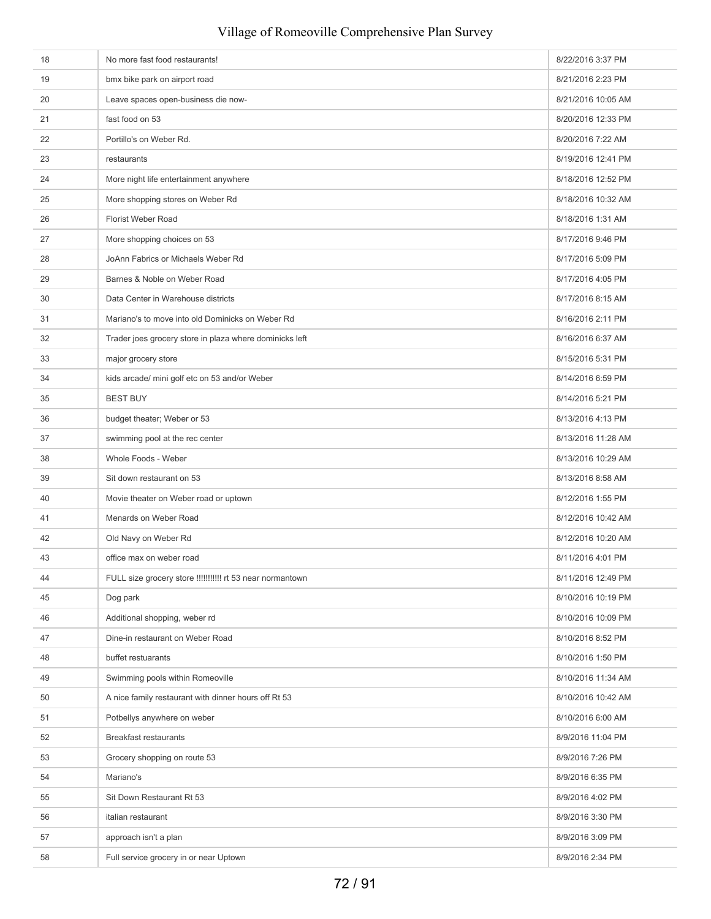| 18 | No more fast food restaurants!                            | 8/22/2016 3:37 PM  |
|----|-----------------------------------------------------------|--------------------|
| 19 | bmx bike park on airport road                             | 8/21/2016 2:23 PM  |
| 20 | Leave spaces open-business die now-                       | 8/21/2016 10:05 AM |
| 21 | fast food on 53                                           | 8/20/2016 12:33 PM |
| 22 | Portillo's on Weber Rd.                                   | 8/20/2016 7:22 AM  |
| 23 | restaurants                                               | 8/19/2016 12:41 PM |
| 24 | More night life entertainment anywhere                    | 8/18/2016 12:52 PM |
| 25 | More shopping stores on Weber Rd                          | 8/18/2016 10:32 AM |
| 26 | Florist Weber Road                                        | 8/18/2016 1:31 AM  |
| 27 | More shopping choices on 53                               | 8/17/2016 9:46 PM  |
| 28 | JoAnn Fabrics or Michaels Weber Rd                        | 8/17/2016 5:09 PM  |
| 29 | Barnes & Noble on Weber Road                              | 8/17/2016 4:05 PM  |
| 30 | Data Center in Warehouse districts                        | 8/17/2016 8:15 AM  |
| 31 | Mariano's to move into old Dominicks on Weber Rd          | 8/16/2016 2:11 PM  |
| 32 | Trader joes grocery store in plaza where dominicks left   | 8/16/2016 6:37 AM  |
| 33 | major grocery store                                       | 8/15/2016 5:31 PM  |
| 34 | kids arcade/ mini golf etc on 53 and/or Weber             | 8/14/2016 6:59 PM  |
| 35 | <b>BEST BUY</b>                                           | 8/14/2016 5:21 PM  |
| 36 | budget theater; Weber or 53                               | 8/13/2016 4:13 PM  |
| 37 | swimming pool at the rec center                           | 8/13/2016 11:28 AM |
| 38 | Whole Foods - Weber                                       | 8/13/2016 10:29 AM |
| 39 | Sit down restaurant on 53                                 | 8/13/2016 8:58 AM  |
| 40 | Movie theater on Weber road or uptown                     | 8/12/2016 1:55 PM  |
| 41 | Menards on Weber Road                                     | 8/12/2016 10:42 AM |
| 42 | Old Navy on Weber Rd                                      | 8/12/2016 10:20 AM |
| 43 | office max on weber road                                  | 8/11/2016 4:01 PM  |
| 44 | FULL size grocery store !!!!!!!!!!! rt 53 near normantown | 8/11/2016 12:49 PM |
| 45 | Dog park                                                  | 8/10/2016 10:19 PM |
| 46 | Additional shopping, weber rd                             | 8/10/2016 10:09 PM |
| 47 | Dine-in restaurant on Weber Road                          | 8/10/2016 8:52 PM  |
| 48 | buffet restuarants                                        | 8/10/2016 1:50 PM  |
| 49 | Swimming pools within Romeoville                          | 8/10/2016 11:34 AM |
| 50 | A nice family restaurant with dinner hours off Rt 53      | 8/10/2016 10:42 AM |
| 51 | Potbellys anywhere on weber                               | 8/10/2016 6:00 AM  |
| 52 | <b>Breakfast restaurants</b>                              | 8/9/2016 11:04 PM  |
| 53 | Grocery shopping on route 53                              | 8/9/2016 7:26 PM   |
| 54 | Mariano's                                                 | 8/9/2016 6:35 PM   |
| 55 | Sit Down Restaurant Rt 53                                 | 8/9/2016 4:02 PM   |
| 56 | italian restaurant                                        | 8/9/2016 3:30 PM   |
| 57 | approach isn't a plan                                     | 8/9/2016 3:09 PM   |
| 58 | Full service grocery in or near Uptown                    | 8/9/2016 2:34 PM   |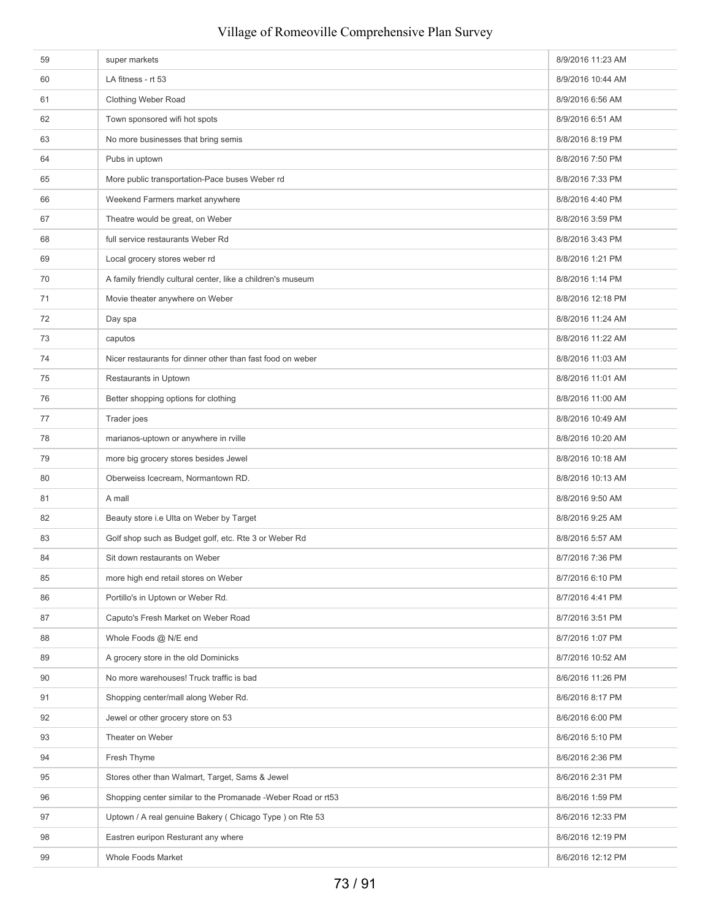| 59 | super markets                                                | 8/9/2016 11:23 AM |
|----|--------------------------------------------------------------|-------------------|
| 60 | LA fitness - rt 53                                           | 8/9/2016 10:44 AM |
| 61 | Clothing Weber Road                                          | 8/9/2016 6:56 AM  |
| 62 | Town sponsored wifi hot spots                                | 8/9/2016 6:51 AM  |
| 63 | No more businesses that bring semis                          | 8/8/2016 8:19 PM  |
| 64 | Pubs in uptown                                               | 8/8/2016 7:50 PM  |
| 65 | More public transportation-Pace buses Weber rd               | 8/8/2016 7:33 PM  |
| 66 | Weekend Farmers market anywhere                              | 8/8/2016 4:40 PM  |
| 67 | Theatre would be great, on Weber                             | 8/8/2016 3:59 PM  |
| 68 | full service restaurants Weber Rd                            | 8/8/2016 3:43 PM  |
| 69 | Local grocery stores weber rd                                | 8/8/2016 1:21 PM  |
| 70 | A family friendly cultural center, like a children's museum  | 8/8/2016 1:14 PM  |
| 71 | Movie theater anywhere on Weber                              | 8/8/2016 12:18 PM |
| 72 | Day spa                                                      | 8/8/2016 11:24 AM |
| 73 | caputos                                                      | 8/8/2016 11:22 AM |
| 74 | Nicer restaurants for dinner other than fast food on weber   | 8/8/2016 11:03 AM |
| 75 | Restaurants in Uptown                                        | 8/8/2016 11:01 AM |
| 76 | Better shopping options for clothing                         | 8/8/2016 11:00 AM |
| 77 | Trader joes                                                  | 8/8/2016 10:49 AM |
| 78 | marianos-uptown or anywhere in rville                        | 8/8/2016 10:20 AM |
| 79 | more big grocery stores besides Jewel                        | 8/8/2016 10:18 AM |
| 80 | Oberweiss Icecream, Normantown RD.                           | 8/8/2016 10:13 AM |
| 81 | A mall                                                       | 8/8/2016 9:50 AM  |
| 82 | Beauty store i.e Ulta on Weber by Target                     | 8/8/2016 9:25 AM  |
| 83 | Golf shop such as Budget golf, etc. Rte 3 or Weber Rd        | 8/8/2016 5:57 AM  |
| 84 | Sit down restaurants on Weber                                | 8/7/2016 7:36 PM  |
| 85 | more high end retail stores on Weber                         | 8/7/2016 6:10 PM  |
| 86 | Portillo's in Uptown or Weber Rd.                            | 8/7/2016 4:41 PM  |
| 87 | Caputo's Fresh Market on Weber Road                          | 8/7/2016 3:51 PM  |
| 88 | Whole Foods @ N/E end                                        | 8/7/2016 1:07 PM  |
| 89 | A grocery store in the old Dominicks                         | 8/7/2016 10:52 AM |
| 90 | No more warehouses! Truck traffic is bad                     | 8/6/2016 11:26 PM |
| 91 | Shopping center/mall along Weber Rd.                         | 8/6/2016 8:17 PM  |
| 92 | Jewel or other grocery store on 53                           | 8/6/2016 6:00 PM  |
| 93 | Theater on Weber                                             | 8/6/2016 5:10 PM  |
| 94 | Fresh Thyme                                                  | 8/6/2016 2:36 PM  |
| 95 | Stores other than Walmart, Target, Sams & Jewel              | 8/6/2016 2:31 PM  |
| 96 | Shopping center similar to the Promanade -Weber Road or rt53 | 8/6/2016 1:59 PM  |
| 97 | Uptown / A real genuine Bakery (Chicago Type) on Rte 53      | 8/6/2016 12:33 PM |
| 98 | Eastren euripon Resturant any where                          | 8/6/2016 12:19 PM |
| 99 | Whole Foods Market                                           | 8/6/2016 12:12 PM |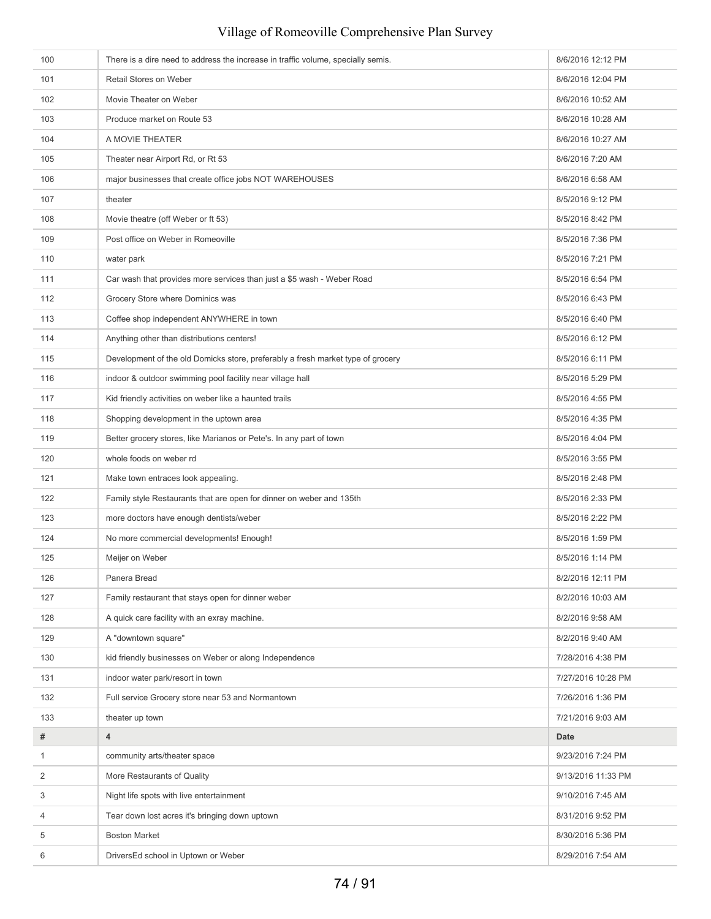| 100          | There is a dire need to address the increase in traffic volume, specially semis. | 8/6/2016 12:12 PM  |
|--------------|----------------------------------------------------------------------------------|--------------------|
| 101          | Retail Stores on Weber                                                           | 8/6/2016 12:04 PM  |
| 102          | Movie Theater on Weber                                                           | 8/6/2016 10:52 AM  |
| 103          | Produce market on Route 53                                                       | 8/6/2016 10:28 AM  |
| 104          | A MOVIE THEATER                                                                  | 8/6/2016 10:27 AM  |
| 105          | Theater near Airport Rd, or Rt 53                                                | 8/6/2016 7:20 AM   |
| 106          | major businesses that create office jobs NOT WAREHOUSES                          | 8/6/2016 6:58 AM   |
| 107          | theater                                                                          | 8/5/2016 9:12 PM   |
| 108          | Movie theatre (off Weber or ft 53)                                               | 8/5/2016 8:42 PM   |
| 109          | Post office on Weber in Romeoville                                               | 8/5/2016 7:36 PM   |
| 110          | water park                                                                       | 8/5/2016 7:21 PM   |
| 111          | Car wash that provides more services than just a \$5 wash - Weber Road           | 8/5/2016 6:54 PM   |
| 112          | Grocery Store where Dominics was                                                 | 8/5/2016 6:43 PM   |
| 113          | Coffee shop independent ANYWHERE in town                                         | 8/5/2016 6:40 PM   |
| 114          | Anything other than distributions centers!                                       | 8/5/2016 6:12 PM   |
| 115          | Development of the old Domicks store, preferably a fresh market type of grocery  | 8/5/2016 6:11 PM   |
| 116          | indoor & outdoor swimming pool facility near village hall                        | 8/5/2016 5:29 PM   |
| 117          | Kid friendly activities on weber like a haunted trails                           | 8/5/2016 4:55 PM   |
| 118          | Shopping development in the uptown area                                          | 8/5/2016 4:35 PM   |
| 119          | Better grocery stores, like Marianos or Pete's. In any part of town              | 8/5/2016 4:04 PM   |
| 120          | whole foods on weber rd                                                          | 8/5/2016 3:55 PM   |
| 121          | Make town entraces look appealing.                                               | 8/5/2016 2:48 PM   |
| 122          | Family style Restaurants that are open for dinner on weber and 135th             | 8/5/2016 2:33 PM   |
| 123          | more doctors have enough dentists/weber                                          | 8/5/2016 2:22 PM   |
| 124          | No more commercial developments! Enough!                                         | 8/5/2016 1:59 PM   |
| 125          | Meijer on Weber                                                                  | 8/5/2016 1:14 PM   |
| 126          | Panera Bread                                                                     | 8/2/2016 12:11 PM  |
| 127          | Family restaurant that stays open for dinner weber                               | 8/2/2016 10:03 AM  |
| 128          | A quick care facility with an exray machine.                                     | 8/2/2016 9:58 AM   |
| 129          | A "downtown square"                                                              | 8/2/2016 9:40 AM   |
| 130          | kid friendly businesses on Weber or along Independence                           | 7/28/2016 4:38 PM  |
| 131          | indoor water park/resort in town                                                 | 7/27/2016 10:28 PM |
| 132          | Full service Grocery store near 53 and Normantown                                | 7/26/2016 1:36 PM  |
| 133          | theater up town                                                                  | 7/21/2016 9:03 AM  |
| #            | 4                                                                                | Date               |
| $\mathbf{1}$ | community arts/theater space                                                     | 9/23/2016 7:24 PM  |
| 2            | More Restaurants of Quality                                                      | 9/13/2016 11:33 PM |
| 3            | Night life spots with live entertainment                                         | 9/10/2016 7:45 AM  |
| 4            | Tear down lost acres it's bringing down uptown                                   | 8/31/2016 9:52 PM  |
| 5            | <b>Boston Market</b>                                                             | 8/30/2016 5:36 PM  |
| 6            | DriversEd school in Uptown or Weber                                              | 8/29/2016 7:54 AM  |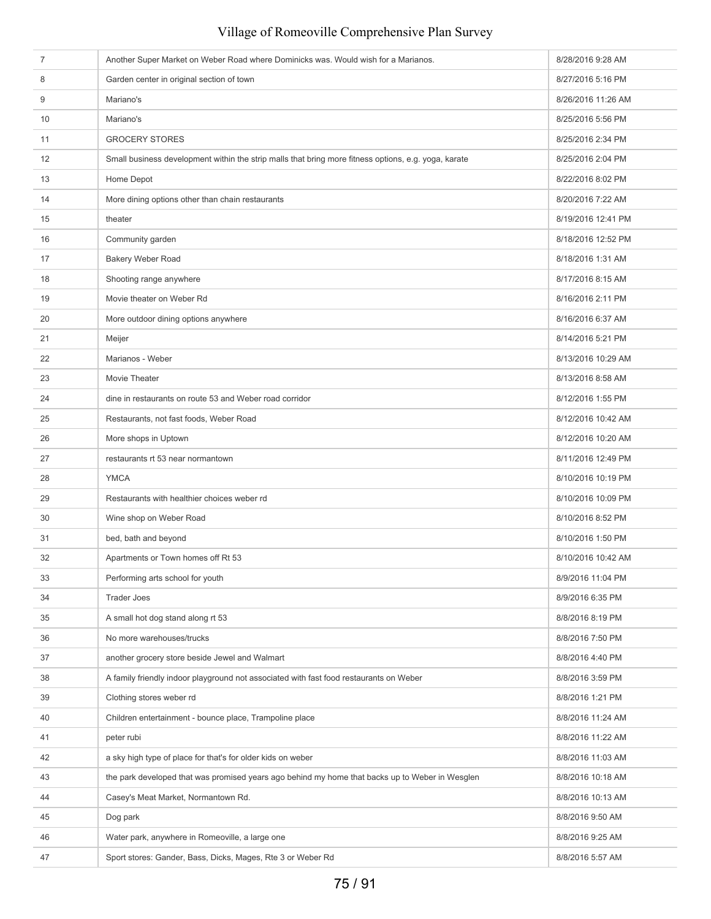| $\overline{7}$ | Another Super Market on Weber Road where Dominicks was. Would wish for a Marianos.                   | 8/28/2016 9:28 AM  |
|----------------|------------------------------------------------------------------------------------------------------|--------------------|
| 8              | Garden center in original section of town                                                            | 8/27/2016 5:16 PM  |
| 9              | Mariano's                                                                                            | 8/26/2016 11:26 AM |
| 10             | Mariano's                                                                                            | 8/25/2016 5:56 PM  |
| 11             | <b>GROCERY STORES</b>                                                                                | 8/25/2016 2:34 PM  |
| 12             | Small business development within the strip malls that bring more fitness options, e.g. yoga, karate | 8/25/2016 2:04 PM  |
| 13             | Home Depot                                                                                           | 8/22/2016 8:02 PM  |
| 14             | More dining options other than chain restaurants                                                     | 8/20/2016 7:22 AM  |
| 15             | theater                                                                                              | 8/19/2016 12:41 PM |
| 16             | Community garden                                                                                     | 8/18/2016 12:52 PM |
| 17             | Bakery Weber Road                                                                                    | 8/18/2016 1:31 AM  |
| 18             | Shooting range anywhere                                                                              | 8/17/2016 8:15 AM  |
| 19             | Movie theater on Weber Rd                                                                            | 8/16/2016 2:11 PM  |
| 20             | More outdoor dining options anywhere                                                                 | 8/16/2016 6:37 AM  |
| 21             | Meijer                                                                                               | 8/14/2016 5:21 PM  |
| 22             | Marianos - Weber                                                                                     | 8/13/2016 10:29 AM |
| 23             | Movie Theater                                                                                        | 8/13/2016 8:58 AM  |
| 24             | dine in restaurants on route 53 and Weber road corridor                                              | 8/12/2016 1:55 PM  |
| 25             | Restaurants, not fast foods, Weber Road                                                              | 8/12/2016 10:42 AM |
| 26             | More shops in Uptown                                                                                 | 8/12/2016 10:20 AM |
| 27             | restaurants rt 53 near normantown                                                                    | 8/11/2016 12:49 PM |
| 28             | <b>YMCA</b>                                                                                          | 8/10/2016 10:19 PM |
| 29             | Restaurants with healthier choices weber rd                                                          | 8/10/2016 10:09 PM |
| 30             | Wine shop on Weber Road                                                                              | 8/10/2016 8:52 PM  |
| 31             | bed, bath and beyond                                                                                 | 8/10/2016 1:50 PM  |
| 32             | Apartments or Town homes off Rt 53                                                                   | 8/10/2016 10:42 AM |
| 33             | Performing arts school for youth                                                                     | 8/9/2016 11:04 PM  |
| 34             | <b>Trader Joes</b>                                                                                   | 8/9/2016 6:35 PM   |
| 35             | A small hot dog stand along rt 53                                                                    | 8/8/2016 8:19 PM   |
| 36             | No more warehouses/trucks                                                                            | 8/8/2016 7:50 PM   |
| 37             | another grocery store beside Jewel and Walmart                                                       | 8/8/2016 4:40 PM   |
| 38             | A family friendly indoor playground not associated with fast food restaurants on Weber               | 8/8/2016 3:59 PM   |
| 39             | Clothing stores weber rd                                                                             | 8/8/2016 1:21 PM   |
| 40             | Children entertainment - bounce place, Trampoline place                                              | 8/8/2016 11:24 AM  |
| 41             | peter rubi                                                                                           | 8/8/2016 11:22 AM  |
| 42             | a sky high type of place for that's for older kids on weber                                          | 8/8/2016 11:03 AM  |
| 43             | the park developed that was promised years ago behind my home that backs up to Weber in Wesglen      | 8/8/2016 10:18 AM  |
| 44             | Casey's Meat Market, Normantown Rd.                                                                  | 8/8/2016 10:13 AM  |
| 45             | Dog park                                                                                             | 8/8/2016 9:50 AM   |
| 46             | Water park, anywhere in Romeoville, a large one                                                      | 8/8/2016 9:25 AM   |
| 47             | Sport stores: Gander, Bass, Dicks, Mages, Rte 3 or Weber Rd                                          | 8/8/2016 5:57 AM   |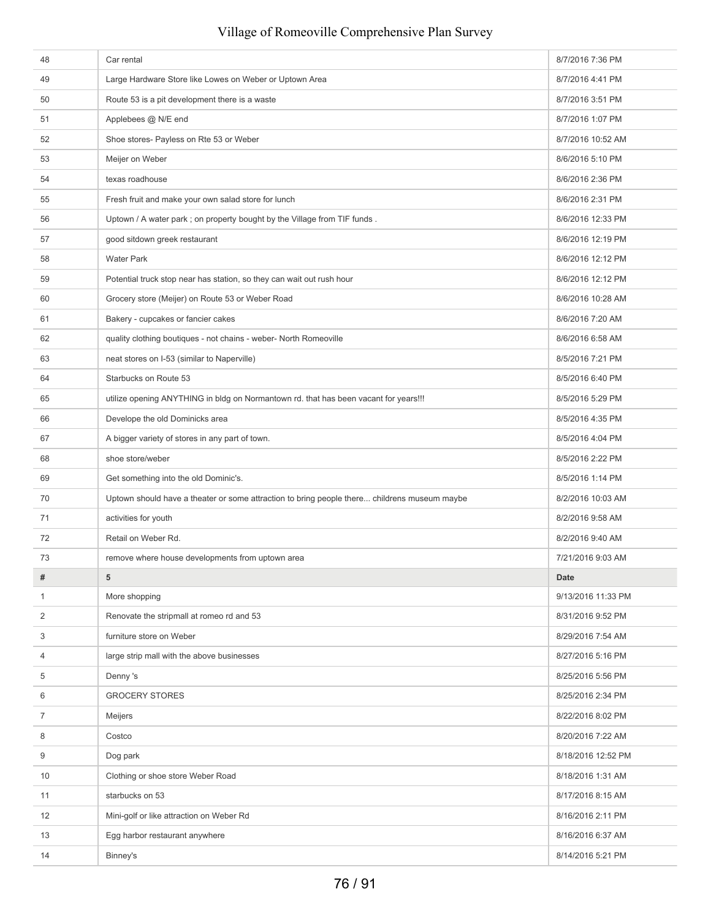| 48 | Car rental                                                                                   | 8/7/2016 7:36 PM   |
|----|----------------------------------------------------------------------------------------------|--------------------|
| 49 | Large Hardware Store like Lowes on Weber or Uptown Area                                      | 8/7/2016 4:41 PM   |
| 50 | Route 53 is a pit development there is a waste                                               | 8/7/2016 3:51 PM   |
| 51 | Applebees @ N/E end                                                                          | 8/7/2016 1:07 PM   |
| 52 | Shoe stores- Payless on Rte 53 or Weber                                                      | 8/7/2016 10:52 AM  |
| 53 | Meijer on Weber                                                                              | 8/6/2016 5:10 PM   |
| 54 | texas roadhouse                                                                              | 8/6/2016 2:36 PM   |
| 55 | Fresh fruit and make your own salad store for lunch                                          | 8/6/2016 2:31 PM   |
| 56 | Uptown / A water park ; on property bought by the Village from TIF funds.                    | 8/6/2016 12:33 PM  |
| 57 | good sitdown greek restaurant                                                                | 8/6/2016 12:19 PM  |
| 58 | <b>Water Park</b>                                                                            | 8/6/2016 12:12 PM  |
| 59 | Potential truck stop near has station, so they can wait out rush hour                        | 8/6/2016 12:12 PM  |
| 60 | Grocery store (Meijer) on Route 53 or Weber Road                                             | 8/6/2016 10:28 AM  |
| 61 | Bakery - cupcakes or fancier cakes                                                           | 8/6/2016 7:20 AM   |
| 62 | quality clothing boutiques - not chains - weber- North Romeoville                            | 8/6/2016 6:58 AM   |
| 63 | neat stores on I-53 (similar to Naperville)                                                  | 8/5/2016 7:21 PM   |
| 64 | Starbucks on Route 53                                                                        | 8/5/2016 6:40 PM   |
| 65 | utilize opening ANYTHING in bldg on Normantown rd. that has been vacant for years!!!         | 8/5/2016 5:29 PM   |
| 66 | Develope the old Dominicks area                                                              | 8/5/2016 4:35 PM   |
| 67 | A bigger variety of stores in any part of town.                                              | 8/5/2016 4:04 PM   |
| 68 | shoe store/weber                                                                             | 8/5/2016 2:22 PM   |
| 69 | Get something into the old Dominic's.                                                        | 8/5/2016 1:14 PM   |
| 70 | Uptown should have a theater or some attraction to bring people there childrens museum maybe | 8/2/2016 10:03 AM  |
| 71 | activities for youth                                                                         | 8/2/2016 9:58 AM   |
| 72 | Retail on Weber Rd.                                                                          | 8/2/2016 9:40 AM   |
| 73 | remove where house developments from uptown area                                             | 7/21/2016 9:03 AM  |
| #  | 5                                                                                            | Date               |
| 1  | More shopping                                                                                | 9/13/2016 11:33 PM |
| 2  | Renovate the stripmall at romeo rd and 53                                                    | 8/31/2016 9:52 PM  |
| 3  | furniture store on Weber                                                                     | 8/29/2016 7:54 AM  |
| 4  | large strip mall with the above businesses                                                   | 8/27/2016 5:16 PM  |
| 5  | Denny's                                                                                      | 8/25/2016 5:56 PM  |
| 6  | <b>GROCERY STORES</b>                                                                        | 8/25/2016 2:34 PM  |
| 7  | Meijers                                                                                      | 8/22/2016 8:02 PM  |
| 8  | Costco                                                                                       | 8/20/2016 7:22 AM  |
| 9  | Dog park                                                                                     | 8/18/2016 12:52 PM |
| 10 | Clothing or shoe store Weber Road                                                            | 8/18/2016 1:31 AM  |
| 11 | starbucks on 53                                                                              | 8/17/2016 8:15 AM  |
| 12 | Mini-golf or like attraction on Weber Rd                                                     | 8/16/2016 2:11 PM  |
| 13 | Egg harbor restaurant anywhere                                                               | 8/16/2016 6:37 AM  |
| 14 | Binney's                                                                                     | 8/14/2016 5:21 PM  |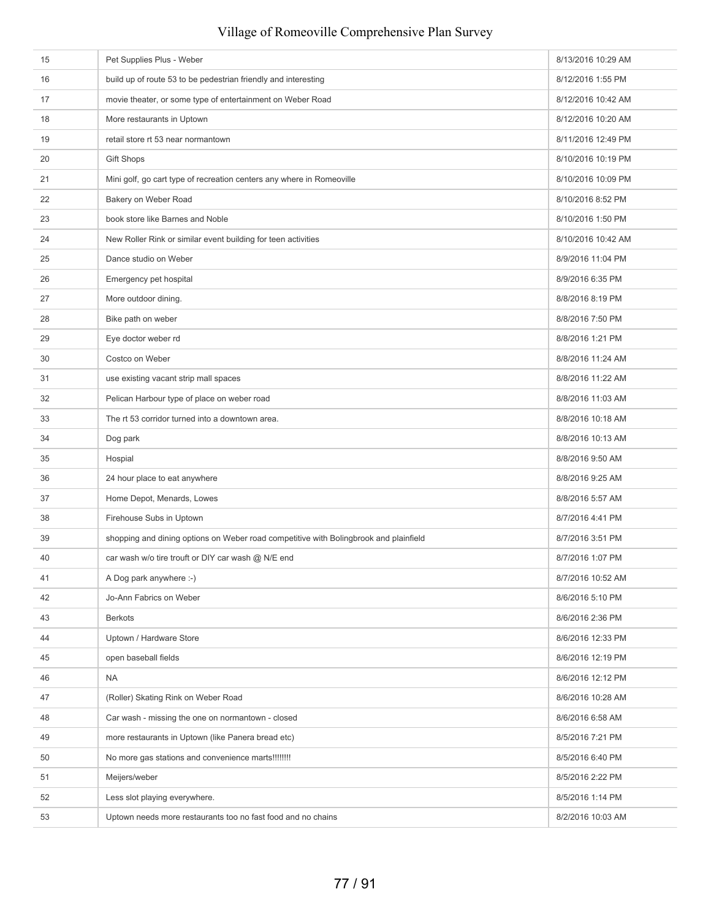| 15 | Pet Supplies Plus - Weber                                                             | 8/13/2016 10:29 AM |
|----|---------------------------------------------------------------------------------------|--------------------|
| 16 | build up of route 53 to be pedestrian friendly and interesting                        | 8/12/2016 1:55 PM  |
| 17 | movie theater, or some type of entertainment on Weber Road                            | 8/12/2016 10:42 AM |
| 18 | More restaurants in Uptown                                                            | 8/12/2016 10:20 AM |
| 19 | retail store rt 53 near normantown                                                    | 8/11/2016 12:49 PM |
| 20 | <b>Gift Shops</b>                                                                     | 8/10/2016 10:19 PM |
| 21 | Mini golf, go cart type of recreation centers any where in Romeoville                 | 8/10/2016 10:09 PM |
| 22 | Bakery on Weber Road                                                                  | 8/10/2016 8:52 PM  |
| 23 | book store like Barnes and Noble                                                      | 8/10/2016 1:50 PM  |
| 24 | New Roller Rink or similar event building for teen activities                         | 8/10/2016 10:42 AM |
| 25 | Dance studio on Weber                                                                 | 8/9/2016 11:04 PM  |
| 26 | Emergency pet hospital                                                                | 8/9/2016 6:35 PM   |
| 27 | More outdoor dining.                                                                  | 8/8/2016 8:19 PM   |
| 28 | Bike path on weber                                                                    | 8/8/2016 7:50 PM   |
| 29 | Eye doctor weber rd                                                                   | 8/8/2016 1:21 PM   |
| 30 | Costco on Weber                                                                       | 8/8/2016 11:24 AM  |
| 31 | use existing vacant strip mall spaces                                                 | 8/8/2016 11:22 AM  |
| 32 | Pelican Harbour type of place on weber road                                           | 8/8/2016 11:03 AM  |
| 33 | The rt 53 corridor turned into a downtown area.                                       | 8/8/2016 10:18 AM  |
| 34 | Dog park                                                                              | 8/8/2016 10:13 AM  |
| 35 | Hospial                                                                               | 8/8/2016 9:50 AM   |
| 36 | 24 hour place to eat anywhere                                                         | 8/8/2016 9:25 AM   |
| 37 | Home Depot, Menards, Lowes                                                            | 8/8/2016 5:57 AM   |
| 38 | Firehouse Subs in Uptown                                                              | 8/7/2016 4:41 PM   |
| 39 | shopping and dining options on Weber road competitive with Bolingbrook and plainfield | 8/7/2016 3:51 PM   |
| 40 | car wash w/o tire trouft or DIY car wash @ N/E end                                    | 8/7/2016 1:07 PM   |
| 41 | A Dog park anywhere :-)                                                               | 8/7/2016 10:52 AM  |
| 42 | Jo-Ann Fabrics on Weber                                                               | 8/6/2016 5:10 PM   |
| 43 | <b>Berkots</b>                                                                        | 8/6/2016 2:36 PM   |
| 44 | Uptown / Hardware Store                                                               | 8/6/2016 12:33 PM  |
| 45 | open baseball fields                                                                  | 8/6/2016 12:19 PM  |
| 46 | <b>NA</b>                                                                             | 8/6/2016 12:12 PM  |
| 47 | (Roller) Skating Rink on Weber Road                                                   | 8/6/2016 10:28 AM  |
| 48 | Car wash - missing the one on normantown - closed                                     | 8/6/2016 6:58 AM   |
| 49 | more restaurants in Uptown (like Panera bread etc)                                    | 8/5/2016 7:21 PM   |
| 50 | No more gas stations and convenience marts!!!!!!!!                                    | 8/5/2016 6:40 PM   |
| 51 | Meijers/weber                                                                         | 8/5/2016 2:22 PM   |
| 52 | Less slot playing everywhere.                                                         | 8/5/2016 1:14 PM   |
| 53 | Uptown needs more restaurants too no fast food and no chains                          | 8/2/2016 10:03 AM  |
|    |                                                                                       |                    |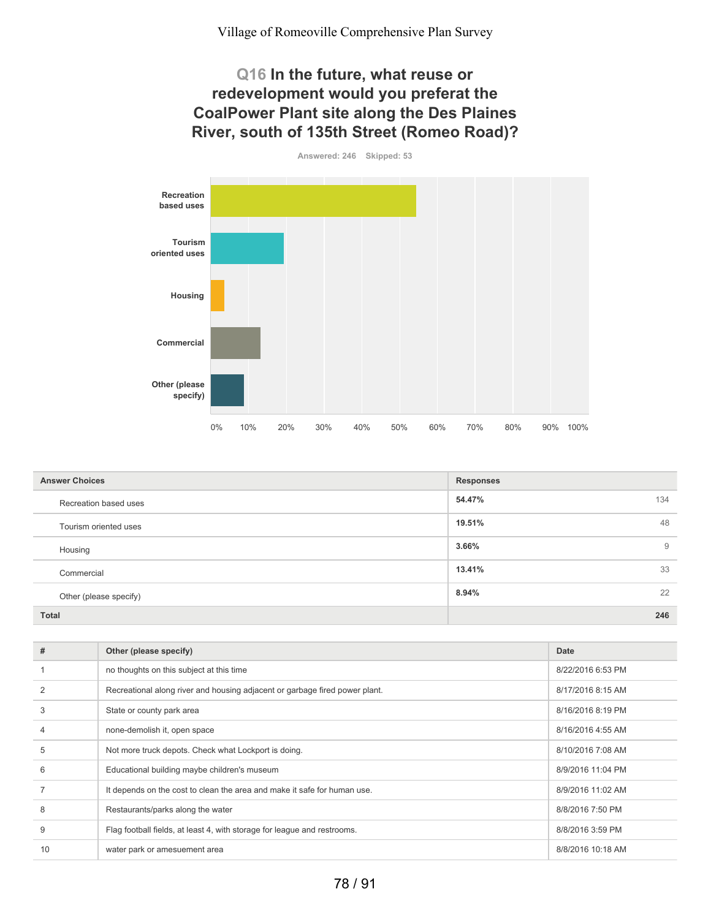#### **Q16 In the future, what reuse or redevelopment would you preferat the CoalPower Plant site along the Des Plaines River, south of 135th Street (Romeo Road)?**



| <b>Answer Choices</b>  | <b>Responses</b> |
|------------------------|------------------|
| Recreation based uses  | 54.47%<br>134    |
| Tourism oriented uses  | 48<br>19.51%     |
| Housing                | 3.66%<br>9       |
| Commercial             | 33<br>13.41%     |
| Other (please specify) | 22<br>8.94%      |
| <b>Total</b>           | 246              |

| #  | Other (please specify)                                                      | Date              |
|----|-----------------------------------------------------------------------------|-------------------|
|    | no thoughts on this subject at this time                                    | 8/22/2016 6:53 PM |
|    | Recreational along river and housing adjacent or garbage fired power plant. | 8/17/2016 8:15 AM |
| 3  | State or county park area                                                   | 8/16/2016 8:19 PM |
|    | none-demolish it, open space                                                | 8/16/2016 4:55 AM |
| 5  | Not more truck depots. Check what Lockport is doing.                        | 8/10/2016 7:08 AM |
| 6  | Educational building maybe children's museum                                | 8/9/2016 11:04 PM |
|    | It depends on the cost to clean the area and make it safe for human use.    | 8/9/2016 11:02 AM |
| 8  | Restaurants/parks along the water                                           | 8/8/2016 7:50 PM  |
| 9  | Flag football fields, at least 4, with storage for league and restrooms.    | 8/8/2016 3:59 PM  |
| 10 | water park or amesuement area                                               | 8/8/2016 10:18 AM |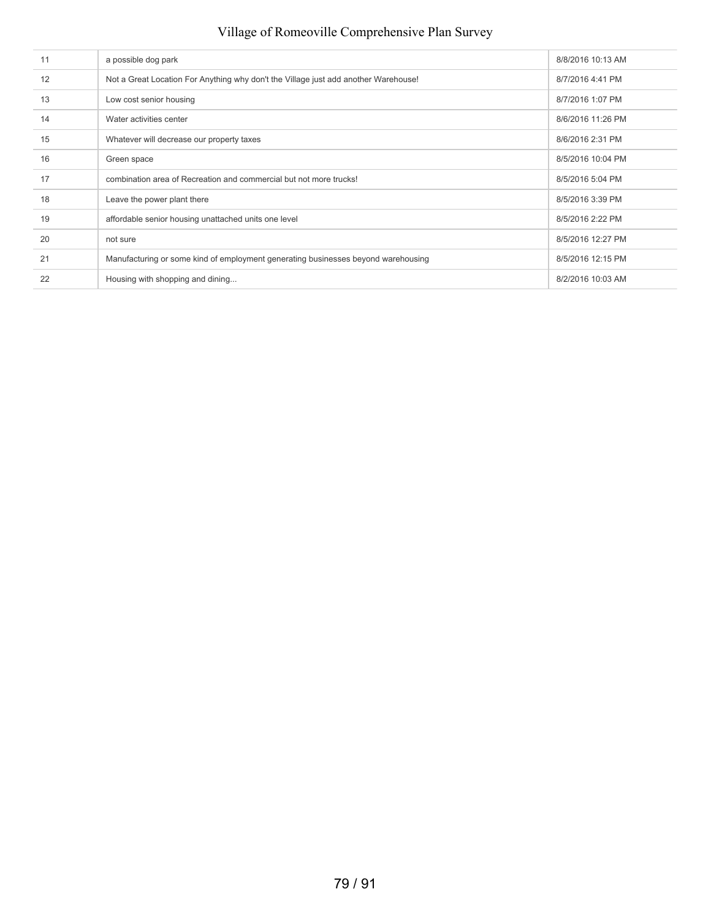| 11 | a possible dog park                                                                 | 8/8/2016 10:13 AM |
|----|-------------------------------------------------------------------------------------|-------------------|
| 12 | Not a Great Location For Anything why don't the Village just add another Warehouse! | 8/7/2016 4:41 PM  |
| 13 | Low cost senior housing                                                             | 8/7/2016 1:07 PM  |
| 14 | Water activities center                                                             | 8/6/2016 11:26 PM |
| 15 | Whatever will decrease our property taxes                                           | 8/6/2016 2:31 PM  |
| 16 | Green space                                                                         | 8/5/2016 10:04 PM |
| 17 | combination area of Recreation and commercial but not more trucks!                  | 8/5/2016 5:04 PM  |
| 18 | Leave the power plant there                                                         | 8/5/2016 3:39 PM  |
| 19 | affordable senior housing unattached units one level                                | 8/5/2016 2:22 PM  |
| 20 | not sure                                                                            | 8/5/2016 12:27 PM |
| 21 | Manufacturing or some kind of employment generating businesses beyond warehousing   | 8/5/2016 12:15 PM |
| 22 | Housing with shopping and dining                                                    | 8/2/2016 10:03 AM |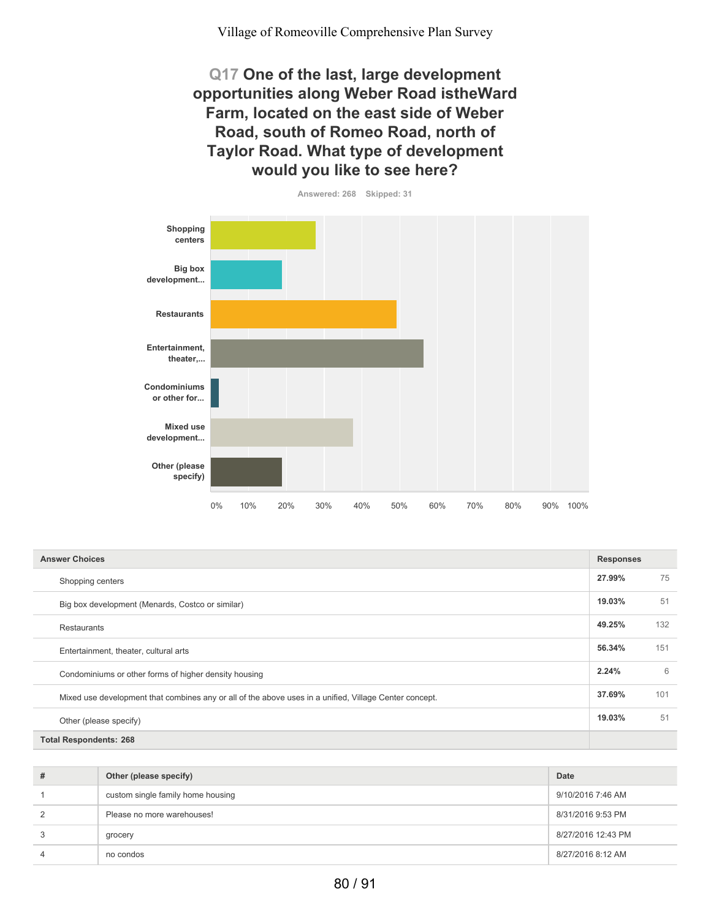**Q17 One of the last, large development opportunities along Weber Road istheWard Farm, located on the east side of Weber Road, south of Romeo Road, north of Taylor Road. What type of development would you like to see here?**



| <b>Answer Choices</b>                                                                                  |        |     |
|--------------------------------------------------------------------------------------------------------|--------|-----|
| Shopping centers                                                                                       | 27.99% | 75  |
| Big box development (Menards, Costco or similar)                                                       | 19.03% | 51  |
| <b>Restaurants</b>                                                                                     | 49.25% | 132 |
| Entertainment, theater, cultural arts                                                                  | 56.34% | 151 |
| Condominiums or other forms of higher density housing                                                  | 2.24%  | 6   |
| Mixed use development that combines any or all of the above uses in a unified, Village Center concept. | 37.69% | 101 |
| Other (please specify)                                                                                 | 19.03% | 51  |
| <b>Total Respondents: 268</b>                                                                          |        |     |

| # | Other (please specify)            | Date               |
|---|-----------------------------------|--------------------|
|   | custom single family home housing | 9/10/2016 7:46 AM  |
| 2 | Please no more warehouses!        | 8/31/2016 9:53 PM  |
| 3 | grocery                           | 8/27/2016 12:43 PM |
| 4 | no condos                         | 8/27/2016 8:12 AM  |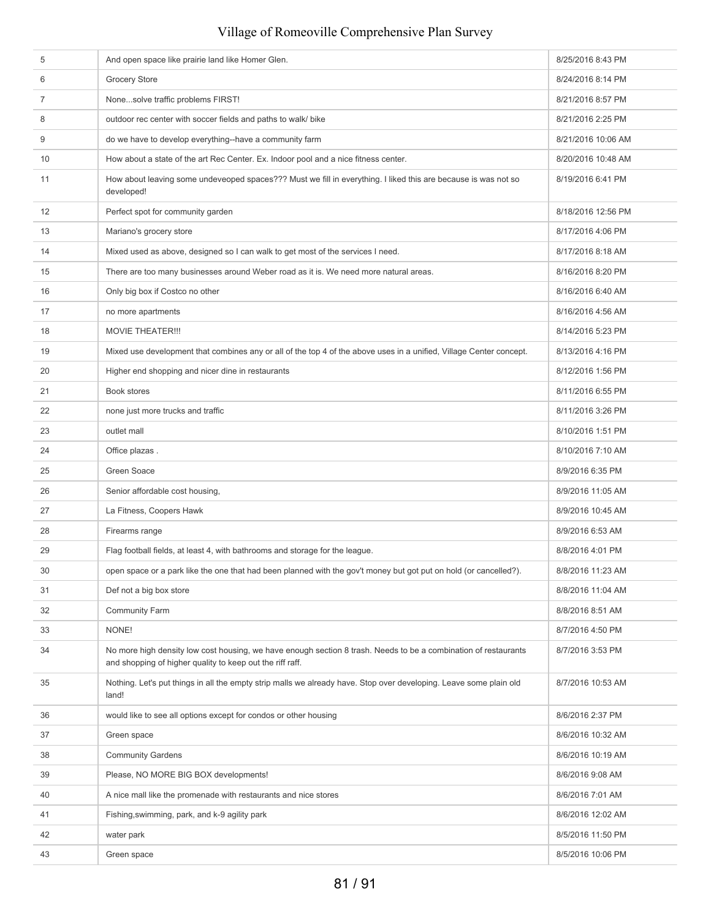| 5  | And open space like prairie land like Homer Glen.                                                                                                                            | 8/25/2016 8:43 PM  |
|----|------------------------------------------------------------------------------------------------------------------------------------------------------------------------------|--------------------|
| 6  | <b>Grocery Store</b>                                                                                                                                                         | 8/24/2016 8:14 PM  |
| 7  | Nonesolve traffic problems FIRST!                                                                                                                                            | 8/21/2016 8:57 PM  |
| 8  | outdoor rec center with soccer fields and paths to walk/ bike                                                                                                                | 8/21/2016 2:25 PM  |
| 9  | do we have to develop everything--have a community farm                                                                                                                      | 8/21/2016 10:06 AM |
| 10 | How about a state of the art Rec Center. Ex. Indoor pool and a nice fitness center.                                                                                          | 8/20/2016 10:48 AM |
| 11 | How about leaving some undeveoped spaces??? Must we fill in everything. I liked this are because is was not so<br>developed!                                                 | 8/19/2016 6:41 PM  |
| 12 | Perfect spot for community garden                                                                                                                                            | 8/18/2016 12:56 PM |
| 13 | Mariano's grocery store                                                                                                                                                      | 8/17/2016 4:06 PM  |
| 14 | Mixed used as above, designed so I can walk to get most of the services I need.                                                                                              | 8/17/2016 8:18 AM  |
| 15 | There are too many businesses around Weber road as it is. We need more natural areas.                                                                                        | 8/16/2016 8:20 PM  |
| 16 | Only big box if Costco no other                                                                                                                                              | 8/16/2016 6:40 AM  |
| 17 | no more apartments                                                                                                                                                           | 8/16/2016 4:56 AM  |
| 18 | <b>MOVIE THEATER!!!</b>                                                                                                                                                      | 8/14/2016 5:23 PM  |
| 19 | Mixed use development that combines any or all of the top 4 of the above uses in a unified, Village Center concept.                                                          | 8/13/2016 4:16 PM  |
| 20 | Higher end shopping and nicer dine in restaurants                                                                                                                            | 8/12/2016 1:56 PM  |
| 21 | Book stores                                                                                                                                                                  | 8/11/2016 6:55 PM  |
| 22 | none just more trucks and traffic                                                                                                                                            | 8/11/2016 3:26 PM  |
| 23 | outlet mall                                                                                                                                                                  | 8/10/2016 1:51 PM  |
| 24 | Office plazas.                                                                                                                                                               | 8/10/2016 7:10 AM  |
| 25 | Green Soace                                                                                                                                                                  | 8/9/2016 6:35 PM   |
| 26 | Senior affordable cost housing,                                                                                                                                              | 8/9/2016 11:05 AM  |
| 27 | La Fitness, Coopers Hawk                                                                                                                                                     | 8/9/2016 10:45 AM  |
| 28 | Firearms range                                                                                                                                                               | 8/9/2016 6:53 AM   |
| 29 | Flag football fields, at least 4, with bathrooms and storage for the league.                                                                                                 | 8/8/2016 4:01 PM   |
| 30 | open space or a park like the one that had been planned with the gov't money but got put on hold (or cancelled?).                                                            | 8/8/2016 11:23 AM  |
| 31 | Def not a big box store                                                                                                                                                      | 8/8/2016 11:04 AM  |
| 32 | <b>Community Farm</b>                                                                                                                                                        | 8/8/2016 8:51 AM   |
| 33 | NONE!                                                                                                                                                                        | 8/7/2016 4:50 PM   |
| 34 | No more high density low cost housing, we have enough section 8 trash. Needs to be a combination of restaurants<br>and shopping of higher quality to keep out the riff raff. | 8/7/2016 3:53 PM   |
| 35 | Nothing. Let's put things in all the empty strip malls we already have. Stop over developing. Leave some plain old<br>land!                                                  | 8/7/2016 10:53 AM  |
| 36 | would like to see all options except for condos or other housing                                                                                                             | 8/6/2016 2:37 PM   |
| 37 | Green space                                                                                                                                                                  | 8/6/2016 10:32 AM  |
| 38 | <b>Community Gardens</b>                                                                                                                                                     | 8/6/2016 10:19 AM  |
| 39 | Please, NO MORE BIG BOX developments!                                                                                                                                        | 8/6/2016 9:08 AM   |
| 40 | A nice mall like the promenade with restaurants and nice stores                                                                                                              | 8/6/2016 7:01 AM   |
| 41 | Fishing, swimming, park, and k-9 agility park                                                                                                                                | 8/6/2016 12:02 AM  |
| 42 | water park                                                                                                                                                                   | 8/5/2016 11:50 PM  |
| 43 | Green space                                                                                                                                                                  | 8/5/2016 10:06 PM  |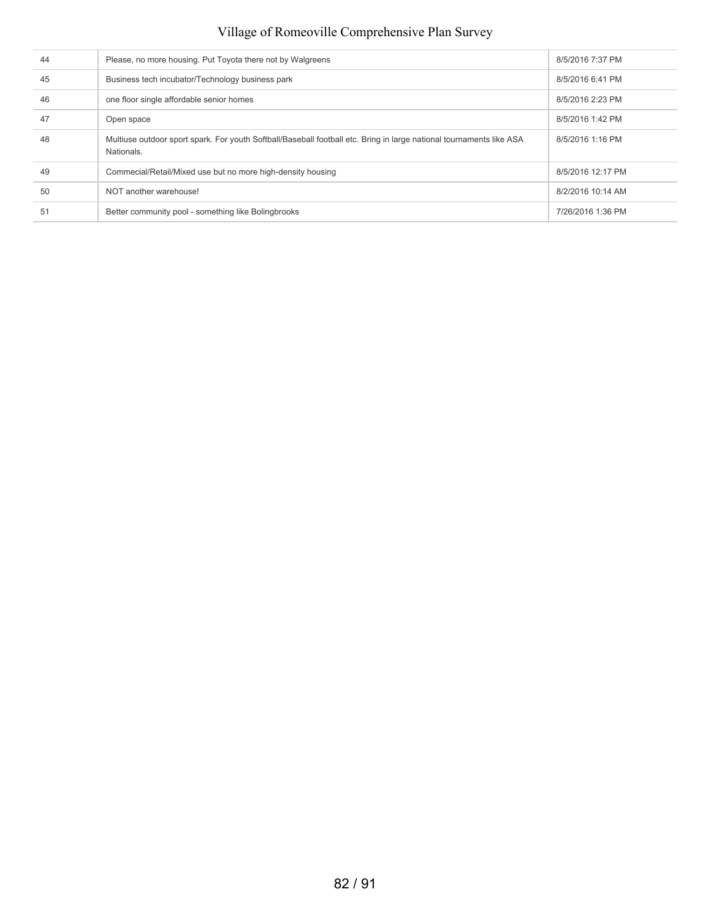| 44 | Please, no more housing. Put Toyota there not by Walgreens                                                                         | 8/5/2016 7:37 PM  |
|----|------------------------------------------------------------------------------------------------------------------------------------|-------------------|
| 45 | Business tech incubator/Technology business park                                                                                   | 8/5/2016 6:41 PM  |
| 46 | one floor single affordable senior homes                                                                                           | 8/5/2016 2:23 PM  |
| 47 | Open space                                                                                                                         | 8/5/2016 1:42 PM  |
| 48 | Multiuse outdoor sport spark. For youth Softball/Baseball football etc. Bring in large national tournaments like ASA<br>Nationals. | 8/5/2016 1:16 PM  |
| 49 | Commecial/Retail/Mixed use but no more high-density housing                                                                        | 8/5/2016 12:17 PM |
| 50 | NOT another warehouse!                                                                                                             | 8/2/2016 10:14 AM |
| 51 | Better community pool - something like Bolingbrooks                                                                                | 7/26/2016 1:36 PM |
|    |                                                                                                                                    |                   |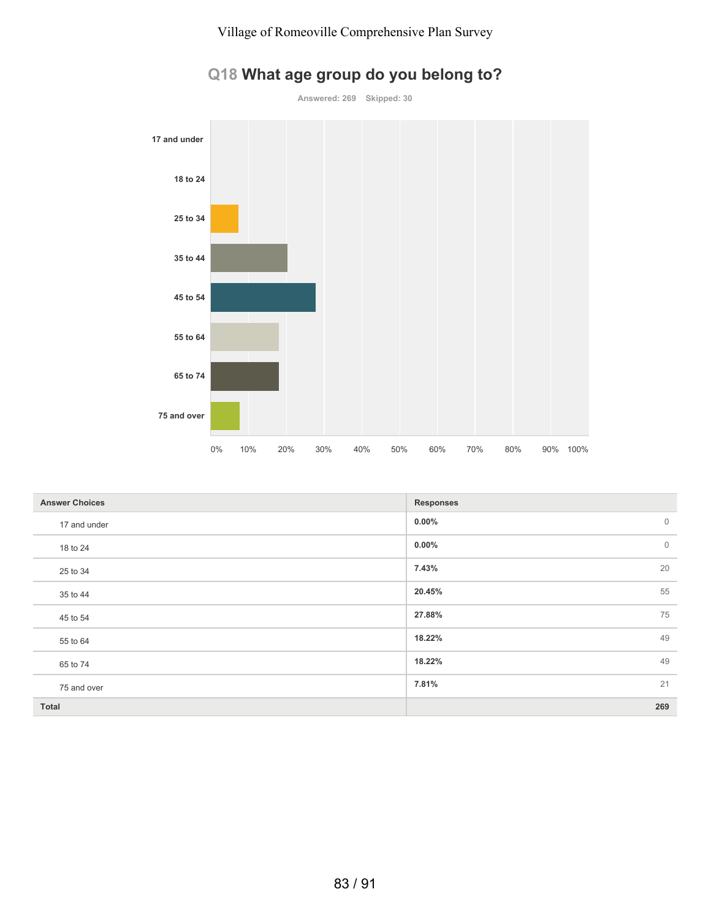

## **Q18 What age group do you belong to?**

| <b>Answer Choices</b> | <b>Responses</b>         |
|-----------------------|--------------------------|
| 17 and under          | $0.00\%$<br>$\mathbf{0}$ |
| 18 to 24              | $\mathbf{0}$<br>$0.00\%$ |
| 25 to 34              | 20<br>7.43%              |
| 35 to 44              | 55<br>20.45%             |
| 45 to 54              | 75<br>27.88%             |
| 55 to 64              | 49<br>18.22%             |
| 65 to 74              | 49<br>18.22%             |
| 75 and over           | 7.81%<br>21              |
| <b>Total</b>          | 269                      |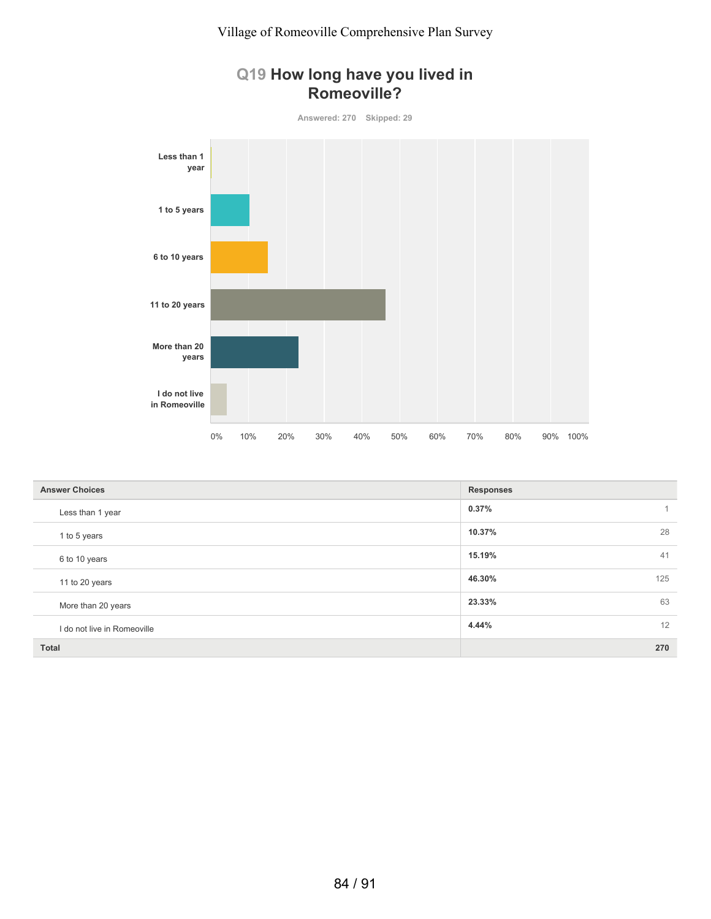



| <b>Answer Choices</b>       | <b>Responses</b>      |
|-----------------------------|-----------------------|
| Less than 1 year            | 0.37%<br>$\mathbf{1}$ |
| 1 to 5 years                | 28<br>10.37%          |
| 6 to 10 years               | 41<br>15.19%          |
| 11 to 20 years              | 125<br>46.30%         |
| More than 20 years          | 63<br>23.33%          |
| I do not live in Romeoville | 12<br>4.44%           |
| <b>Total</b>                | 270                   |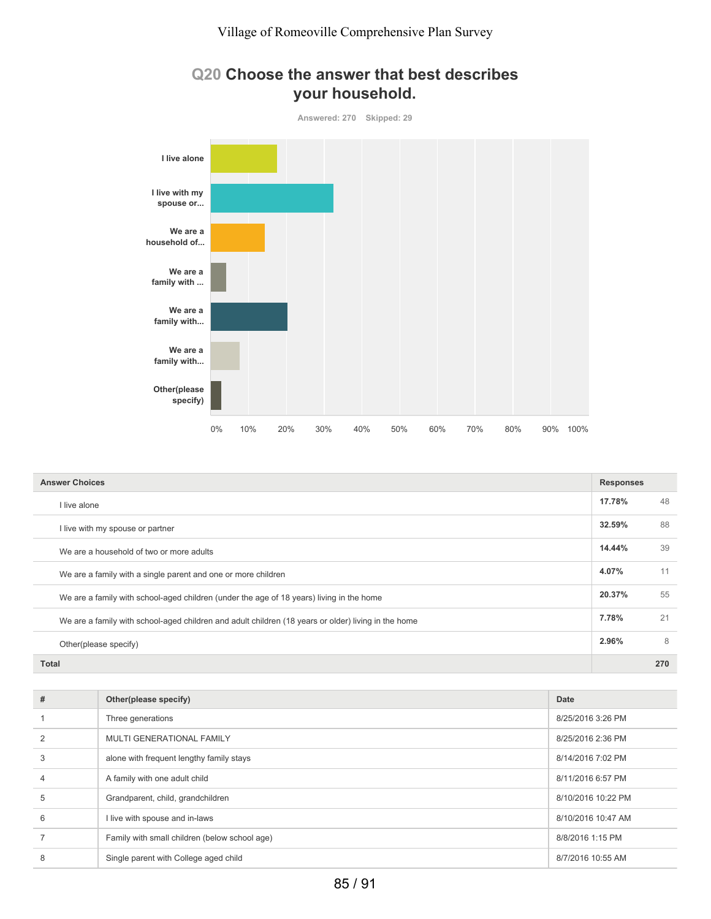



| <b>Answer Choices</b>                                                                               |        | <b>Responses</b> |  |
|-----------------------------------------------------------------------------------------------------|--------|------------------|--|
| I live alone                                                                                        | 17.78% | 48               |  |
| I live with my spouse or partner                                                                    | 32.59% | 88               |  |
| We are a household of two or more adults                                                            | 14.44% | 39               |  |
| We are a family with a single parent and one or more children                                       | 4.07%  | 11               |  |
| We are a family with school-aged children (under the age of 18 years) living in the home            | 20.37% | 55               |  |
| We are a family with school-aged children and adult children (18 years or older) living in the home | 7.78%  | 21               |  |
| Other(please specify)                                                                               | 2.96%  | 8                |  |
| Total                                                                                               |        | 270              |  |

| #              | Other(please specify)                         | Date               |
|----------------|-----------------------------------------------|--------------------|
|                | Three generations                             | 8/25/2016 3:26 PM  |
| $\overline{2}$ | MULTI GENERATIONAL FAMILY                     | 8/25/2016 2:36 PM  |
| 3              | alone with frequent lengthy family stays      | 8/14/2016 7:02 PM  |
| $\overline{4}$ | A family with one adult child                 | 8/11/2016 6:57 PM  |
| 5              | Grandparent, child, grandchildren             | 8/10/2016 10:22 PM |
| 6              | I live with spouse and in-laws                | 8/10/2016 10:47 AM |
|                | Family with small children (below school age) | 8/8/2016 1:15 PM   |
| 8              | Single parent with College aged child         | 8/7/2016 10:55 AM  |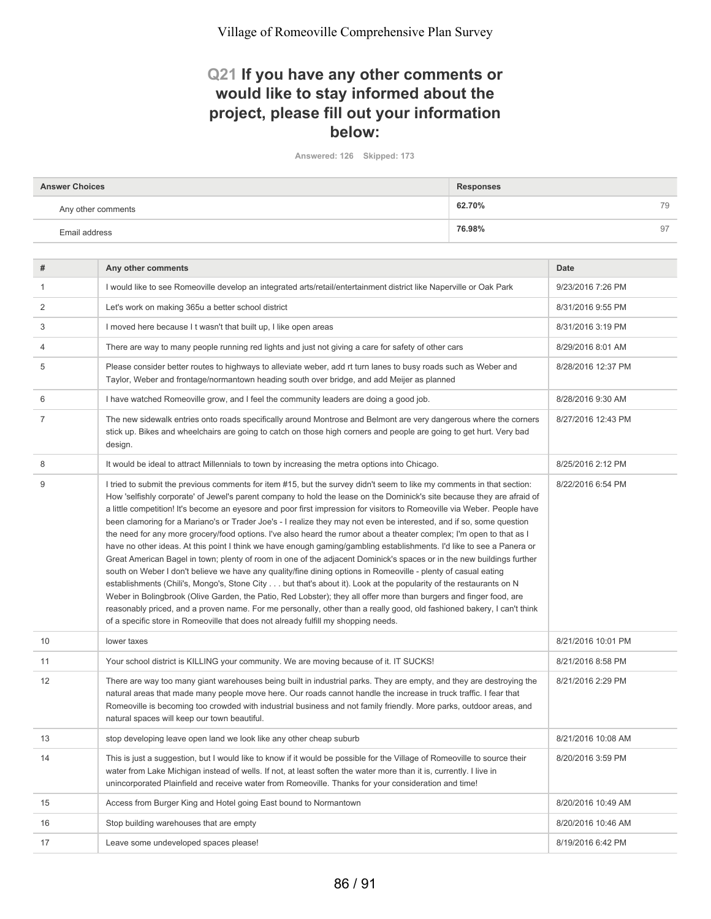#### **Q21 If you have any other comments or would like to stay informed about the project, please fill out your information below:**

**Answered: 126 Skipped: 173**

| <b>Answer Choices</b> | <b>Responses</b> |    |
|-----------------------|------------------|----|
| Any other comments    | 62.70%           | 79 |
| Email address         | 76.98%           | 97 |

| #              | Any other comments                                                                                                                                                                                                                                                                                                                                                                                                                                                                                                                                                                                                                                                                                                                                                                                                                                                                                                                                                                                                                                                                                                                                                                                                                                                                                                                                                                                                                                          | <b>Date</b>        |
|----------------|-------------------------------------------------------------------------------------------------------------------------------------------------------------------------------------------------------------------------------------------------------------------------------------------------------------------------------------------------------------------------------------------------------------------------------------------------------------------------------------------------------------------------------------------------------------------------------------------------------------------------------------------------------------------------------------------------------------------------------------------------------------------------------------------------------------------------------------------------------------------------------------------------------------------------------------------------------------------------------------------------------------------------------------------------------------------------------------------------------------------------------------------------------------------------------------------------------------------------------------------------------------------------------------------------------------------------------------------------------------------------------------------------------------------------------------------------------------|--------------------|
| $\mathbf{1}$   | I would like to see Romeoville develop an integrated arts/retail/entertainment district like Naperville or Oak Park                                                                                                                                                                                                                                                                                                                                                                                                                                                                                                                                                                                                                                                                                                                                                                                                                                                                                                                                                                                                                                                                                                                                                                                                                                                                                                                                         | 9/23/2016 7:26 PM  |
| $\overline{2}$ | Let's work on making 365u a better school district                                                                                                                                                                                                                                                                                                                                                                                                                                                                                                                                                                                                                                                                                                                                                                                                                                                                                                                                                                                                                                                                                                                                                                                                                                                                                                                                                                                                          | 8/31/2016 9:55 PM  |
| 3              | I moved here because I t wasn't that built up, I like open areas                                                                                                                                                                                                                                                                                                                                                                                                                                                                                                                                                                                                                                                                                                                                                                                                                                                                                                                                                                                                                                                                                                                                                                                                                                                                                                                                                                                            | 8/31/2016 3:19 PM  |
| 4              | There are way to many people running red lights and just not giving a care for safety of other cars                                                                                                                                                                                                                                                                                                                                                                                                                                                                                                                                                                                                                                                                                                                                                                                                                                                                                                                                                                                                                                                                                                                                                                                                                                                                                                                                                         | 8/29/2016 8:01 AM  |
| 5              | Please consider better routes to highways to alleviate weber, add rt turn lanes to busy roads such as Weber and<br>Taylor, Weber and frontage/normantown heading south over bridge, and add Meijer as planned                                                                                                                                                                                                                                                                                                                                                                                                                                                                                                                                                                                                                                                                                                                                                                                                                                                                                                                                                                                                                                                                                                                                                                                                                                               | 8/28/2016 12:37 PM |
| 6              | I have watched Romeoville grow, and I feel the community leaders are doing a good job.                                                                                                                                                                                                                                                                                                                                                                                                                                                                                                                                                                                                                                                                                                                                                                                                                                                                                                                                                                                                                                                                                                                                                                                                                                                                                                                                                                      | 8/28/2016 9:30 AM  |
| $\overline{7}$ | The new sidewalk entries onto roads specifically around Montrose and Belmont are very dangerous where the corners<br>stick up. Bikes and wheelchairs are going to catch on those high corners and people are going to get hurt. Very bad<br>design.                                                                                                                                                                                                                                                                                                                                                                                                                                                                                                                                                                                                                                                                                                                                                                                                                                                                                                                                                                                                                                                                                                                                                                                                         | 8/27/2016 12:43 PM |
| 8              | It would be ideal to attract Millennials to town by increasing the metra options into Chicago.                                                                                                                                                                                                                                                                                                                                                                                                                                                                                                                                                                                                                                                                                                                                                                                                                                                                                                                                                                                                                                                                                                                                                                                                                                                                                                                                                              | 8/25/2016 2:12 PM  |
| 9              | I tried to submit the previous comments for item #15, but the survey didn't seem to like my comments in that section:<br>How 'selfishly corporate' of Jewel's parent company to hold the lease on the Dominick's site because they are afraid of<br>a little competition! It's become an eyesore and poor first impression for visitors to Romeoville via Weber. People have<br>been clamoring for a Mariano's or Trader Joe's - I realize they may not even be interested, and if so, some question<br>the need for any more grocery/food options. I've also heard the rumor about a theater complex; I'm open to that as I<br>have no other ideas. At this point I think we have enough gaming/gambling establishments. I'd like to see a Panera or<br>Great American Bagel in town; plenty of room in one of the adjacent Dominick's spaces or in the new buildings further<br>south on Weber I don't believe we have any quality/fine dining options in Romeoville - plenty of casual eating<br>establishments (Chili's, Mongo's, Stone City but that's about it). Look at the popularity of the restaurants on N<br>Weber in Bolingbrook (Olive Garden, the Patio, Red Lobster); they all offer more than burgers and finger food, are<br>reasonably priced, and a proven name. For me personally, other than a really good, old fashioned bakery, I can't think<br>of a specific store in Romeoville that does not already fulfill my shopping needs. | 8/22/2016 6:54 PM  |
| 10             | lower taxes                                                                                                                                                                                                                                                                                                                                                                                                                                                                                                                                                                                                                                                                                                                                                                                                                                                                                                                                                                                                                                                                                                                                                                                                                                                                                                                                                                                                                                                 | 8/21/2016 10:01 PM |
| 11             | Your school district is KILLING your community. We are moving because of it. IT SUCKS!                                                                                                                                                                                                                                                                                                                                                                                                                                                                                                                                                                                                                                                                                                                                                                                                                                                                                                                                                                                                                                                                                                                                                                                                                                                                                                                                                                      | 8/21/2016 8:58 PM  |
| 12             | There are way too many giant warehouses being built in industrial parks. They are empty, and they are destroying the<br>natural areas that made many people move here. Our roads cannot handle the increase in truck traffic. I fear that<br>Romeoville is becoming too crowded with industrial business and not family friendly. More parks, outdoor areas, and<br>natural spaces will keep our town beautiful.                                                                                                                                                                                                                                                                                                                                                                                                                                                                                                                                                                                                                                                                                                                                                                                                                                                                                                                                                                                                                                            | 8/21/2016 2:29 PM  |
| 13             | stop developing leave open land we look like any other cheap suburb                                                                                                                                                                                                                                                                                                                                                                                                                                                                                                                                                                                                                                                                                                                                                                                                                                                                                                                                                                                                                                                                                                                                                                                                                                                                                                                                                                                         | 8/21/2016 10:08 AM |
| 14             | This is just a suggestion, but I would like to know if it would be possible for the Village of Romeoville to source their<br>water from Lake Michigan instead of wells. If not, at least soften the water more than it is, currently. I live in<br>unincorporated Plainfield and receive water from Romeoville. Thanks for your consideration and time!                                                                                                                                                                                                                                                                                                                                                                                                                                                                                                                                                                                                                                                                                                                                                                                                                                                                                                                                                                                                                                                                                                     | 8/20/2016 3:59 PM  |
| 15             | Access from Burger King and Hotel going East bound to Normantown                                                                                                                                                                                                                                                                                                                                                                                                                                                                                                                                                                                                                                                                                                                                                                                                                                                                                                                                                                                                                                                                                                                                                                                                                                                                                                                                                                                            | 8/20/2016 10:49 AM |
| 16             | Stop building warehouses that are empty                                                                                                                                                                                                                                                                                                                                                                                                                                                                                                                                                                                                                                                                                                                                                                                                                                                                                                                                                                                                                                                                                                                                                                                                                                                                                                                                                                                                                     | 8/20/2016 10:46 AM |
| 17             | Leave some undeveloped spaces please!                                                                                                                                                                                                                                                                                                                                                                                                                                                                                                                                                                                                                                                                                                                                                                                                                                                                                                                                                                                                                                                                                                                                                                                                                                                                                                                                                                                                                       | 8/19/2016 6:42 PM  |
|                |                                                                                                                                                                                                                                                                                                                                                                                                                                                                                                                                                                                                                                                                                                                                                                                                                                                                                                                                                                                                                                                                                                                                                                                                                                                                                                                                                                                                                                                             |                    |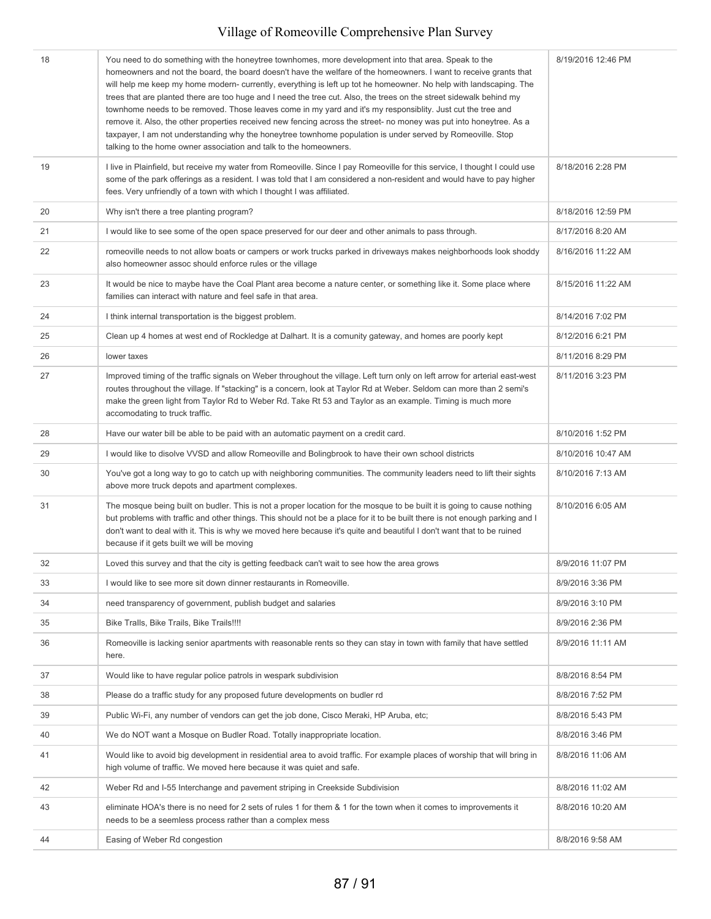| 18 | You need to do something with the honeytree townhomes, more development into that area. Speak to the<br>homeowners and not the board, the board doesn't have the welfare of the homeowners. I want to receive grants that<br>will help me keep my home modern- currently, everything is left up tot he homeowner. No help with landscaping. The<br>trees that are planted there are too huge and I need the tree cut. Also, the trees on the street sidewalk behind my<br>townhome needs to be removed. Those leaves come in my yard and it's my responsiblity. Just cut the tree and<br>remove it. Also, the other properties received new fencing across the street- no money was put into honeytree. As a<br>taxpayer, I am not understanding why the honeytree townhome population is under served by Romeoville. Stop<br>talking to the home owner association and talk to the homeowners. | 8/19/2016 12:46 PM |
|----|-------------------------------------------------------------------------------------------------------------------------------------------------------------------------------------------------------------------------------------------------------------------------------------------------------------------------------------------------------------------------------------------------------------------------------------------------------------------------------------------------------------------------------------------------------------------------------------------------------------------------------------------------------------------------------------------------------------------------------------------------------------------------------------------------------------------------------------------------------------------------------------------------|--------------------|
| 19 | I live in Plainfield, but receive my water from Romeoville. Since I pay Romeoville for this service, I thought I could use<br>some of the park offerings as a resident. I was told that I am considered a non-resident and would have to pay higher<br>fees. Very unfriendly of a town with which I thought I was affiliated.                                                                                                                                                                                                                                                                                                                                                                                                                                                                                                                                                                   | 8/18/2016 2:28 PM  |
| 20 | Why isn't there a tree planting program?                                                                                                                                                                                                                                                                                                                                                                                                                                                                                                                                                                                                                                                                                                                                                                                                                                                        | 8/18/2016 12:59 PM |
| 21 | I would like to see some of the open space preserved for our deer and other animals to pass through.                                                                                                                                                                                                                                                                                                                                                                                                                                                                                                                                                                                                                                                                                                                                                                                            | 8/17/2016 8:20 AM  |
| 22 | romeoville needs to not allow boats or campers or work trucks parked in driveways makes neighborhoods look shoddy<br>also homeowner assoc should enforce rules or the village                                                                                                                                                                                                                                                                                                                                                                                                                                                                                                                                                                                                                                                                                                                   | 8/16/2016 11:22 AM |
| 23 | It would be nice to maybe have the Coal Plant area become a nature center, or something like it. Some place where<br>families can interact with nature and feel safe in that area.                                                                                                                                                                                                                                                                                                                                                                                                                                                                                                                                                                                                                                                                                                              | 8/15/2016 11:22 AM |
| 24 | I think internal transportation is the biggest problem.                                                                                                                                                                                                                                                                                                                                                                                                                                                                                                                                                                                                                                                                                                                                                                                                                                         | 8/14/2016 7:02 PM  |
| 25 | Clean up 4 homes at west end of Rockledge at Dalhart. It is a comunity gateway, and homes are poorly kept                                                                                                                                                                                                                                                                                                                                                                                                                                                                                                                                                                                                                                                                                                                                                                                       | 8/12/2016 6:21 PM  |
| 26 | lower taxes                                                                                                                                                                                                                                                                                                                                                                                                                                                                                                                                                                                                                                                                                                                                                                                                                                                                                     | 8/11/2016 8:29 PM  |
| 27 | Improved timing of the traffic signals on Weber throughout the village. Left turn only on left arrow for arterial east-west<br>routes throughout the village. If "stacking" is a concern, look at Taylor Rd at Weber. Seldom can more than 2 semi's<br>make the green light from Taylor Rd to Weber Rd. Take Rt 53 and Taylor as an example. Timing is much more<br>accomodating to truck traffic.                                                                                                                                                                                                                                                                                                                                                                                                                                                                                              | 8/11/2016 3:23 PM  |
| 28 | Have our water bill be able to be paid with an automatic payment on a credit card.                                                                                                                                                                                                                                                                                                                                                                                                                                                                                                                                                                                                                                                                                                                                                                                                              | 8/10/2016 1:52 PM  |
| 29 | I would like to disolve VVSD and allow Romeoville and Bolingbrook to have their own school districts                                                                                                                                                                                                                                                                                                                                                                                                                                                                                                                                                                                                                                                                                                                                                                                            | 8/10/2016 10:47 AM |
| 30 | You've got a long way to go to catch up with neighboring communities. The community leaders need to lift their sights<br>above more truck depots and apartment complexes.                                                                                                                                                                                                                                                                                                                                                                                                                                                                                                                                                                                                                                                                                                                       | 8/10/2016 7:13 AM  |
| 31 | The mosque being built on budler. This is not a proper location for the mosque to be built it is going to cause nothing<br>but problems with traffic and other things. This should not be a place for it to be built there is not enough parking and I<br>don't want to deal with it. This is why we moved here because it's quite and beautiful I don't want that to be ruined<br>because if it gets built we will be moving                                                                                                                                                                                                                                                                                                                                                                                                                                                                   | 8/10/2016 6:05 AM  |
| 32 | Loved this survey and that the city is getting feedback can't wait to see how the area grows                                                                                                                                                                                                                                                                                                                                                                                                                                                                                                                                                                                                                                                                                                                                                                                                    | 8/9/2016 11:07 PM  |
| 33 | I would like to see more sit down dinner restaurants in Romeoville.                                                                                                                                                                                                                                                                                                                                                                                                                                                                                                                                                                                                                                                                                                                                                                                                                             | 8/9/2016 3:36 PM   |
| 34 | need transparency of government, publish budget and salaries                                                                                                                                                                                                                                                                                                                                                                                                                                                                                                                                                                                                                                                                                                                                                                                                                                    | 8/9/2016 3:10 PM   |
| 35 | Bike Tralls, Bike Trails, Bike Trails!!!!                                                                                                                                                                                                                                                                                                                                                                                                                                                                                                                                                                                                                                                                                                                                                                                                                                                       | 8/9/2016 2:36 PM   |
| 36 | Romeoville is lacking senior apartments with reasonable rents so they can stay in town with family that have settled<br>here.                                                                                                                                                                                                                                                                                                                                                                                                                                                                                                                                                                                                                                                                                                                                                                   | 8/9/2016 11:11 AM  |
| 37 | Would like to have regular police patrols in wespark subdivision                                                                                                                                                                                                                                                                                                                                                                                                                                                                                                                                                                                                                                                                                                                                                                                                                                | 8/8/2016 8:54 PM   |
| 38 | Please do a traffic study for any proposed future developments on budler rd                                                                                                                                                                                                                                                                                                                                                                                                                                                                                                                                                                                                                                                                                                                                                                                                                     | 8/8/2016 7:52 PM   |
| 39 | Public Wi-Fi, any number of vendors can get the job done, Cisco Meraki, HP Aruba, etc;                                                                                                                                                                                                                                                                                                                                                                                                                                                                                                                                                                                                                                                                                                                                                                                                          | 8/8/2016 5:43 PM   |
| 40 | We do NOT want a Mosque on Budler Road. Totally inappropriate location.                                                                                                                                                                                                                                                                                                                                                                                                                                                                                                                                                                                                                                                                                                                                                                                                                         | 8/8/2016 3:46 PM   |
| 41 | Would like to avoid big development in residential area to avoid traffic. For example places of worship that will bring in<br>high volume of traffic. We moved here because it was quiet and safe.                                                                                                                                                                                                                                                                                                                                                                                                                                                                                                                                                                                                                                                                                              | 8/8/2016 11:06 AM  |
| 42 | Weber Rd and I-55 Interchange and pavement striping in Creekside Subdivision                                                                                                                                                                                                                                                                                                                                                                                                                                                                                                                                                                                                                                                                                                                                                                                                                    | 8/8/2016 11:02 AM  |
| 43 | eliminate HOA's there is no need for 2 sets of rules 1 for them & 1 for the town when it comes to improvements it<br>needs to be a seemless process rather than a complex mess                                                                                                                                                                                                                                                                                                                                                                                                                                                                                                                                                                                                                                                                                                                  | 8/8/2016 10:20 AM  |
| 44 | Easing of Weber Rd congestion                                                                                                                                                                                                                                                                                                                                                                                                                                                                                                                                                                                                                                                                                                                                                                                                                                                                   | 8/8/2016 9:58 AM   |
|    |                                                                                                                                                                                                                                                                                                                                                                                                                                                                                                                                                                                                                                                                                                                                                                                                                                                                                                 |                    |